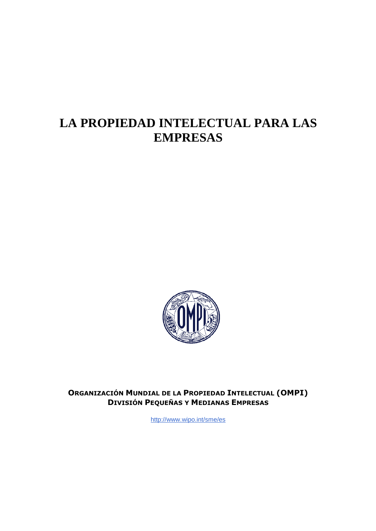# LA PROPIEDAD INTELECTUAL PARALAS **EMPRESAS**



**ORGANIZACIÓN MUNDIAL DE LA PROPIEDAD INTELECTUAL (OMPI) DIVISIÓN PEQUEÑAS Y MEDIANAS EMPRESAS** 

[http://www.wipo.int/sme/es](http://www.wipo.int/)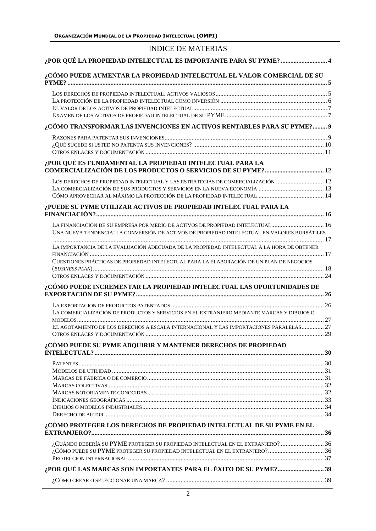### INDICEDEMATERIA S

| ¿PORQUÉLAPROPIEDA DINTELECTUALESIMP ORTANTEPARASUPYME ?4                             |  |
|--------------------------------------------------------------------------------------|--|
| ¿CÓMOPUEDEAUMENTAR LAPROPIEDADINTELE CTUALELVALORCOMER CIALDESU                      |  |
|                                                                                      |  |
|                                                                                      |  |
|                                                                                      |  |
|                                                                                      |  |
| ¿CÓMOTRANSFORMARLA SINVENCIONESENACT IVOSRENTABLESPARA SUPYME?  9                    |  |
|                                                                                      |  |
|                                                                                      |  |
|                                                                                      |  |
| ¿PORQUÉESFUNDAMEN TALLAPROPIEDADINT ELECTUALPARALA                                   |  |
|                                                                                      |  |
| LOSDERECHOSDEPROPIE DADINTELECTUALYLA SESTRATEGIASDECOM ERCIALIZACIÓN  12            |  |
|                                                                                      |  |
|                                                                                      |  |
| ¿PUEDESUPYMEUTILI ZARACTIVOSDEPROPI EDADINTELECTUALPAR ALA                           |  |
| LAFINANCIACIÓNDESU EMPRESAPORMEDIOD EACTIVOSDEPROPIED ADINTELECTUAL  16              |  |
| UNANUEVATENDENCIA :LACONVERSIÓNDEAC TIVOSDEPROPIEDADI NTELECTUALENVALORE SBURSÁTILES |  |
| LAIMPORTANCIADELA EVALUACIÓNADECUADA DELAPROPIEDADINTE LECTUALALAHORADE OBTENER      |  |
|                                                                                      |  |
| CUESTIONESPRÁCTICAS DEPROPIEDADINTELEC TUALPARALAELABORA CIÓNDEUNPLANDEN EGOCIOS     |  |
|                                                                                      |  |
| ¿CÓMOPUEDEINCREMEN TARLAPROPIEDADI NTELECTUALLASOPORT UNIDADESDE                     |  |
|                                                                                      |  |
| LACOMERCIALIZACIÓND EPRODUCTOSYSERVIC IOSENELEXTRANJERO MEDIANTEMARCASYD IBUJOSO     |  |
|                                                                                      |  |
| ELAGOTAMIENTODELOS DERECHOSAESCALAI NTERNACIONALYLASI MPORTACIONESPARALEL AS 27      |  |
|                                                                                      |  |
| ¿CÓMOPUEDESUPYME ADQUIRIRYMANTENER DERECHOSDEPROPIEDAD                               |  |
|                                                                                      |  |
|                                                                                      |  |
|                                                                                      |  |
|                                                                                      |  |
|                                                                                      |  |
|                                                                                      |  |
|                                                                                      |  |
| ¿CÓMOPROTEG ERLOSDERECHOSDEP ROPIEDADINTELECTUAL DESUPYMEENEL                        |  |
|                                                                                      |  |
| ¿CUÁNDODEBERÍASU PYMEPROTEGERSUPROPIED ADINTELECTUALENEL EXTRANJERO ? 36             |  |
| ¿CÓMOPUEDESU PYMEPROTEGERSUPROPIED ADINTE LECTUALENELEXTRAN JERO? 36                 |  |
|                                                                                      |  |
|                                                                                      |  |
|                                                                                      |  |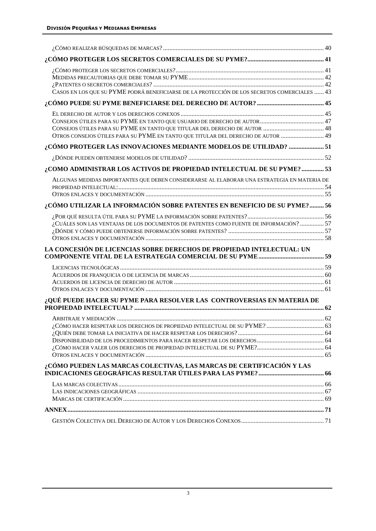| CASOSENLOSQUESU PYMEPODRÁBENEFICIARSE DELAPROTECCIÓNDE LOSSECRETOSCOMERCI ALES  43  |  |
|-------------------------------------------------------------------------------------|--|
|                                                                                     |  |
| OTROSCONSEJOSÚTILES PARASU PYMEENTANTOQUETITULA RDELDERECHODEAUT OR  49             |  |
| ¿CÓMOPROTEGERLASI NNOVACIONESMEDIAN TEMODELOSDEUTILID AD?  51                       |  |
|                                                                                     |  |
| ¿COMOADMINISTRARLO SACTIVOSDEPROPIED ADINTELECTUALDESU PYME?  53                    |  |
| ALGUNASMEDIDASIMPOR TANTESQUEDEBENCONSID ERARSEALELABORARU NAESTRATEGIAENMAT ERIADE |  |
| ¿CÓMOUTILIZARLAIN FORMACIÓNSOBREPATE NTESENBENEFICIODE SUPYME? 56                   |  |
| ¿CUÁLESSONLASVENTAJ ASDELOSDOCUMENTOS DEPATENTESCOMOFU ENTEDEINFORMACIÓN ? 57       |  |
| LACONCESIÓNDELICE NCIASSOBREDERECHOS DEPROPIEDADINTELE CTUAL:UN                     |  |
|                                                                                     |  |
|                                                                                     |  |
|                                                                                     |  |
| ¿QUÉPUEDEHACERSU PYMEPARARESOLVERL AS CONTROVERSIASENMA TERIADE                     |  |
|                                                                                     |  |
|                                                                                     |  |
|                                                                                     |  |
|                                                                                     |  |
|                                                                                     |  |
| ¿CÓMOPUEDENLASMAR CASCOLECTIVAS,LAS MARCASDECERTIFICAC IÓNYLAS                      |  |
|                                                                                     |  |
|                                                                                     |  |
|                                                                                     |  |
|                                                                                     |  |
|                                                                                     |  |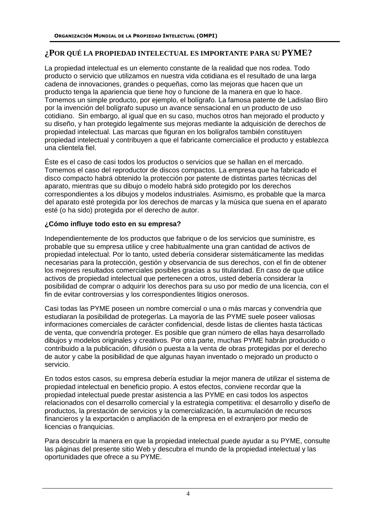### <span id="page-3-0"></span>**¿POR QUÉ LA PROPIEDAD INTELECTUAL ES IMPOR TANTE PARA SU PYME?**

La propiedad intelectual es un elemento constante del arealidad que nos rodea. Todo producto o servicio que utilizamos en nuestra vida cotidiana es el resultado de una larga cadena de innovaciones, grandes o pequeñas, como las mejoras que hacen que un producto tenga la apariencia que tiene hoy o funcione de la manera en que lo hace. Tomemosun simple producto, por ejemplo, el bolígrafo. La famosa patente de Ladislao Biro por la invención del bolígrafo supuso un avance sensacional en un producto de uso cotidiano. Sinembargo, aliqual que en su caso, muchos o tros han mejorado el producto y su diseño, y han protegido legalmente sus mejoras mediante la adquisición de derechos de propiedad intelectual. Las marcas que figuran en los bolígrafos también constituyen propiedad intelectual y contribuyen a que el fabric ante comercialice el producto y establezca una cliente la fiel.

Éste es el caso de casito dos los productos o servicios que se hallan en el mercado. Tomemos el caso del reproductor de discos compactos. La empresa que ha fabricado el disco compacto habrá obt enido la protección por patente de distintas partes técnicas de l aparato, mientras que su dibujo o modelo habrásido protegido por los derechos correspondientes a los dibujos y modelos industriales. Asimismo, esprobable que la marca del aparato esté prote gida por los derechos de marcas y la música que suena en el aparato esté (o ha sido) protegida por el derecho de autor.

### **¿Cómo influye todo esto en su empresa?**

Independientemente de los productos que fabrique o de los servicios que suministre, es probable q ue su empresa utilice v cree habitualmente una gran cantidad de activos de propiedad intelectual. Por lo tanto, usted debería considerar sistemáticamente las medidas necesarias para la protección, gestión y observancia de sus derechos, con el fin de obtene representar re los mejores resultados comerciales posibles gracias a su titularidad. En caso de que utilice activos de propiedad intelectual que pertenece na otros, usted de bería considerar la posibilidad de comprar o adquirir los derechos para su uso por medio de una licencia, con el fin de evitar controversias y los correspondientes litigios onerosos.

Casitodas las PYME poseen un nombre comercial o una omás marcas y convendría que estudiaran la posibilidad de protegerlas. La mayoría de las PYME suele pose ervaliosas informaciones comerciales de carácter confidencial, desde listas de clientes hasta tácticas de venta, que convendría proteger. Es posible que gran número de ellas haya desarrollado dibujos y modelos originales y creativos. Por otraparte, muchas PYME habr án producido o contribuido a la publicación, difusión o puesta a la venta de obras protegidas por el derecho de autory cabe la posibilidad de que algunas hayan inventado o mejorado un producto o servicio.

Entodos estos casos, su empresa debería estudiar la mejor manera de utilizar el sistema de propiedad intelectual en beneficio propio. A esto sefectos, conviene recordar que la propiedad intelectual puede prestar asistencia a las PYME en casi todos los aspectos relacionados con el desarrollo comercial y l a estrategia competitiva: el desarrollo y diseño de productos, la prestación de servicios y la comercialización, la acumulación de recursos financieros y la exportación o ampliación de la empresa en el extranjero por medio de licencias ofranquicias.

Para descubrir la manera en que la propiedad intelectual puede ayudar a su PYME, consulte las páginas del presente sitio Weby descubra el mundo de la propieda dintelectual y las oportunidades que ofrece a suPYME.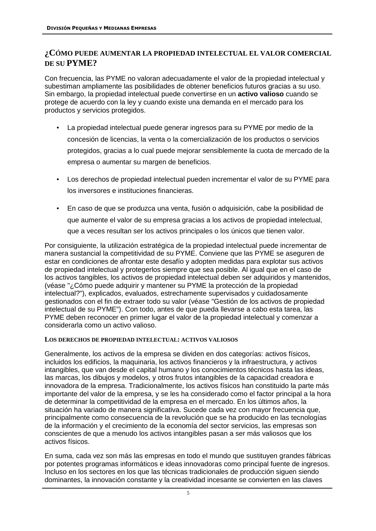### <span id="page-4-0"></span>**¿CÓMO PUEDE AUMENTAR L A PROPIEDAD INTELECT UAL EL VALOR COMERCIAL DESU PYME?**

Confrecuencia, las PYME novaloran adecuadamente el valor de la propiedad intelectual y subestiman ampliamente las posibilidades de obtener beneficios futuros gracias a su uso. Sinembargo, la propiedad intelectual puede co nvertirse en un **activo valioso** cuando se protege de acuerdo con la ley y cuando existe una demanda en el mercado para los productos y servicios protegidos.

- La propiedad intelectual puede generar ingresos para su PYME por medio de la concesión de licencias, la venta o la comercia lización de los productos o servicios protegidos, gracias a locual puede mejorar sensiblemente la cuota de mercado de la empresa o aumentar su margen de beneficios.
- Los de rechos de propiedad intelectual pueden incrementar el valor de su PYME para los inversores e instituciones financieras.
- En caso de que se produzca una venta, fusión o adquisición, cabe la posibilidad de que aumente el valor de su empresa gracias a los activos de propiedad intelectual, que a veces resultan ser los activos principales o los únicos que tienen valor.

Por consiguiente, la utilización estratégica de la propieda dintelectual puede incrementar de manera sustancial la competitividad de su PYME. Conviene que las PYME se aseguren de estar en condiciones de a frontar este desafío y adopten medidas para explotar sus activos de propiedad intelectual y proteger los siempre que sea posible. Al igual que en el caso de los activos tangibles, los activos de propiedad intelectual debenser adquiridos y mantenidos, (véase "¿Cómo puede adquirir y mantener su PYME la protección de la propiedad intelectual?"), explicados, evaluados, estrechamente supervisados y cuidadosamente gestionados con el fin de extraer todo su valor (véase "Gestión de los activos de propiedad intelectual de su PYME"). Conto do antes de que pueda llevarse a cabo estatarea, las PYME deben reconocer en primer lugar el valor de la propieda dintelectual y comenzar a considerarla como un activo valioso.

### **LOS DERECHOS DE PROPI EDAD INTELECTUAL : ACTIVOS VALIOS OS**

Generalmente, los activos de la empresa se dividen en dos categorías: activos físicos, incluidos los edificios, la maquinaria, los activos financieros y la infraestructura, y activos intangibles, que van desde el capital humano y los conocimientos técni cos hasta las ideas, las marcas, los dibujos y modelos, y otros frutos intangibles de la capacidad creadora e innovadora de la empresa. Tradicionalmente, los activos físicos han constituido la parte más importante del valor de la empresa, y se les ha consi de rado como el factor principal a la hora de determinar la competitividad de la empresa en el mercado. En los últimos años, la situación ha variado de manera significativa. Suce de cada vez con mayor frecuencia que, principalmente como consecuencia de la re volución que se ha producido en las tecnologías de la información y el crecimiento de la economía del sector servicios, la sempresas son conscientes de que a menudo los activos intangibles pasan a ser más valiosos que los activosfísicos.

En suma, cada ve z son más la sempresa sento do el mundo que sustituyen grandes fábricas por potentes programas informáticos e ideas innovadoras como principal fuente de ingresos. Incluso en los sectores en los que las técnicas tradicionales de producción siguen siendo dominantes, la innovación constante y la creatividad incesante se convierte nen las claves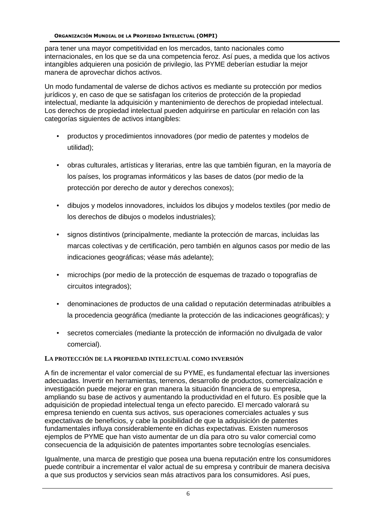<span id="page-5-0"></span>para tener una mayor competitividad en los mercados, tanto nacionales como internacionales, en los que se da una competencia feroz. A sípues, a medida que los activos intangibles adquieren una posición de privilegio, las PYME deberían estudiar la mejor manera de aprovechar dichos activos.

Un modo fundamental de valerse de dichos activos es mediante su protección por medios jurídicos y, en caso de que se satisfagan los cr iterios de protección de la propiedad intelectual, mediante la adquisición y mantenimiento de derechos de propiedad intelectual. Los de rechos de propiedad intelectual pueden adquirirse en particular en relación con las categorías siguientes de activos inta ngibles:

- productos v procedimientos innovadores (por medio depatentes y modelos de utilidad);
- obras culturales, artísticas y literarias, entre las que también figuran, en la mayoría de los países, los programas informáticos y las bases de datos (por medi ode la protección por derecho de autory derechos conexos);
- dibujos y modelos innovadores, incluidos los dibujos y modelos textiles (por medio de los derechos de dibujos o modelos industriales);
- signos distintivos (principalmente, mediante la protección de marcas, incluidas las marcas colectivas y de certificación, pero también en algunos casos por medio de las indicaciones geográficas; véase mása delante);
- microchips (por medio de la protección de esquemas de trazado o topografías de circuitos integrad os);
- denominaciones de productos de una calidad o reputación determinadas atribuibles a la procedencia geográfica (mediante la protección de la sindicaciones geográficas); y
- secretos comerciales (mediante la protección de información no divulgada de valo r comercial).

### LA PROTECCIÓN DE LA P**ROPIEDADINTELECTUAL COMO INVERSIÓN**

A fin de incrementar el valor comercial de su PYME, es fundamental efectuar las inversiones adecuadas. Invertiren herramientas, terrenos, desarrollo de productos, comercialización e investigación puede mejorar en gran manera la situación financiera de su empresa, ampliando su base de activos y aumentando la productividad en el futuro. Es posible que la adquisición de propiedad intelectual tenga un efecto parecido. El mercado valor ará segundo para un un el solo empresateniendo en cuenta sus activos, sus operaciones comerciales actuales y sus expectativas de beneficios, y cabe la posibilidad de que la adquisición de patentes fundamentales influya considerablemente en dichas expectativas. Existen numerosos ejemplos de PYME que han visto aumentar de un día para otro su valor comercial como consecuencia de la adquisición de patentes importantes sobre tecnologías esenciales.

Igualmente, una marca de prestigio que posea una buena reputación entre los consumidores puede contribuir a incrementar el valor actual de su empresa y contribuir de manera de cisiva a que sus productos y servicios sean más atractivos para los consumidores. Así pues,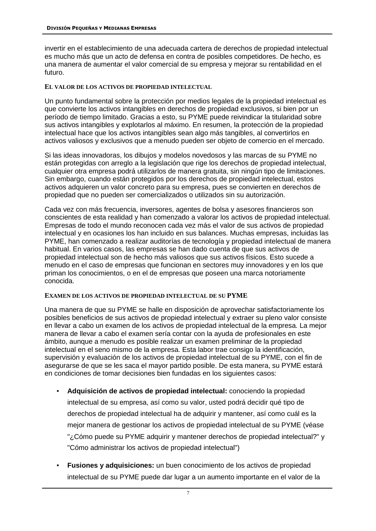<span id="page-6-0"></span>invertirenelestablecimiento de una adecuada cartera de derechos de propiedadi metelectual es mucho más que un acto de defensa en contra de posibles competidores. De hecho, es una manera de aumentar el valor comercial de su empresa y mejorar su rentabilidad en el futuro.

### **EL VALOR DE LOS ACTIV OS DE PROPIEDAD INTE LECTUAL**

Unpunto fundam ental sobre la protección por medios legales de la propieda dintelectual es que convierte los activos intangibles en derechos de propiedad exclusivos, si bien por un período de tiempo limitado. Gracias a esto, su PYME puede reivindicar la titularidad sobre sus activos intangibles y explotarlos al máximo. En resumen, la protección de la propiedad intelectual hace que los activos intangibles sean algo más tangibles, al convertir los en activos valiosos y exclusivos que a menudo pueden ser objeto de comercio en el mercado.

Silasideas innovadoras, los dibujos y modelos novedosos y las marcas de su PYME no están protegidas con arreglo a la legislación que rige los derechos de propiedad intelectual, cualquier otra empresa podrá utilizar los de manera gratuita, sin iningún tipo de limitaciones. Sinembargo, cuando están protegidos por los derechos de propiedad intelectual, estos activos adquieren un valor concreto para su empresa, pues se convierten en derechos de propiedad que no pueden ser comercializado so utiliza dos sin su autorización.

Cada vez con más frecuencia, inversores, agentes de bolsa y ases or es financieros son conscientes de esta realidad y han comenzado a valorar los activos de propiedad intelectual. Empresas de todo el mundo reconocen cada vez más el v alor de sus activos de propiedad intelectual venocasiones los han incluido en sus balances. Muchas empresas, incluidas las PYME, han comenzado a realizar auditorías de tecnología y propiedad intelectual de manera habitual. Envarios casos, las empresas sendidado cuenta de que sus activos de propiedad intelectual son de hecho más valiosos que sus activos físicos. Esto sucede a menudo en el caso de empresas que funcionan en sectores muy innovadores y en los que priman los conocimientos, o en el de empresa sque poseen una marca notoriamente conocida.

#### EXAMENDELOSACTIVOS DEPROPIEDADINTELE CTUALDESU PYME

Una manera de que su PYME se halle en disposición de aprovechar satisfactoriamente los posibles beneficios de sus activos de propiedad intelectual y ext raer su pleno valor consiste en llevar a cabo un examen de los activos de propiedad intelectual de la empresa. La mejor manera de llevar a cabo el examen sería contar con la ayuda de profesionales en este ámbito, aunque a menudo esposible realizar un exam en preliminar de la propiedad intelectual en el seno mismo de la empresa. Esta labor trae consigo la identificación, supervisión vevaluación de los activos de propiedad intelectual de su PYME, con el fin de asegurarse de que se les saca el mayor partido posible. De esta manera, su PYME estará en condiciones de tomar de cisiones bien fundadas en los siguientes casos:

- **Adquisición de activos de propiedad intelectual:** conociendo la propiedad intelectual de su empresa, así como su valor, usted podrá de cidir qué tipo de derechos de propiedad intelectual ha de adquirir y mantener, así como cuál es la mejor manera de gestionar los activos de propiedad intelectual de su PYME (véase "¿Cómopuede su PYME adquirir y mantener de rechos de propiedad intelectual?" y "Cómoa dministrarlosactivos de propieda dintelectual")
	- **Fusiones vadquisiciones:** unbuen conocimiento de los activos de propiedad intelectual de su PYME puede dar lugar a un aumento importante en el valor de la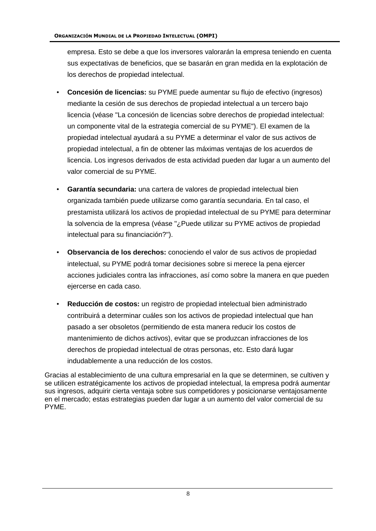empresa. Esto se debe a que los inversores valora rán la empresa teniendo encuenta sus expectativas de beneficios, que se basarán en gran medida en la explotación de los derechos de propiedad intelectual.

- **Concesión de licencias:** su PYME puede aumentar suflujo de efectivo (ingresos) mediante la cesión de sus derechos de propiedad intelectual a un tercerobajo licencia (véase "La concesión de licencias sobre de rechos de propiedad intelectual: un componente vital de la estrategia comercial de su PYME"). El examende la propiedad intelectual ayudará a su PY ME a determinar el valor de sus activos de propiedad intelectual, a fin de obtener las máximas ventajas de los acuerdos de licencia. Losingresos derivados de esta actividad pueden dar lugar a una umento del valor comercial de su PYME.
- Garantía secundaria : una cartera de valores de propiedad intelectual bien organizada también puede utilizar se como garantía secundaria. En tal caso, el prestamista utilizará los activos de propiedad intelectual de su PYME para determinar la solvencia de la empresa (véase" ¿P uede utilizar su PYME activos de propiedad intelectual para su financiación?").
- **Observancia de los derechos:** conociendo el valor de sus activos de propiedad intelectual, su PYME podrátomar decisiones sobre sime recela pena ejercer acciones judiciales contralas infracciones, así como sobre la manera en que pueden ejercerse en cada caso.
- **Reducción de costos:** un registro de propiedad intelectual bien administrado contribuirá a determinar cuáles son los activos de propiedad intelectual que han pasado a ser obsoletos (permitiendo de esta manera reducir los costos de mantenimiento de dichos activos), evitar que se produzcan infracciones de los derechos de propiedad intelectual de otras personas, etc. Esto dará lugar indudablemente a una reducción delos costo s.

Gracias al estable cimiento de una cultura empresarial en la que se determinen, se cultiven y seutilicen estratégicamente los activos de propiedad intelectual, la empresa podrá aumentar sus ingresos, adquirir cierta ventaja sobre sus competidores voos icionarse ventajos amente en el mercado; estas estrategias pueden dar lugar a un aumento del valor comercial de su PYME.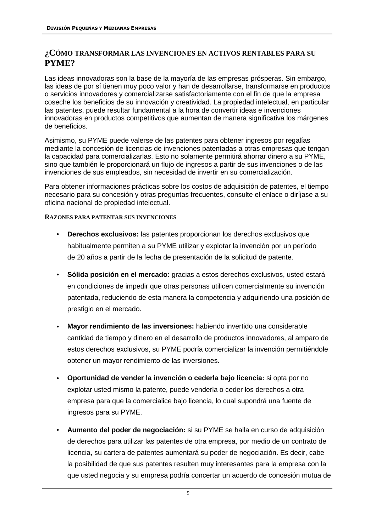### <span id="page-8-0"></span>**¿CÓMO TRANSFORMAR LAS INVENCIONES EN ACTIV OS RENTABLES PARA SU PYME?**

Lasideas innovadoras son la base de la mayoría de la sempresas promoveras. Sin embargo, las ideas de por sí tienen muy pocovalor y handedes arrollarse, transformarse en productos o servicios innovadores y comercializarse satisfactoriamente con el fin de que la empresa coseche los beneficios de su innovación y creativid ad. La propiedad intelectual, en particular las patentes, puede resultar fundamental a la hora de convertir idease invenciones innovadoras en productos competitivos que aumentan de manera significativalos márgenes de beneficios.

Asimismo, su PYME puede v alerse de las patentes para obtener ingresos por regalías mediante la concesión de licencias de invenciones patentadas a otras empresas que tengan la capacidad para comercializarlas. Esto no solamente permitirá a horrar dinero a su PYME, sino que también le proporcionará un flujo de ingresos a partir de sus invenciones o de las invenciones de sus empleados, sin necesidad de invertir en su comercialización.

Para obtener informaciones prácticas sobre los costos de adquisición de patentes, el tiempo necesariop ara su concesión y otras preguntas frecuentes, consulte el enlace o diríjas e a su oficina nacional depropiedad intelectual.

#### **RAZONESPARAPATENTAR SUSINVENCIONES**

- Derechosexclusivos: laspatentesproporcionanlos derechosexclusivos que habitualmente perm iten a su PYME utilizar y explotar la invención por un período de 20 años a partir de la fecha de presentación de la solicitud de patente.
- **Sólida posición en el mercado:** gracia sa estos de rechos exclusivos, usted estará en condiciones de impedir que otras personas utilicen comercialmente su invención patentada, reduciendo de esta manera la competencia y adquiriendo una posición de prestigio en el mercado.
- **Mayorrendimiento de las inversiones:** habiendo invertido una considerable cantidad de tiempo y dinero en el desarrollo de productos innovadores, al amparo de estos derechos exclusivos, su PYME podría comercializar la invención permitiéndole obtener un mayor rendimiento de las inversiones.
- **Oportunidad de vender la invención o ceder la bajolicencia:** si opt a porno explotar usted mismo la patente, puede venderla o ceder los derechos a otra empresa para que la comercialice bajo licencia, lo cual supondrá una fuente de ingresospara su PYME.
- **Aumento del poder de negociación:** si su PYME se halla en curso de ad quisición de derechos para utilizar las patentes de otra empresa, por medio de un contrato de licencia, su cartera de patentes aumentarás upoder de negociación. Es decir, cabe la posibilidad de que sus patentes resulten muy interes antes para la empresa co n la que usted negocia y su empresa podría concertar un acuerdo de concesión mutua de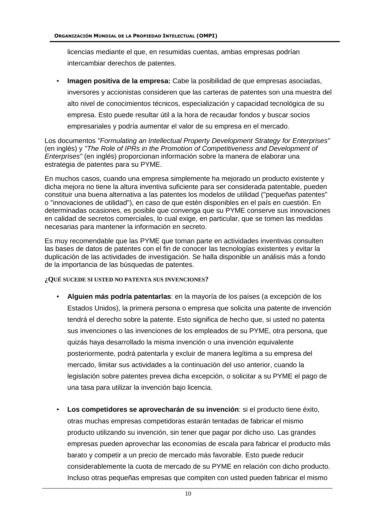<span id="page-9-0"></span>licencias mediante el que, en resumidas cuentas, ambas empresas podrían intercambiar derechos depatentes.

**Imagenpositiva de la empresa:** Cabela posibilidad de que empre esas asociadas, inversores y accionistas consideren que las carteras de patentes son una muestra del altonivel de conocimientos técnicos, especialización y capacidad tecnológica de su empresa. Esto puede resultar útil a la hora de recaudar fondos y buscar socios empresariales y podría aumentar el valor de su empresa en el mercado.

Losdocumentos "Formulating an Intellectual Property Development Strategy for Enterprises" (eninglés) y "The Role of IPRs in the Promotion of Competitiveness and Development of Enterprises" (eninglés) proporcionan información sobre la manera de elaborar una estrategia de patentes para su PYME.

En muchos casos, cuando una empresa simplemente ha mejorado un producto existente y dicha mejora no tiene la altura inventiva suficiente para ser considerada patentable, pueden constituir una buena alternativa a las patentes los modelos de utilidad ("pequeñas patentes" o "innovaciones de utilidad"), en caso de que estén disponibles en el país en cuestión. En determinadas ocasiones, esposi bleque convenga que su PYME conserve sus innovaciones en calidad de secretos comerciales, lo cual exige, en particular, que se tomen las medidas necesarias para mantener la información en secreto.

Es muy recomendable que las PYME que toman parte en activi dades inventivas consulten las bases de datos de patentes con el fin de conocer las tecnologías existentes y evitar la duplicación de las actividades de investigación. Se halla disponible una nálisis más a fondo de la importancia de las búsquedas de patent es.

**¿QUÉ SUCEDE SI USTED N O PATENTA SUS INVENC IONES?**

- Alguien más podría patentarlas : en la mayoría de los países (a excepción de los Estados Unidos), la primera persona o empresa que solicita una patente de invención tendrá el derecho sobre la patente. Est osignifica de hecho que, si usted no patenta sus invenciones o las invenciones de los empleados de su PYME, otra persona, que quizás haya desarrollado la misma invención o una invención equivalente posteriormente, podrá patentarla y excluir de manera legí tima a su empresa del mercado, limitar sus actividades a la continuación del uso anterior, cuando la legislación sobre patentes prevea dicha excepción, o solicitar a su PYME el pago de una tasa para utilizar la invención bajo licencia.
- **Los competidores se aprovecharán de suinvención** : si el producto tiene éxito, otras muchas empresas competidoras estarán tentadas de fabricar el mismo producto utilizando su invención, sin tener que pagar por dicho uso. Las grandes empresas pueden aprovechar las economías de escala para fabricar el producto más barato y competir a un precio de mercado más favorable. Esto puede reducir considerablemente la cuota de mercado de su PYME en relación con dicho producto. Incluso otras pequeñas empresas que compiten con usted pueden fraction abricar el mismo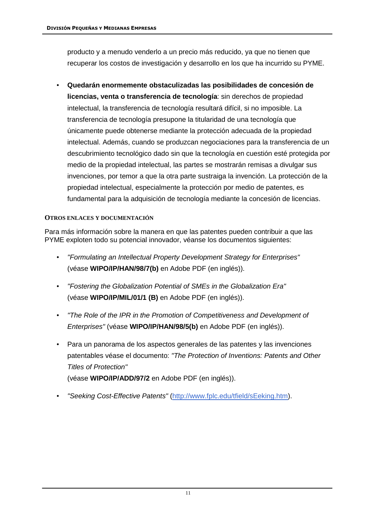<span id="page-10-0"></span>producto y a menudo venderlo a un precio más reducido, y a que no tienen que recuperar los costos de investigación y desarrollo en los que ha incurrido su PYME.

• **Quedarán enormemente obstaculizadas las posibilidades de concesión de licencias, venta o transferencia de tecnología** : sin de rechos de propiedad intelectual, la transferencia de tecnología resultará difícil, si no imposible. La transferencia de tecnología presupone la titularidad de una tecnología que únicamente puede obtenerse median te la protección adecuada de la propiedad intelectual. Además, cuando se produzcan negociaciones para la transferencia de un descubrimiento tecnológico dado sin que la tecnología en cuestión esté protegida por medio de la propieda dintelectual, las partes se mostrarán remisas a divulgar sus invenciones, portemor a que la otra parte sustraiga la invención. La protección de la propiedad intelectual, especialmente la protección por medio de patentes, es fundamental para la adquisición de tecnología mediante la aconcesión de licencias.

### **OTROSENLACESYDOCUM ENTACIÓN**

Para más información sobre la manera en que la spatente spueden contribuir aque las PYME exploten todo supotencial innovador, véanse los documentos siguientes:

- "Formulating an Intellectual Property Development Strategy for Enterprises" (véase WIPO/IP/HAN/98/7(b) en Adobe PDF (eninglés)).
- "Fostering the Globalization Potential of SMEs in the Globalization Era" (véase WIPO/IP/MIL/01/1(B) enAdobePDF(eninglés)).
- "The Role of the IPR in the Prom otion of Competitiveness and Development of Enterprises"(véase WIPO/IP/HAN/98/5(b)enAdobePDF(eninglés)).
- Para un panorama de los aspectos generales de las patentes y las invenciones patentables véase el documento: "The Protection of Inventions: Pate nts and Other Titles of Protection" (véase **WIPO/IP/ADD/97/2** en Adobe PDF (en inglés)).
- "Seeking Cost Effective Patents" ([http://www.fplc.edu/tfield/sEeking.htm\)](http://www.fplc.edu/tfield/sEeking.htm).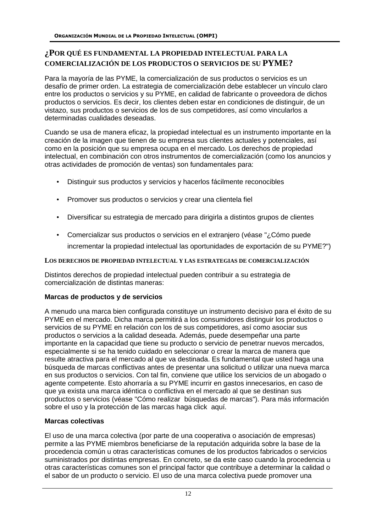### <span id="page-11-0"></span>**¿POR QUÉ ES FUNDAMENTA L LA PROPIED AD INTELECTUAL PARA LA COMERCIALIZACIÓNDE LOSPRODUCTOSOSERV ICIOSDESU PYME?**

Para la mayoría de las PYME, la comercialización de sus productos o servicios es un desafío de primer orden. La estrategia de comercialización de be establecer un vínculo claro entre los productos o servicios y su PYME, en calidad de fabricante o proveed orade dichos productos o servicios. Es decir, los clientes deben estar en condiciones de distinguir, de un vistazo, sus productos o servicios de los desus competidores, así com o vincular los a determinadas cualidades deseadas.

Cuando se usa de manera eficaz, la propiedad intelectual es un instrumento importante en la creación de la imagen que tienen de su empresa sus clientes actuales y potenciales, así como en la posición que su empresa ocupa en el mercado. Los derechos de propiedad intelectual, en combinación con otros instrumentos de comercialización (como los anuncios y otras actividades de promoción de ventas) son fundamentales para:

- Distinguir sus productos y servicios y hac erlos fácilmente reconocibles
- Promover sus productos o servicios v crear una cliente la fiel
- Diversificar su estrate gia de mercado para dirigir la adistintos grupos de clientes
- Comercializar sus productos o servicios en el extranjero (véase"; Cómo puede incrementar la propiedad intelectual la soportunidades de exportación de su PYME?")

### **LOS DERECHOS DE PROPI EDAD INTELECTUAL Y L AS ESTRATEGIAS DE CO MERCIALIZACIÓN**

Distintos de rechos de propiedad intelectual pueden contribuir a su estrategia de comercialización de distintas maneras:

### **Marcas de productos y de servicios**

A menudo una marca bien configurada constituye un instrumento de cisivo para el éxito de su PYME en el mercado. Dicha marca permitirá a los consumidores distinguir los productos o servicios de su P YME en relación con los desus competidores, así como asociar sus productos o servicios a la calidad deseada. Además, puede desempeñar una parte importante en la capacidad que tiene su producto o servicio de penetrar nuevos mercados, especialmentesiseha tenidocuidado en seleccionar o crear la marca de manera que resulte atractiva para el mercado al que va destinada. Es fundamental que uste dhaga una búsqueda de marcas conflictivas antes de presentar una solicitud o utilizar una nueva marca en sus produc tos o servicios. Contal fin, conviene que utilice los servicios de un abogado o agente competente. Esto a horraría a su PYME incurrir en gastos innecesarios, en caso de que ya exista una marca idéntica o conflictiva en el mercado al que se destinan sus productos o servicios (véase "Cómo realizar búsquedas de marcas"). Para más información sobre el uso y la protección de las marcas haga click aquí.

### **Marcas colectivas**

El uso de una marca colectiva (por parte de una cooperativa o asociación de empresas) permitealas PYME miembros beneficiarse de la reputación adquirida sobre la base de la procedencia común u otras características comunes de los productos fabricados o servicios suministrados por distintas empresas. En concreto, se da este caso cuando la proc edencia u otras características comunes son el principal factor que contribuye a determinar la calidad o el sabor de un producto o servicio. El uso de una marca colectiva puede promover una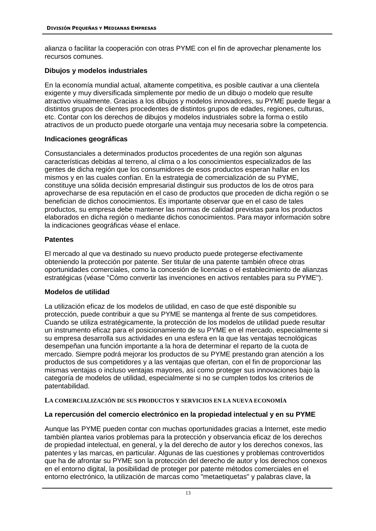<span id="page-12-0"></span>alianza o facilitar la cooperación con otras PYME con el fin de apresar provechar plenamente los recursos comunes.

### **Dibujos y modelos industriales**

En la economía mundial actual, altamente competitiva, es posible cautivar a una clientela exigente y muy diversificad a simplemente por medio de un dibujo o modelo que resulte atractivo visualmente. Gracias alos dibujos y modelos innovadores, su PYME puede llegara distintos grupos de clientes procedentes de distintos grupos de edades, regiones, culturas, etc. Contar con los derechos de dibujos y modelos industriales sobre la forma o e stilo atractivos de un producto puede otorgarle una ventaja muy necesarias obre la competencia.

### **Indicaciones geográficas**

Consustanciales a determinados productos procedentes de una región son algunas características debidas al terreno, al clima o alos con ocimientos especializados de las gentes de dicha región que los consumidores de esos productos esperan hallar en los mismosyenlascuales confían. En la estrategia de comercialización de su PYME,<br>constituye una sólida de cisión empresarial distinguirsus productos de los de otrospara constituye una sólida de cisión empresarial distinguir sus aprovecharse de esa reputación en el caso de productos que proceden de dicha región o se benefician de dichos conocimientos. Es importante observar que en el caso de tales productos, su empresa debe mantener las normas de cal idad previstas para los productos elaborados en dicha región o mediante dichos conocimientos. Para mayor información sobre la indicaciones geográficas véase el enlace.

### **Patentes**

El mercado al que va destinado su nuevo producto puede protegerse efectivamente obteniendo la protección por patente. Ser titular de una patente también ofrece otras oportunidades comerciales, como la concesión de licencias o el establecimiento de alianzas estratégicas (véase "Cómo convertir las invenciones en activos rentables para su PYME").

### **Modelos de utilidad**

Lautilización eficaz de los modelos de utilidad, en caso de que esté disponible su protección, puede contribuir a que su PYME se mantenga al frente de sus competidores. Cuando se utiliza estratégicamente, la protección de lo smodelos de utilidad puede resultar uninstrumento eficaz para el posicionamiento de su PYME en el mercado, especialmente si su empresa desarrolla sus actividades en una esfera en la que las ventajas tecnológicas desempeñan una función importante a la hor a de determinar el reparto de la cuota de mercado. Siempre podráme jorar los productos de su PYME prestando granatención a los productos de sus competidores y a las ventajas que ofertan, con el fin de proporcionar las mismas ventajas o incluso ventajas ma yores, así como proteger sus innovaciones bajo la categoría de modelos de utilidad, especialmente si no se cumplen todos los criterios de patentabilidad.

LA COMERCIALIZACIÓND ESUSPRODUCTOSYSE RVICIOSENLANUEVA ECONOMÍA

### **La repercusión del comercio elec trónico en la propiedad intelectual y en su PYME**

Aunque las PYME pueden contar con muchas oportunidades gracias a Internet, este medio también plante a varios problemas para la protección y observancia eficaz de los derechos de propiedad intelectual, en gen eral, y la del derecho de autor y los derechos conexos, las patentes y las marcas, en particular. Algunas de las cuestiones y problemas controvertidos que ha de afrontar su PYME son la protección del derecho de autor y los derechos conexos en el entorno di gital, la posibilidad de proteger por patente métodos comerciales en el entorno electrónico, la utilización de marcas como "meta etiquetas" y palabras clave, la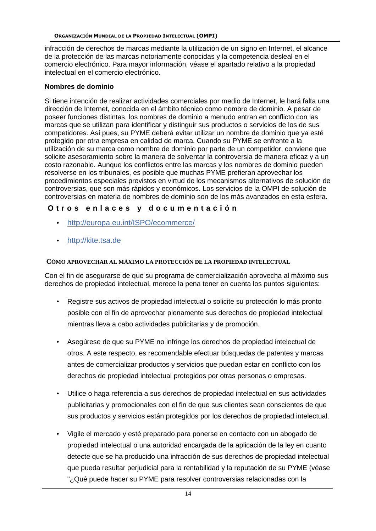<span id="page-13-0"></span>infracción de derechos de marcas mediante la utilización de un signo en Internet, el alcance de la protección de las marcas notoriamente conocidas y la competencia desleal en el comercio electrónico. Para mayor información, véase el apartado relativo a la propiedad intelectualenel comercio electrónico.

### **Nombres de dominio**

Sitiene intención de reali zar actividades comerciales por medio del niternet, le hará falta una dirección de Internet, conocida en el ámbito técnico como nombre de dominio. A pesar de poseer funciones distintas, los nombres de dominio a menudo entran en conflicto con las marcas que se utilizan para identificar v distinguir sus productos o servicios de los desus competidores. Así pues, su PYME deberá evitar utilizar un nombre de dominio que ya esté protegido por otra empresa en calidad de marca. Cuando su PYME se enfrente a la utilización de su marca como nombre de dominio por parte de un competidor, conviene que solicite asesoramiento sobre la manera de solventar la controversia de manera eficaz va un costo razonable. Aunque los conflictos entre las marcas y los nombres de dominio p ueden resolverse en los tribunales, esposible que muchas PYME prefieran aprovechar los procedimientos especiales previstos en virtud de los mecanismos alternativos de solución de controversias, que son más rápidos y económicos. Los servicios de la OMPI de solución de controversias en materia de nombres de dominio son de los más avanzados en esta esfera.

### **O t r o s e n l a c e s y d o c u m e n t a c i ó n**

- <http://europa.eu.int/ISPO/ecommerce/>
- [http://kite.tsa.de](http://kite.tsa.de/)

### **CÓMO APROVECHAR AL MÁ XIMO LA PROTECCIÓN D E LA PROPIEDAD INTEL ECTUAL**

Con el fin de asegurarse de que su programa de comercialización aprovecha al máximo sus de rechos de propiedad intelectual, me recela pena tener encuenta los puntos siguientes:

- Registre sus activos de propiedad intelectual os olicites uprotección lo más pronto posible con el fin de aprovechar plenamente sus derechos de propiedad intelectual mientras lleva a cabo actividades publicitarias y depromoción.
- Asegúresede que su PYME no infringe los derechos de propiedad intelectual de otros. A este respecto, es recomendable efectuar búsquedas de patentes y marcas antes de comercializar productos y servicios que puedan estar en conflicto con los derechos de propiedad intel ectual protegidos por otras personas o empresas.
- Utilice o haga referencia a sus derechos de propiedad intelectual en sus actividades publicitarias y promocionales con el fin de que sus clientes sean conscientes de que sus productos y servicios están prot egidos por los derechos de propiedad intelectual.
- Vigile el mercado y esté preparado para ponerse en contacto con un abogado de propiedad intelectual o una autoridad encargada de la aplicación de la ley encuanto detecte que se ha producido una infracción de sus de rechos de propiedad intelectual que pueda resultar per judicial para la rentabilidad y la reputación de su PYME (véase "¿Qué puede hacer su PYME para resolver controversias relacionadas con la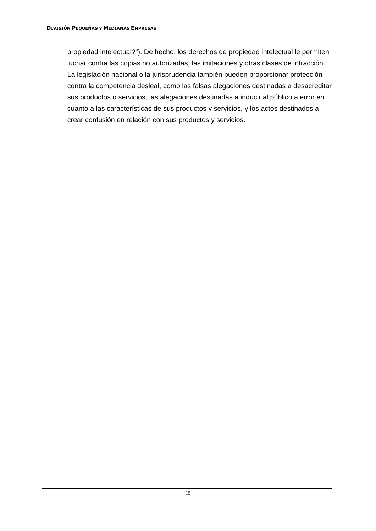propiedad intelectual?"). De hecho, los de rechos de propiedad intelectual le permiten luchar contra las copias no autorizadas, las imitaciones y otras clases de infracción. La legislación nacional o la jurisprudencia también pueden proporcionar protección contra la competencia desleal, como las falsas alegaci ones destinadas a desacreditar sus productos o servicios, las alegaciones destinadas a inducir al público a error en cuanto a las características de sus productos y servicios, y los actos destinados a crear confusión en relación con sus productos y servicios.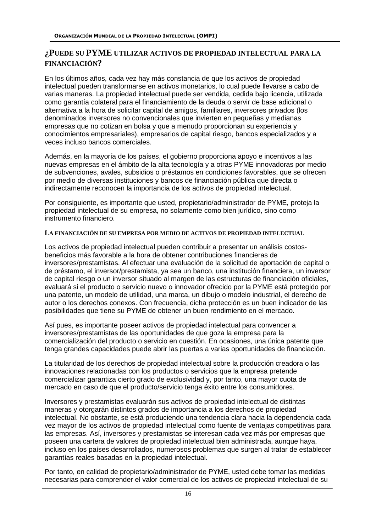### <span id="page-15-0"></span>**¿PUEDE SU PYME UTILIZAR ACTIVOS DE PROPIEDAD INTELECTU AL PARA LA FINANCIACIÓN?**

En los últimos años, cada vez hay más constancia de quelo sactivos de propiedad intelectual pueden transformarse en activos monetarios, lo cual puede llevarse a cabo de varias maneras. La propiedad intelectual puedes ervendida, cedida bajo licencia, utilizada como garantía colateral para el financiamiento de la deuda o servir de base adicional o alternativa a la hora de solicitar capital de amigos, familiares, inversores privados (los denominados inversores no convencional esque invierte nen pequeñas y medianas empresas que no cotizan en bolsa y que a menudo proporcionan su experiencia y conocimientos empresariales), empresarios de capital riesgo, bancos especializados y a veces incluso bancos comerciales.

Además, en la mayoría de los países, el gobierno proporciona apoyo e incentivos a las nuevas empresas en el ámbito de la alta tecnología y a otras PYME innovadoras por medio de subvenciones, avales, subsidios o préstamos encondiciones favorables, que se ofrecen por medio de diversas instituciones y bancos de financiación pública que directa o indirectamente reconocen la importancia de los activos de propiedad intelectual.

Por consiguiente, esimportante que usted, propiet ario/administrador de PYME, proteja la propiedad intelectual de su empresa, no solamente como bien jurídico, sino como instrumento financiero.

#### LA FINANCIACIÓN DESU EMPRESA POR MEDIOD E ACTIVOS DE PROPIED AD INTELECTUAL

Los activos de propiedad intelectual pueden contribuir a presentar un análisis costos beneficios más favorable a la hora de obtener contribuciones financieras de inversores/prestamistas. Alefectuar una evaluación de la solicitud de aportación de capital o de préstamo, el inversor/prestamista, ya sea un banco, una institución financiera, un inversor de capital riesgo o un inversor situado al margen de las estructuras de financiación oficiales, evaluará si el producto o servicio nuevo o innovador o frecido por la PYME está protegido por una pate nte, un modelo de utilidad, una marca, un dibujo o modelo industrial, el derecho de autor o los derechos conexos. Con frecuencia, dicha protección es un buen indicador de las posibilidades que tiene su PYME de obtener un buen rendimiento en el mercado.

Así pues, es importante poseer activos de propiedad intelectual para convencer a inversores/prestamistas de las oportunidades de que goza la empresa para la comercialización del producto o servicio en cuestión. En ocasiones, una única patente que tenga grande s capacidades puede abrir las puertas avarias oportunidades de financiación.

La titularidad de los derechos de propiedad intelectual sobre la producción creadora o las innovaciones relacionadas con los productos o servicios que la empresa pretende comercializar garantiza cierto grado de exclusividad y, por tanto, una mayor cuota de mercado en caso de que el producto/servicio tenga éxito entre los consumidores.

Inversores y prestamistas evaluarán sus activos de propiedad intelectual de distintas manerasyo torgarán distintos grados de importancia a los derechos de propiedad intelectual. No obstante, se está produciendo una tendencia clara hacia la dependencia cada vez mayor de los activos de propiedad intelectual como fuente de ventajas competitivas para las empresas. Así, inversores y prestamistas se interes an cada vez más por empresas que poseen una cartera de valores de propiedad intelectual bien administrada, aunque haya, incluso en los países desarrollados, numeros os problemas que surgen altratar de est ablecer garantías reales basadas en la propiedad intelectual.

Portanto, en calidad de propietario/administrador de PYME, usted debe to mar las medidas necesarias para comprender el valor comercial de los activos de propiedad intelectual de su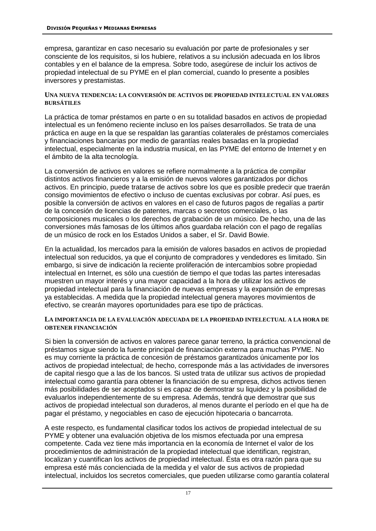<span id="page-16-0"></span>empresa, gara ntizar en caso necesario su evaluación por parte de profesionales y ser consciente de los requisitos, si los hubiere, relativos a su inclusión adecuada en los libros contables y en el balance de la empresa. Sobretodo, as egúrese de incluir los activos de propiedad intelectual de su PYME en el plan comercial, cuando lo presente a posibles inversores y prestamistas.

#### **UNA NUEVA TENDENCIA : LA CONVERSIÓN DE AC TIVOS DE PROPIEDAD I NTELECTUAL EN VALORE S BURSÁTILES**

La práctica de tomar préstamos en parte o en su tota lidad basados en activos de propiedad intelectual es un fenómeno reciente incluso en los países desarrollados. Se trata de una práctica en auge en la que se respaldan las garantías colaterales de préstamos comerciales y financiaciones bancarias por medio d e garantías reales basadas en la propiedad intelectual, especialmente en la industria musical, en las PYME del entorno de Internet y en elámbito de la alta tecnología.

La conversión de activos en valores se refieren ormalmente a la práctica de compilar distintos activos financieros y ala emisión de nuevos valores garantizados por dichos activos. En principio, puede tratarse de activos sobre los que es posible predecir que traerán consigo movimientos de efectivo o incluso de cuentas exclusivas por cobrar. Así pues, es posible la conversión de activos en valores en el caso de futuros pagos de regalías a partir de la concesión de licencias de patentes, marcas o secretos comerciales, o las composiciones musicales o los derechos de grabación de un músico. De he cho, una de las conversiones más famosas de los últimos años guardaba relación con el pago de regalías de un músico de rock en los Estados Unidos a saber, el Sr. David Bowie.

En la actualidad, los mercados para la emisión de valores basados en activos de p ropiedad intelectual son reducidos, yaque el conjunto de compradores y vendedores es limitado. Sin embargo, si sirve de indicación la reciente proliferación de intercambios sobre propiedad intelectual en Internet, es sólo una cuestión de tiempo el que tod as las partes interes adas muestren un mayor interés y una mayor capacidad a la hora de utilizar los activos de propiedad intelectual para la financiación de nuevas empresas y la expansión de empresas ya establecidas. A medida que la propiedad intelectual q energ and proportion to sdeep variation of the state m efectivo, se crearán mayores oportunidades para ese tipo de prácticas.

#### LA IMPORTANCIA DE LA EVALUACIÓN ADECUADA DE LA PROPIEDAD INTE LECTUAL A LA HORA DE **OBTENER FINANCIACIÓN**

Sibien la conversión de activos en valores parece que na parte reno, la práctica convencional de préstamos sigue siendo la fuente principal de financiación externa para muchas PYME. No es muy corriente la práctica de concesión de préstamos garantizados únicamente por los activos de propiedad intelectual; de hec ho, corresponde más a las actividades de inversores de capital riesgo que a las de los bancos. Si usted trata de utilizar sus activos de propiedad intelectual como garantía para obtener la financiación de su empresa, dicho sactivos tienen más posibilidades de ser aceptados si escapaz de demostrar suliquidez y la posibilidad de evaluarlos independientemente de su empresa. Además, tendrá que demostrar que sus activos de propiedad intelectual son duraderos, al menos durante el período en el que ha de pagare l préstamo, y negociable sen caso de ejecución hipotecaria o bancarrota.

A este respecto, es fundamental clasificar todos los activos de propiedad intelectual de su PYME v obtener una evaluación objetiva de los mismos efectuada por una empresa competente. Cadavez tiene más importancia en la economía de Internet el valor de los procedimientos de administración de la propiedad intelectual que identifican, registran, localizan y cuantifican los activos de propiedad intelectual. Ésta es otra razón para que su empresa esté más concienciada de la medida y el valor de sus activos de propiedad intelectual, incluidos los secretos comerciales, que pueden utilizarse como garantía colateral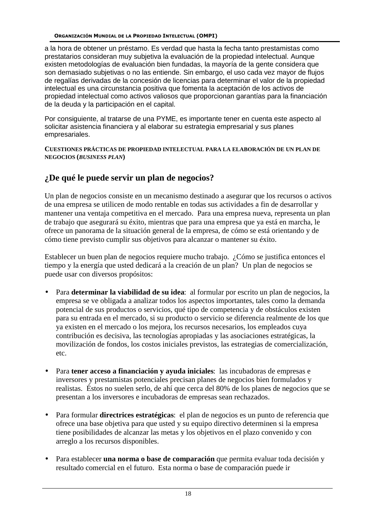<span id="page-17-0"></span>a la hora de obtener un préstamo. Es verdad que hasta la fecha tanto prestamist as como prestatarios consideran muy subjetiva la evaluación de la propiedad intelectual. Aunque existen metodologías de evaluación bien fundadas, la mayoría de la gente considera que son demasiado subietivas ono las entiende. Sin embargo, el uso cada vez mayor de flujos de regalías derivadas de la concesión de licencias para determinar el valor de la propiedad intelectual es una circunstancia positiva que fomenta la aceptación de los activos de propiedad intelectual como activos valiosos que proporcionan g arantías para la financiación de la deuda y la participación en el capital.

Por consiguiente, altratarse de una PYME, es importante tener en cuenta este aspecto al solicitar asistencia financiera y al elaborar su estrategia empresarial y sus planes empresariales.

**CUESTIONESPRÁCTICAS DEPROPIEDADINTELEC TUALPARALAELABORA CIÓNDEUNPLANDE**  $NEGOCIOS (BUSINES SPLAN)$ 

### **¿De qué le puede servir un plan de negocios?**

Un plan de negocios consiste en un mecanismo destinado a asegurar que los recursos o activos de una empresa se utilicende modorentable entodas sus actividades a finded esarrollar y mantener una ventaja competitiva en el mercado. Para una empresa nueva, representa un plan de trabajo que asegurará su éxito, mientras que para una empresa que ya es tá en marcha, le ofrece un panorama de la situación general de la empresa, de cómo se está orientando y de cómo tiene previsto cumplir sus objetivos para alcanzar o mantener suéxito.

Establecer un buen plan de negocios requiere mucho trabajo. ¿Cómo se j ustifica entonces el tiempo y la energía que usted de dicará a la creación de un plan? Un plan de negocios se puede usar condiversos propósitos:

- Para **determinar la viabilidad de suidea** : al formular por escrito un plande negocios, la empresa se ve obli gada a analizar todos los aspectos importantes, tales como la demanda potencial de sus productos o servicios, qué tipo de competencia y de obstáculos existen para su entrada en el mercado, si su producto o servicio se diferencia realmente del o sque ya exi sten en el mercado o los mejora, los recursos necesarios, los empleados cuya contribución es decisiva, las tecnologías apropiadas y las asociaciones estratégicas, la movilización de fondos, los costos iniciales previstos, las estrategias de comercializació n, etc.
- Para **tener acceso a financiación y ayuda iniciales** : las incubadoras de empresas e inversores y prestamistas potenciales precisan planes de negocios bien formulados y realistas. Éstos no suelen serlo, de ahíque cerca del 80% de los planes de negocios que se presentan a los inversores e incubadoras de empresas sean rechazados.
- Paraformular **directrices estratégicas** : el plande negocios es un punto de referencia que ofrece una base objetiva para que usted y su equipo directivo determinen si la em presa tiene posibilidades de alcanzar las metas y los objetivos en el plazo convenido y con arreglo alos recursos disponibles.
- Para establecer **una norma o base de comparación** que permita evaluar toda decisión y resultado comercial en el futuro. Esta nor ma o base de comparación puede ir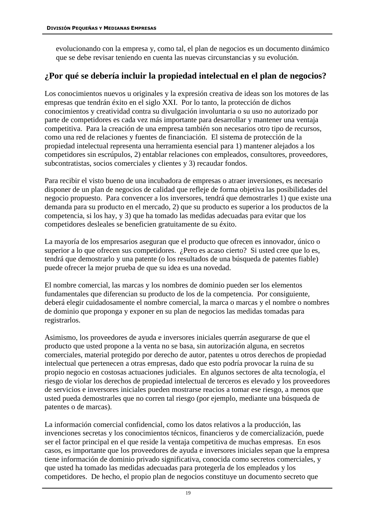evolucionando con la empresa y, como tal, el plan de negocios es un documento dinámico que se deberevisar teniendo en cuental as nuevas circunstancias y su evolución.

### **¿Por qué se debería incluir la propiedad intelectual en el plan de negocios?**

Los conocimientos nuevos u originales y la expresión creativa de ideas son los motores de las empresas que tendrán éxito en el siglo XXI. Por lo tanto, la protección de dichos conocimientos y creatividad contra su divulgación invo luntaria o su uso no autorizado por parte de competidores es cadavez más importante para desarrollar y mantener una ventaja competitiva. Para la creación de una empresa también son necesarios otro tipo de recursos, como una red de relaciones y fuentes de financiación. El sistema de protección de la propiedad intelectual representa una herramienta esencial para 1) mantener alejados alos competidores sines crúpulos, 2) entablar relaciones con empleados, consultores, proveedores, subcontratistas, socios co merciales y clientes y 3) recaudar fondos.

Para recibir el visto bueno de una incubadora de empresas o atraer inversiones, es necesario disponer de un plan de negocios de calidad que refleje de forma objetiva las posibilidades de l negocio propuesto. Para convencer a los inversores, tendrá que demostrarles 1) que existe una demanda para su producto en el mercado, 2) que su producto es superior a los productos de la competencia, si los hay, y 3) que ha tomado las medidas adecuadas para evitar que los competidores des leales se beneficien gratuitamente de suéxito.

La mayoría de los empresarios aseguran que el producto que ofrecen es innovador, único o superioralo que ofrecen sus competidores. ¿Pero es acaso cierto? Si usted cree que lo es, tendrá que dem ostrarlo y una patente (o los resultados de una búsqueda de patentes fiable) puede ofrecer la mejor prueba de que su idea es una novedad.

El nombre comercial, las marcas y los nombres de dominio pueden ser los elementos fundamentales que diferencian su pr oducto de los de la competencia. Por consiguiente, deberá elegir cuidados amente el nombre comercial, la marca o marcas y el nombre o nombres de dominio que proponga y exponer en su plan de negocios las medidas tomadas para registrarlos.

Asimismo, los pro veedores de ayuda e inversores iniciales que rrán asegurarse de que el producto que usted propone a la venta no se basa, sin autorización alguna, en secretos comerciales, material protegido por derecho de autor, patentes u otros derechos de propiedad intelectual que pertenecen a otras empresas, dado que esto podría provocar la ruina de su propio negocio en costosas actuaciones judiciales. En algunos sectores de alta tecnología, el riesgo de violar los derechos de propiedad intelectual de terceros es elevado y los proveedores deservicios e inversores iniciales pueden mostrarse reacios a tomar ese riesgo, amenos que usted pueda demostrarles que no corrental riesgo (por ejemplo, mediante una búsqueda de patentes o de marcas).

La información comercial confid encial, como los datos relativos a la producción, las invenciones secretas y los conocimientos técnicos, financieros y de comercialización, puede ser el factor principal en el que reside la ventaja competitiva de muchas empresas. En esos casos, esimporta nte que los proveedores de ayuda e inversores iniciales sepan que la empresa tiene información de dominio privado significativa, conocida como secretos comerciales, y que usted ha tomado las medidas adecuadas para proteger la de los empleados y los competidores. De hecho, el propio plan de negocios constituye un documento secreto que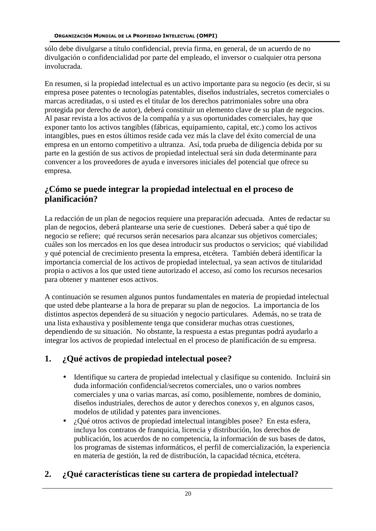sólo debe divulgarse a título confidencial, previa firma, en general, de un acuerdo de no divulgación o confidencialidad por parte del empleado, el inversor o cualquier otra per rsona involucrada.

En resumen, si la propiedad intelectual es un activo importante para su negocio (es decir, si su empresa posee patentes o tecnologías patentables, diseños industriales, secretos comerciales o marcas acreditadas, o si usted es el titular de los derechos patrimoniales sobre una obra protegida por derecho de autor), deberá constituir un elemento clave de su plan de negocios. Al pasar revista a los activos de la compañía y asus oportunidades comerciales, hay que exponertanto los activos t angibles (fábricas, equipamiento, capital, etc.) como los activos intangibles, pues en estos últimos reside cada vez más la clave de léxito comercial de una empresa en un entorno competitivo aultranza. Así, toda prueba de diligencia debida por su partee n la gestión de sus activos de propiedad intelectual será sin duda determinante para convencer alos proveedores de ayuda e inversores iniciales del potencial que ofrece su empresa.

### **¿Cómo se puede integrar la propiedad intelectual en el proceso de planificación?**

La redacción de un plan de negocios requiere una preparación adecuada. Antes de redactar su plan de negocios, de berá plantearse una serie de cuestiones. De berás aber a qué tipo de negocio se refiere; qué recursos serán necesarios para alcanzar sus objetivos comerciales; cuáles son los mercados en los que desea introducir sus productos o servicios; qué viabilidad y qué potencial de crecimiento presenta la empresa, etcétera. También deberá identificar la importancia comercial de los activos de propiedad intelectual, ya sean activos de titularidad propia o activos alos que usted tiene autorizado el acceso, así como los recursos necesarios para obtener y mantener esos activos.

A continuación se resumen algunos puntos fundamentales en materia de propiedad intelectual que usted debe plantearse a la hora de preparar su plan de negocios. La importancia de los distintos aspectos dependerá de su situación y negocio particulares. Además, no se trata de una lista exhaustiva y posiblemente tenga que con siderar muchas otras cuestiones, dependiendo de su situación. No obstante, la respuesta a estas preguntas podrá ayudarlo a integrar los activos de propiedad intelectual en el proceso de planificación de su empresa.

## 1. *¿Quéactivos de propiedad intelectua* lposee?

- Identifique sucartera de propiedad intelectual y clasifique su contenido. Incluirá sin duda información confidencial/secretos comerciales, uno o varios nombres comerciales y una ovarias marcas, así como, posiblemente, nombres de dominio, diseños industriales, derechos de autory derechos conexos y, en algunos casos, modelos de utilidad v patentes para invenciones.
- $i$ , Qué otros activos de propiedad intelectual intangibles posee? En esta esfera, incluya los contratos de franquicia, licencia y distintatividades ribución, los derechos de publicación, los acuerdos de no competencia, la información de sus bases de datos, los programas de sistemas informáticos, el perfil de comercialización, la experiencia en materia de gestión, la red de distribución, la capacidad tecnica, etcétera.

## **2. ¿Qué características tiene su cartera de propiedad intelectual?**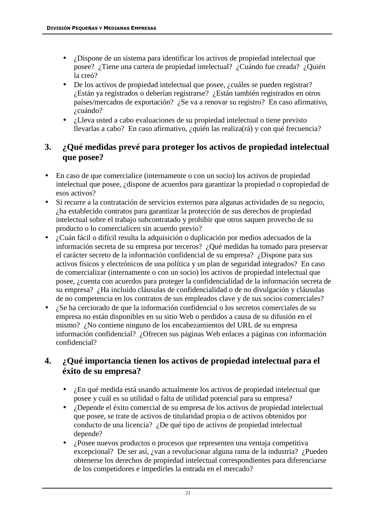- ¿Dispone de un sistema para identificar los activos de propiedad intelectual que posee?¿Tiene una cartera de propiedad intelectual? ¿Cuándo fue creada? ¿Quién lacre ó?
- De los activos de propiedad intelectual que posee, ¿cuáles se pueden registrar? ¿Están ya registrados o deberían registrarse? ¿Están también registrados en otros países/mercados de exportación? ¿Se va a renovar su registro? En caso a firmativo, ¿cuándo?
- ¿Lleva usted a cabo evaluaciones de su propiedad intelectual o tiene previsto llevarlas a cabo? En caso a firmativo, ¿quién las realiza(rá) y con qué frecuencia?

### **3. ¿Qué medidas prevé para proteger los activos de propiedad intelectual que posee?**

- Enc asodeque comercialice (internamente o conunsocio) los activos de propiedad intelectual que posee, *i* dispone de acuerdos para garantizar la propiedad o copropiedad de esos activos?
- Si recurre ala contratación de servicios externos para algunas actividad es de su negocio, ¿ha establecido contratos para garantizar la protección de sus derechos de propiedad intelectual sobreel trabajo subcontratado y prohibir que otros saquen provecho de su productoolocomercialicensinacuerdoprevio?
- ¿Cuán fácil o difíc il resulta la adquisición o duplicación por medios adecuados de la información secreta de su empresa por terceros? ¿Qué medidas ha tomado para preservar el carácter secreto de la información confidencial de su empresa? ¿Dispone para sus activos físicos y electrónicos de una política y un plande seguridad integrados? En caso de comercializar (internamente o conunsocio) los activos de propiedad intelectual que posee, ¿cuenta con acuerdos para proteger la confidencialidad de la información secreta de su empresa?¿Haincluido cláusulas de confidencialidad o de no divulgación y cláusulas de no competencia en los contratos de sus empleados clave y de sus socios comerciales?
- *i* Se ha cerciorado de que la información confidencial o los secretos comerciales des una universidad e se un empresano están disponibles en su sitio Web o perdidos a causa de su difusión en el mismo?¿NocontieneningunodelosencabezamientosdelURLdesuempresa información confidencial? ¿Ofrecen sus páginas Web en la cesa páginas con información confidencial?

### **4. ¿Qué importancia tienen los activos de propiedad intelectual para el éxito de su empresa?**

- ¿En qué medida está usando actualmente los activos de propiedad intelectual que posee y cuál es su utilidad o falta de utilidad potencial para su empresa?
- ¿Depende el éxito comercial de su empresa de los activos de propiedad intelectual que posee, se trate de activos de titularidad propia o de activos obtenidos por conducto de una licencia? ¿De qué tipo de activos de propiedad intelectual depende?
- ¿Poseenue vosproductos o procesos que representen una ventaja competitiva  $excepcional?$  Deserasí,  $i$  van a revolucionar alguna rama de la industria?  $i$  Pueden obtenerse los derechos de propiedad intelectual correspondientes para diferenciarse de los competidores e i mpedirles la entrada en el mercado?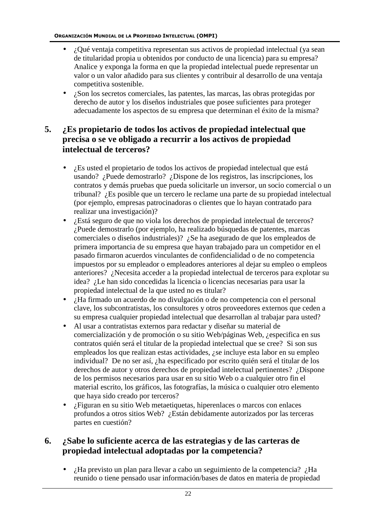- ¿Qué ventaja competitiva representan sus activos de propiedad intelectual (ya sean de titularidad propia u obtenidos por conducto de una licencia) para su empresa? Analice vexpongala forma en que la propiedad intelect ual puede representar un valor o un valor añadido para sus clientes y contribuir al desarrollo de una ventaja competitivasostenible.
- ¿Son los secretos comerciales, las patentes, las marcas, las obras protegidas por derecho de autory los diseños industria les que pos esuficientes para proteger adecuadamente los aspectos de su empresa que determinan el éxito de la misma?

### **5. ¿Es propietario de todos los activos de propiedad intelectual que precisa o se ve obligado a recurrir a los activos de propiedad**   $intelectual detectors?$

- ¿Es usted el propietario de todos los activos de propiedad intelectual que está usando?; Puede demostrarlo?; Dispone de los registros, las inscripciones, los contratos y demás pruebas que pueda solicitarle un inversor, un socio comer cial o un tribunal? ¿Esposible que un tercero le reclame una parte de supropiedad intelectual (por ejemplo, empresas patrocinadoras o clientes que lo hayan contratado para realizar una investigación)?
- *i* Está seguro de que no viola los derechos de propied adintelectual de terceros? ¿Puede demostrarlo (por ejemplo, ha realizado búsquedas de patentes, marcas comerciales o diseños industriales)? ¿Se ha asegurado de que los empleados de primera importancia de su empresa que hayan trabajado para un competidor en el pasado firmaron acuerdos vinculantes de confidencialidad o de no competencia impuestos por su empleador o empleadores anteriores al dejar su empleo o empleos anteriores? ¿Necesita acceder a la propiedad intelectual de terceros para explotars u idea?¿Le han sido concedidas la licencia o licencias necesarias para usar la propiedad intelectual de laqueusted no estitular?
- ¿Ha firmado un acuerdo de no divulgación o de no competencia con el personal clave, los subcontratistas, los consultores y otros proveedores externos que ceden a su empresa cualquier propiedad intelectual que desarrollan al trabajar para usted?
- Alusara contratistas externos para redactary diseñar su material de comercialización y de promoción o su sitio Web/páginas Web, ¿especif ica en sus contratos quién será el titular de la propiedad intelectual que se cree? Si son sus empleados los que realizan estas actividades, ¿se incluye esta labor en su empleo individual? Denoserasí, ¿ha especificado por escrito quién será el titular de los derechos de autory otros derechos de propiedad intelectual pertinentes? ¿Dispone de los permisos necesarios para usar en su sitio Web o acualquier otro fine l material escrito, los gráficos, las fotografías, la música o cualquier otro elemento que hayasido creado por terceros?
- $i$ Figuran en su sitio Web metaetiquetas, hiperenlaces o marcos con enlaces profundos a otros sitios Web? ¿Están debidamente autorizados por las terceras partes encuestión?

### **6.** *¿Sabelosuficiente acerca de las estrategias* **vde las carteras de propiedad intelectual adoptadas por la competencia?**

• ¿Ha previsto un plan para llevar a cabo un seguimiento de la competencia? ¿Ha reunidootienepensadousarinformación/basesdedatosenmateriadepropiedad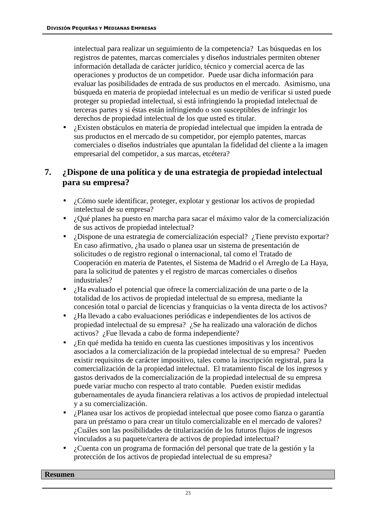intelectual para reali zar un seguimiento de la competencia? Las búsquedas en los registros de patentes, marcas comerciales y diseños industriales permiten obtener información detallada de carácter jurídico, técnico y comercial acerca de las operaciones y productos de un compet idor. Puede usar dicha información para evaluarlas posibilidades de entradades us productos en el mercado. Asimismo, una búsqueda en materia de propiedad intelectual es un medio deverificar si usted puede proteger supropiedad intelectual, si está inf ringiendo la propiedad intelectual de terceras partes y si éstas están infringiendo o son susceptibles de infringir los derechos de propiedad intelectual de los que usted estitular.

• ¿Existen obstáculos en materia de propiedad intelectual que impiden la en trada de sus productos en el mercado de su competidor, por ejemplo patentes, marcas comerciales o diseños industriales que apuntalan la fidelidad del cliente a la imagen empresarial del competidor, a sus marcas, etcétera?

### **7.** *¿Disponedeunapolíticayde* una estrategia de propiedad intelectual **para su empresa?**

- ¿Cómo sueleidentificar, proteger, explotary gestionar los activos de propiedad intelectual desuempresa?
- ¿Qué planes ha puesto en marcha para sacar el máximo valor de la comercialización desusa ctivos de propiedad intelectual?
- ¿Dispone de una estrategia de comercialización especial? ¿Tiene previsto exportar? Encaso afirmativo, ¿ha usado o planea usar un sistema de presentación de solicitudes o de registro regional o internacional, tal como el Tratado de Cooperación en materia de Patentes, el Sistema de Madrido el Arreglo de La Haya, para la solicitud de patentes y el registro de marcas comerciales o diseños industriales?
- $i$ : Haevaluado el potencial que ofrece la comercialización de una parte o de la totalidad de los activos de propiedad intelectual de su empresa, mediante la concesión total o parcial de licencias y franquicias o la venta directa de los activos?
- ¿Ha llevado a cabo evaluaciones periódicas e independientes de los activos de propiedad intelectual de su empresa? ¿Se ha realizado una valoración de dichos activos?¿Fuellevadaacabodeformaindependiente?
- ¿En qué medida ha tenido en cuenta las cuestiones impositivas y los incentivos asociados a la comercialización de la propiedad int electual de su empresa? Pueden existir requisitos de carácter impositivo, tales como la inscripción registral, para la comercialización de la propiedad intelectual. El tratamiento fiscal de los ingresos y gastos derivados de la comercialización de la propiedad intelectual de su empresa puede variar mucho con respecto al trato contable. Pueden existir medidas gubernamentales de ayuda financiera relativas a los activos de propiedad intelectual y a su comercialización.
- $i$ Planeausar los activos de propiedad intelectual que posee como fianza o garantía para un préstamo o para crear un título comercializable en el mercado de valores? ¿Cuáles son las posibilidades de titularización de los futuros flujos de ingresos vinculados a supaquete/cartera de activos de propiedad intelectual?
- ¿Cuenta con un programa de formación del personal que trate de la gestión y la protección de los activos de propiedad intelectual de su empresa?

#### **Resumen**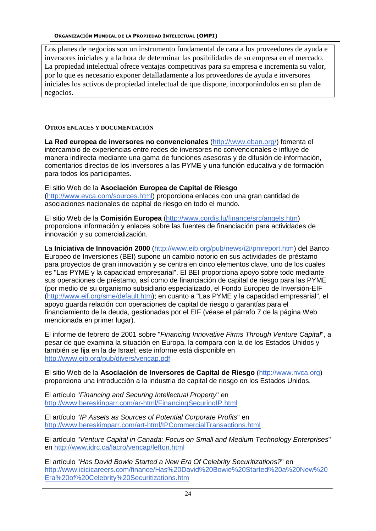<span id="page-23-0"></span>Los planes de negocios son un instrumento fundamental de cara a los proveedores sole ayuda e inversores iniciales y a la hora de determinar las posibilidades de su empresa en el mercado. La propiedad intelectual of receventajas competitivas para suempresa e incrementa suvalor, por lo que es necesario exponer detalladamente a los pr oveedores de ayuda e inversores iniciales los activos de propiedad intelectual de que dispone, incorporándolos en su plan de negocios.

#### **OTROS ENLACES Y DOCUM ENTACIÓN**

La Red europea de inversores no convencionales (<http://www.eban.org/>) fomentael intercambio de experiencias entrered es de inversores no convencionales e influyed e manera indirecta mediante una gama de funciones asesoras y de difusión de información, comentarios directos de los inversores a las PYME y un a función educativa y de formación paratodos los participantes.

El sitio Web de la **Asociación Europea de Capital de Riesgo** [\(http://www.evca.com/sources.html\)](http://www.evca.com/sources.html)proporcionaenlacesconunagrancantidadde asociaciones nacionales de capital de riesgo en todo el mundo.

El sitio Web de la **Comisión Europea** ([http://www.cordis.lu/finance/src/angels.htm\)](http://www.cordis.lu/finance/src/angels.htm) proporciona información y enlaces sobre las fuentes de financiación para actividades de innovación y su comercialización.

La **Iniciativade Innovación 2000** ( [http://www.eib.org/pub/news/i2i/pmreport.htm\)](http://www.eib.org/pub/news/i2i/pmreport.htm) del Banco Europeo de Inversiones (BEI) supone u no notoro inconsus actividades de préstamo para proyectos de gran innovación y se centra en cinco elementos clave, uno del os cuales es "Las PYME y la capacidad empresarial". El BEI proporciona apoyo sobre todo mediante sus operaciones de préstamo, as í como de financiación de capital de riesgo para las PYME (por medio de su organismo subsidiario especializado, el Fondo Europeo del nversión - FEIF [\(http://www.eif.org/sme/default.htm\)](http://www.eif.org/sme/default.htm); encuanto a "Las PYME yla capacidad empresarial", el apoyo guarda relación con operaciones de capital de riesgo o garantías para el financiamiento de la deuda, gestionadas por el EIF (véase el párrafo  $\overline{7}$  de la página Web mencionada en primer lugar).

Elinformede febrerode 2001 sobre" Financing Innovative Firms Through Venture Capital ", a pesar de que examina la situación en Europa, la compara con la delos Estados Unidos y también se fija en la dels rael; este informe está disponible en <http://www.eib.org/pub/divers/vencap.pdf>

El sitio Web de la **Asociación de Inversores de Capital de Riesgo** ( [http://www.nvca.org](http://www.nvca.org/)) proporciona una introducción a la industria de capital de riesgo en los Es tados Unidos.

Elartículo" *Financing and Securing Intellectual Property* "en <http://www.bereskinparr.com/ar-html/FinancingSecuringIP.html>

Elartículo" IP Assets as Sources of Poten tial Corporate Profits " en [http://www.bereskimparr.com/art-html/IPCommercialTransactions.html](http://www.bereskinparr.com/art-html/IPCommercialTransactions.html)

Elartículo" Venture Capital in Canada: Focus on Small and Medium Technology En terprises" en [http://www.idrc.ca/lacro/vencap/lefton.html](http://www.idr.ca/lacro/vencap/lefton.html)

Elartículo" Has David Bowie Started a New Era Of Celebrity Securitizations? " en [http://www.icicicareers.com/finance/Has%20David%20Bowie%20Started%20a%20New%20](http://www.icicicareers.com/finance/Has David Bowie Started a New Era of Celebrity Securitizations.htm) [Era%20of%20Celebrity%20Securitizations.htm](http://www.icicicareers.com/finance/Has David Bowie Started a New Era of Celebrity Securitizations.htm)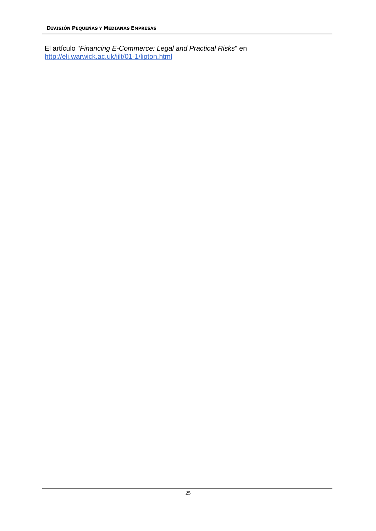Elartículo" FinancingE-Commerce: Legaland Practical R isks" en [http://elj.warwick.ac.uk/jilt/01-1/lipton.html](http://elj.warwick.acuk/jilt/01-1/lipton.html)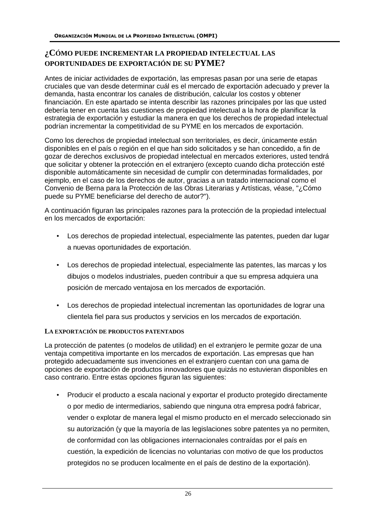### <span id="page-25-0"></span>**¿CÓMO PUEDE INCREMENTA R LA PROPIEDAD INTEL ECTUAL LAS OPORTUNIDADESDEEXP ORTACIÓNDESU PYME?**

Antes de iniciar actividades de exportación , las empresas pasan por una serie de etapas cruciales que van desde determinar cuál es el mercado de exportación adecuado y prever la demanda, hasta encontrar los canales de distribución, calcular los costos y obtener financiación. En este apartado se intentades cribir las razones principales por las que usted debería tener en cuenta las cuestiones de propiedad intelectual a la hora de planificar la estrategia de exportación y estudiar la manera en que los derechos de propiedad intelectual podrían incremen tar la competitividad de su PYME en los mercados de exportación.

Comolos de rechos de propiedad intelectual son territoriales, es decir, únicamente están disponibles en el país o región en el que han sido solicitados y se han concedido, a fin de gozar de d erechos exclusivos de propiedad intelectual en mercados exteriores, usted tendrá que solicitar y obtener la protección en el extranjero (excepto cuando dicha protección esté disponible automáticamente sinne cesidad de cumplir condeterminadas formalidades, por ejemplo, en el caso de los derechos de autor, gracias a un tratado internacional como el Convenio de Berna para la Protección de las Obras Literarias y Artísticas, véase, "¿Cómo puede su PYME beneficiarse del derecho de autor?").

A continuación figura n las principales razones para la protección de la propiedad intelectual en los mercados de exportación:

- Los de rechos de propiedad intelectual, especialmente las patentes, pued en darlugar anuevas oportunidades de exportación.
- Los de rechos de propiedad intelectual, especialmente las patentes, las marcas y los dibujos o modelos industriales, pueden contribuir a que su empresa adquiera una posición de mercado ventajos a en los mercados de exportación.
- Losderechos de propiedad intelectual incrementan las op ortunidades de lograruna clientela fiel para sus productos y servicios en los mercados de exportación.

### LA EXPORTACIÓN DE PRO **DUCTOS PATENTADOS**

La protección de patentes (o modelos de utilidad) en el extranjero le permite gozar de una ventaja competitiva i mportante en los mercados de exportación. Las empresas que han protegido adecuadamente sus invenciones en el extranjero cuentan con una gama de opciones de exportación de productos innovadores que quizás no estuvieran disponibles en caso contrario. Entree stas opciones figuran las siguientes:

Producir el producto a escala nacional vexportar el producto protegido directamente o por medio de intermediarios, sabiendo que ninguna otra empresa podrá fabricar, vender o explotar de maneralegal el mismo producto en el mercado seleccionado sin su autorización (y que la mayoría de las legislaciones sobre patentes y ano permiten, de conformidad con las obligaciones internacionales contraídas por el país en cuestión, la expedición de licencias no voluntarias con motivo de que los productos protegidos no se producen localmente en el país de destino de la exportación).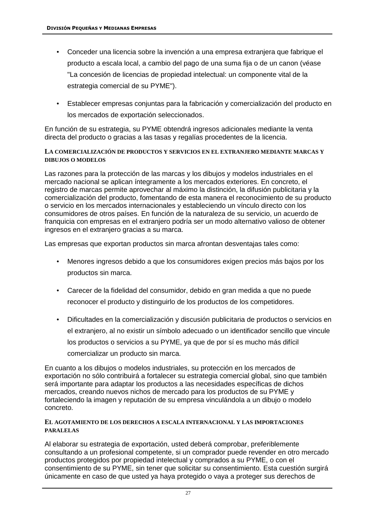- <span id="page-26-0"></span>Conceder una licencia sobre la invención a una empresa extranjera que fabrique el producto a escala local, a cambio del pago de una suma fija o de un can on (véase "La concesión de licencias de propiedad intelectual: un componente vital de la estrategia comercial de su PYME").
- Establecer empresas conjuntas para la fabricación y comercialización del producto en los mercados de exportación seleccionados.

En función de su estrategia, su PYME obtendrá ingresos adicionales mediante la venta directa del producto o gracias a las tasas y regalías procedentes de la licencia.

#### LA COMERCIALIZACIÓN DE PRODUCTOS Y SERVIC IOS EN EL EXTRANJERO MEDIANTE MARCAS Y **DIBUJOS O M ODELOS**

Las razones para la protección de las marcas y los dibujos y modelos industriales en el mercadonacional se aplican íntegramente a los mercados exteriores. En concreto, el registro de marcas permite aprovechar al máximo la distinción, la difusión pu blicitaria y la publicitaria y l comercialización del producto, fomentando de esta manera el reconocimiento de su producto o servicio en los mercados internacionales y estableciendo un vínculo directo con los consumidores de otros países. En función de la naturaleza de su servicio, un acuerdo de franquicia con empresas en el extranjero podría ser un modo alternativo valios o de obtener ingresos en el extranjero gracias a sumarca.

Las empresas que exportan productos sin marca afrontan desventajas tales como:

- Menores ingresos debido a que los consumidores exigen precios más bajos por los productos sin marca.
- Carecer de la fidelidad del consumidor, debido en gran medida a que no puede reconocer el producto v distinguir lo de los productos de los competidores.
- Dificultades en l a comercialización y discusión publicitaria de productos o servicios en el extranjero, al no existir un símbolo adecuado o unidentificador sencillo que vincule los productos o servicios a su PYME, ya que deporsí es mucho más difícil comercializar un pro ducto sin marca.

Encuanto a los dibujos o modelos industriales, su protección en los mercados de exportación no sólo contribuirá a fortale cer su estrategia comercial global, sino que también será importante para adaptar los productos a las necesidades es es pecíficas de dichos mercados, creando nuevos nichos de mercado para los productos de su PYME y fortaleciendo la imagen y reputación de su empresa vinculándo la a un dibujo o modelo concreto.

#### **EL AGOTAMIENTO DE LOS DERECHOS A ESCALA I NTERNACIONAL Y LAS I MPORTACIONES PARALELAS**

Alelaborar su estrategia de exportación, usted deberá comprobar, preferiblemente consultando a un profesional competente, si un comprador puede revender en otro mercado productos protegidos por propiedad intelectual y comprados a su PYME , o con el consentimiento de su PYME, sin tener que solicitar su consentimiento. Esta cuestión surgirá únicamente en caso de que usted ya haya protegido o vaya a proteger sus derechos de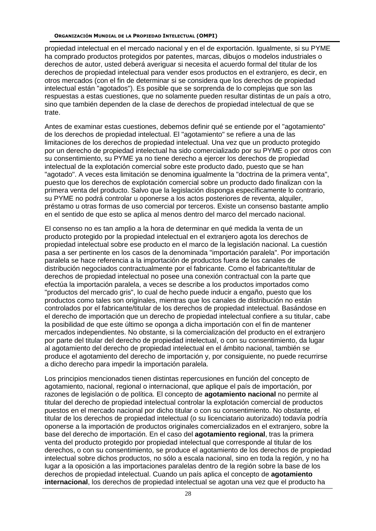propiedad intelectual en el mercado nacional y en el de exportación. Igualmente, si su PYME ha comprado productos protegidos por patentes, marcas, dibujos o modelos industriales o derechos de autor, usted de berá averiguar si necesita el acuerdo formal del titular de los derechos de propiedad intelectual para vender esos productos en el extranjero, es decir, en otros mercados (con el fin de determinar si se considera que los derechos de propiedad intelectual están "agotados"). Es posible que se sorprenda de lo complejas que son las respuestas a estas cuestiones, que no solame nte pueden resultar distintas de un país a otro, sino que también de penden de la clase de derechos de propiedad intelectual de que se trate.

Antes de examinar estas cuestiones, debemos definir qué se entiende por el "agotamiento" de los derechos de propied ad intelectual. El "agotamiento" se refiere a una delas limitaciones de los de rechos de propiedad intelectual. Una vez que un producto protegido por un derecho de propiedad intelectual ha sido comercializado por su PYME o por otros con su consentimiento, su PYME ya no tiene derecho a ejercer los derechos depropiedad intelectual de la explotación comercial sobre este producto dado, puesto que se han "agotado". A veces esta limitación se denomina igualmente la "doctrina de la primera venta", puesto que los derechos de explotación comercial sobre un producto dado finalizan con la primera venta del producto. Salvo que la legislación disponga específicamente lo contrario, su PYME no podrácontrolar u oponerse a los actos posteriores de reventa, alquiler, préstamo u otras formas de uso comercial porterceros. Existe un consenso bastante amplio en el sentido de que esto se aplica al menos dentro del marco del mercado nacional.

El consenso no estan amplio a la hora de determinar en qué medida la venta de un producto protegido por la propiedad intelectual en el extranjero agota los derechos de propiedad intelectual sobre ese producto en el marco de la legislación nacional. La cuestión pasa a ser pertinente en los casos de la denominada "importación paralela". Por im portación por tación paralela se hace referencia a la importación de productos fuera de los canales de distribución negociados contractualmente por el fabricante. Como el fabricante/titular de derechos de propiedad intelectual no posee una conexión contractual con la parte que efectúa la importación paralela, a veces se describe a los productos importados como "productos del mercado gris", lo cual de hecho puede inducir a engaño, puesto que los productos como tales son originales, mientras que los canales de distribuc ión no están controlados por el fabricante/titular de los derechos de propiedad intelectual. Basándose en el derecho de importación que un derecho de propiedad intelectual confiere a su titular, cabe la posibilidad de que este último se oponga a dicha impo rtación con el fin de mantener mercados independientes. No obstante, si la comercialización del producto en el extranjero por parte del titular del derecho de propiedad intelectual, o consuconsentimiento, dalugar al agotamiento del derecho de propiedad intelectual en el ámbito nacional, también se produce el agotamiento del derecho de importación y, por consiguiente, no puede recurrirse a dicho de recho para impedir la importación paralela.

Los principios mencionados tienen distintas repercusiones en func ión del concepto de agotamiento, nacional, regional o internacional, que aplique el país de importación, por razones de legislación o depolítica. El concepto de **agotamiento nacional** no permite al titular del derecho de propiedad intelectual controlar la e xplotación comercial de productos puestos en el mercado nacional por dicho titular o consucon sentimiento. No obstante, el titular de los derechos de propiedad intelectual (o su licenciatario autorizado) todavía podría oponerse a la importación de product os originales comercializados en el extranjero, sobre la base del derecho de importación. En el caso del **agotamiento regional** , tras la primera venta del producto protegido por propiedad intelectual que corresponde al titular de los derechos, o consu conse ntimiento, se produce el agotamiento del os derechos de propiedad intelectual sobre dichos productos, no sólo a escala nacional, sino entoda la región, y no ha lugar a la oposición a la simportaciones paralelas dentro de la región sobre la base de los derechos de propiedad intelectual. Cuando un país aplica el concepto de **agotamiento internacional**, los derechos de propiedad intelectual seagotan una vez que el producto ha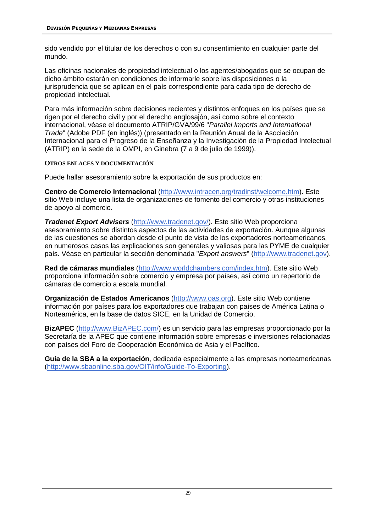<span id="page-28-0"></span>sido vendido por el titular de los derechos o consu con sentimiento en cualquier part e del mundo.

Las oficinas nacionales de propiedad intelectual o los agentes/abogados que se ocupande dicho ámbito estarán en condiciones de informar les obrelas disposiciones o la jurisprudencia que se aplican en el país correspondiente para cada tipo de derecho de propiedad intelectual.

Para más información sobre decisiones recientes y distintos enfoques en los países que se rigen por el derecho civil y por el derecho anglosajón, así como sobre el contexto internacional, véase el documento ATRIP/GVA/99/6 "Parallel Imports and International Trade" (Adobe PDF (en inglés)) (presentado en la Reunión Anual de la Asociación Internacional para el Progreso de la Enseñanza y la Investigación de la Propieda dIntelectual (ATRIP) en la sede de la OMPI, en Ginebra (7 a 90 - 90 de julio de 1999)).

#### **OTROS ENLACES Y DOCUM ENTACIÓN**

Puede hallar as esoramiento sobre la exportación de sus productos en:

**CentrodeComercioInternacional** ( [http://www.intracen.org/tradinst/welcome.htm\)](http://www.intracen.org/tradinst/welcome.htm). Este sitio Web incluve una lista de organizaciones de fomento del comercio votras instituciones de apovo al comercio.

**Tradenet Export Advisers** ([http://www.tradenet.gov/\)](http://www.tradenet.gov/). Este sitio Web proporciona asesoramiento sobre distintos aspectos de las actividades de exportación. Aunque algunas de las cuestiones se abordandes de el punto de vista de los exportadores norteamericanos, en numerosos casos la sexplicaciones son generales y valios as para las PYME de cualqui erecun país. Véase en particular la sección denominada" Export answers " ( [http://www.tradenet.gov\)](http://www.tradenet.gov/).

**Reddecámaras mundiales** ( [http://www.worldchambers.com/index.htm\)](http://www.worldchambers.com/index.htm). Este sitio Web proporciona información sobre comercio y empresa por países, así como un repertorio de cámaras de comercio a escala mundial.

**Organización de Estados Americanos** ( [http://www.oas.org](http://www.oas.org/)). Este sitio Web contiene información por países para los exportadores que trabajan con países de América Latina o Norteamérica, en la base de datos SICE, en la Unidad de Comercio.

**BizAPEC** [\(http://www.BizAPEC.com/\)](http://www.bizapec.com/) es un servicio para las em presas proporcionado por la Secretaría de la APEC que contiene información sobre empresas e inversiones relacionadas con países del Foro de Cooperación Económica de Asia y el Pacífico.

**Guía de la SBA a la exportación** , dedicada especialmente a las empresas norteamericanas [\(http://www.sbaonline.sba.gov/OIT/info/Guide-To-Exporting](http://www.sbaonline.sba.gov/OIT/info/Guide-To-Exporting)).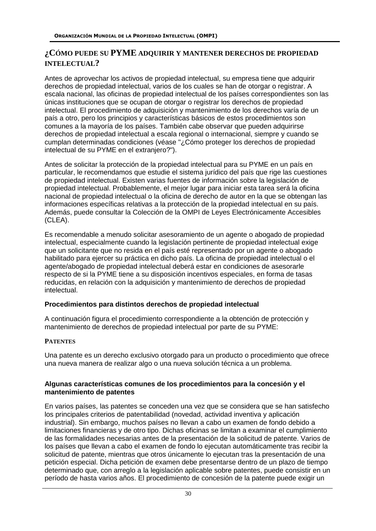### <span id="page-29-0"></span>**¿CÓMO PUEDE SU PYME ADQUIRIR Y MANTENER DERECHOS DE PROPIED AD INTELECTUAL?**

Antes de aprovechar los activ os de propiedad intelectual, su empresatione que adquirir derechos de propiedad intelectual, varios de los cuales se han de otorgar oregistrar. A escala nacional, las oficinas de propiedad intelectual de los países correspondientes son las únicas institu ciones que se ocupan de otorgar o registrar los derechos de propiedad intelectual. El procedimiento de adquisición y mantenimiento del os derechos varía de un país a otro, pero los principios y características básicos de estos procedimientos son comunes a la mayoría de los países. También cabe observar que pueden adquirirse derechos de propiedad intelectual a escala regional o internacional, siempre y cuando se cumplan determinadas condiciones (véase" ¿Cómo proteger los derechos de propiedad intelectualde suPYME en elextranjero?").

Antes de solicitar la protección de la propieda dintelectual para su PYME en un país en particular, le recomendamos que estudie el sistema jurídico del país que rige las cuestiones de propiedad intelectual. Existen varias fuent es de información sobre la legislación de propiedad intelectual. Probablemente, el mejor lugar para iniciar esta tarea será la oficina nacional de propiedad intelectual o la oficina de derecho de autor en la que se obtengan las informaciones específicas re lativas a la protección de la propieda dintelectual en supaís. Además, puede consultar la Colección de la OMPI de Leyes Electrónicamente Accesibles (CLEA).

Es recomendable a menudo solicitar as espramiento de una gente o abogado de propiedad intelectual, e specialmente cuando la legislación pertinente de propiedad intelectual exige que un solicitante que no resida en el país esté representado por un agente o abogado habilitado para ejercer su práctica en dicho país. La oficina de propieda dintelectual o el agente/abogado de propiedad intelectual deberá estar en condiciones de asesorarle respecto de si la PYME tiene a su disposición incentivos especiales, en forma de tasas reducidas, en relación con la adquisición y mantenimiento de derechos de propiedad intelectual.

### **Procedimientos para distintos derechos de propiedad intelectual**

A continuación figura el procedimiento correspondiente a la obtención de protección y mantenimiento de derechos de propiedad intelectual por parte de su PYME:

#### **PATENTES**

Una patente es u n derecho exclusivo otorgado para un producto o procedimiento que ofrece una nueva manera de realizar algo o una nueva solución técnica a un problema.

#### **Algunas características comunes de los procedimientos para la concesión y el mantenimiento de patentes**

En varios países, las patentes se conceden una vez que se considera que se han satisfecho los principales criterios de patentabilidad (novedad, actividad inventiva y aplicación industrial). Sinembargo, muchos países no llevan a cabo un examende fondo debi do a limitaciones financieras y de otro tipo. Dichas oficinas se limitan a examinar el cumplimiento de las formalidades necesarias antes de la presentación de la solicitud de patente. Varios de los países que llevan a cabo el examende fondo lo ejecutan au tomáticamente tras recibir la solicitud de patente, mientras que otros únicamente lo ejecutant ras la presentación de una petición especial. Dicha petición de examen debe presentarse dentro de un plazo de tiempo determinado que, con arreglo a la legislació naplicable sobre patentes, puede consistir en un período de hasta varios años. El procedimiento de concesión de la patente puede exigir un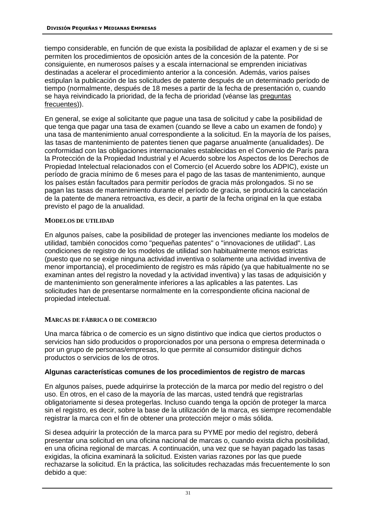<span id="page-30-0"></span>tiempo considerable, en función de que exista la posibilidad de aplazar el exameny desise permiten los procedimie ntos de oposición antes de la concesión de la patente. Por consiguiente, en numerosos países y a escala internacional se emprenden iniciativas destinada sa acelerar el procedimiento anterior a la concesión. A demás, varios países estipulan la publicación de las solicitudes de patente después de un determinado período de tiempo (normalmente, después de 18 meses a partir de la fecha de presentación o, cuando se haya reivindicado la prioridad, de la fecha de prioridad (véanse las preguntas frecuentes)).

En gene ral, se exige al solicitante que pague una tasa de solicitud y cabe la posibilidad de que tenga que pagar una tasa de examen (cuando selle ve a cabo un examen de fondo) y una tasa de mantenimiento anual correspondiente a la solicitud. En la mayoría de los países, las tasas de mantenimiento de patentes tienen que pagarse anualmente (anualidades). De conformidad con las obligaciones internacionales establecidas en el Convenio de París para la Protección de la Propieda dindustrial y el Acuerdo sobre los Aspect os de los Derechos de Propiedad Intelectual relacionados con el Comercio (el Acuerdo sobre los ADPIC), existe un período de gracia mínimo de 6meses para el pago de las tasas de mantenimiento, aunque los países están facultados para permitir períodos de grandes prolongados. Sino se pagan las tasas de mantenimiento durante el período de gracia, se producirá la cancelación de la patente de manera retroactiva, es decir, a partir de la fecha original en la que estaba previsto el pago de la anualidad.

### **MODELOSDEUTILIDAD**

En algunos países, cabe la posibilidad de proteger las invenciones mediante los modelos de utilidad, también conocidos como "pequeñas patentes" o "innovaciones de utilidad". Las condiciones de registro de los modelos de utilidads on habitualm ente menos estrictas (puesto que no se exige ninguna actividad inventiva o solamente una actividad inventiva de menor importancia), el procedimiento de registro es más rápido (ya que habitualmente no se examinan antes del registro la novedad y la actividad inventiva) y las tasas de adquisición y de mantenimiento son generalmente inferiores a las aplicables a las patentes. Las solicitudes han de presentarse normalmente en la correspondiente oficina nacional de propiedad intelectual.

### **MARCASDEFÁBRICAOD EC OMERCIO**

Una marca fábrica o de comercio es un signo distintivo que indica que ciertos productos o servicios han sido producidos o proporcionados por una persona o empresa determinada o por un grupo de personas/empresas, lo que permite al consumidor disting uir dichos productos o servicios de los de otros.

### **Algunas características comunes de los procedimientos de registro de marcas**

En algunos países, puede adquirir se la protección de la marca por medio del registro o del uso. En otros, en el caso de la mayoría de las marcas, usted tendrá que registrar las obligatoriamente si desea protegerlas. Incluso cuando tenga la opción de proteger la marca sin el registro, es decir, sobre la base de la utilización de la marca, es siempre recomendable registrar la marca con el fin de obtener una protección mejor o más sólida.

Sidesea adquirir la protección de la marca para su PYME por medio del registro, deberá presentar una solicitud en una oficina nacional de marcaso, cuando exista dicha posibilidad, en una oficina region al de marcas. A continuación, una vez que se hayan pagado las tasas exigidas, la oficina examinará la solicitud. Existen varias razones por las que puede rechazarse la solicitud. En la práctica, las solicitudes rechazadas más frecuentemente lo son debidoa que: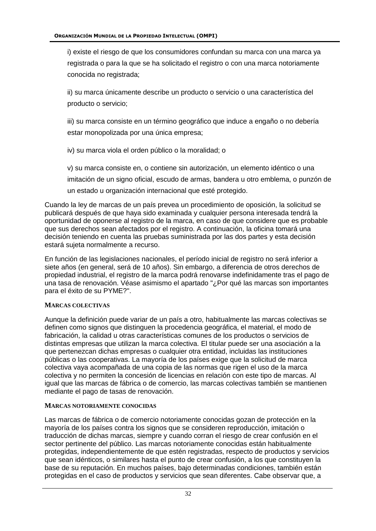<span id="page-31-0"></span>i) existe el riesgo de que los consumidores confundan su marca con una marca y a registrada o para la que se ha solicitado el registro o con una marca notoriamente conocidanoregistrada;

ii) su marca únicamente describe un producto o servicio o una contra aracterística del productooservicio;

iii) su marca consiste en un término qeográfico que induce a engaño o no debería estar monopolizada por una única empresa;

iv) su marca viola el orden público o la moralidad; o

v) su marca consiste en, o contiene sin autorización, un elemento idéntico o una imitación de un signo oficial, escudo de armas, bandera u otro emblema, o punzón de un estado u organización internacional que esté protegido.

Cuando la ley de marcas de un país prevea un procedimiento de oposición, la solicitud se publicará después de que haya sido examinada y cualquier persona interesada tendrá la oportunidad de oponerse al registro de la marca, en caso de que considere que es probable que sus derechos sean afectados por el registro. A continuación , la oficina tomará una decisión teniendo en cuenta las pruebas suministrada por las dos partes y esta decisión estará sujeta normalmente a recurso.

Enfunción de las legislaciones nacionales, el período inicial de registro no será inferiora siete años (e n general, seráde 10 años). Sin embargo, a diferencia de otros derechos de propiedad industrial, el registro de la marca podrá renovarse indefinidamente tras el pago de una tasa de renovación. Véase asimismo el apartado" ¿Porqué las marcas son importante s para el éxito de su PYME?".

#### **MARCASCOLECTIVAS**

Aunque la definición puede variar de un país a otro, habitualmente las marcas colectivas se definen como signos que distinguen la procedencia geográfica, el material, el modo de fabricación, la calidad u otra scaracterísticas comunes de los productos os ervicios de distintas empresas que utilizan la marca colectiva. El titular puedes erunas sociación a la que pertenezcan dichas empresas o cualquier otra entidad, incluidas las instituciones públicas o las coop erativas. La mayoría de los países exige que la solicitud de marca colectiva vaya acompañada de una copia de las normas que rigen el uso de la marca colectiva y no permiten la concesión de licencias en relación con este tipo de marcas. Al igual que las mar cas de fábrica o de comercio, las marcas colectivas también se mantienen mediante el pago de tasas de renovación.

#### **MARCASNOTORIAMENTEC ONOCIDAS**

Las marcas de fábrica o de comercion o toriamente conocidas gozan de protección en la mayoría de los países contr a los signos que se consideren reproducción, imitación o traducción de dichas marcas, siempre y cuando corran el riesgo de crear confusión en el sector pertinente del público. Las marcas notoriamente conocidas están habitualmente protegidas, independientem ente de que estén registradas, respecto de productos y servicios que sean idénticos, o similares hasta el punto de crear confusión, a los que constituyen la base de su reputación. En muchos países, bajo determinadas condiciones, también están protegidas en el caso de producto sy servicios que sean diferentes. Cabe observar que, a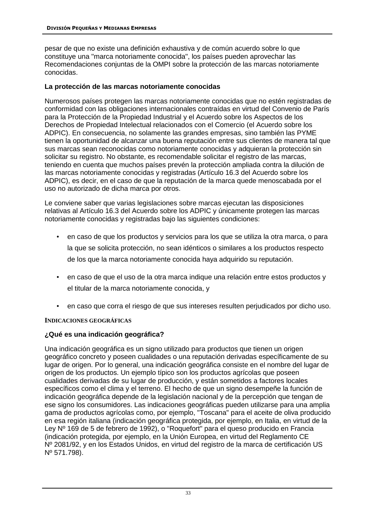<span id="page-32-0"></span>pesar de que no existe una definición exhaustiva y de común acuerdo sobre lo que constituye una "marca notoriamente conocida", los países puede na provechar las Recomendaciones conj untas de la OMPI sobre la protección de las marcas notoriamente conocidas.

### **La protección de las marcas notoriamente conocidas**

Numerosos países protegen las marcas notoriamente conocidas que no estén registradas de conformidad con las obligaciones internaci onales contraídas en virtud del Convenio de París para la Protección de la Propieda dindustrial vel Acuerdo sobre los Aspectos de los Derechos de Propiedad Intelectual relacionados con el Comercio (el Acuerdo sobre los ADPIC). Enconsecuencia, no solament elas grandes empresas, sino también las PYME tienen la oportunidad de alcanzar una buena reputación entre sus clientes de manera talque sus marcas sean reconocidas como notoriamente conocidas y adquieran la protección sin solicitar suregistro. No obstan te, es recomendable solicitar el registro de las marcas, teniendo en cuenta que muchos países prevén la protección ampliada contra la dilución de las marcas notoriamente conocidas y registradas (Artículo 16.3 del Acuerdo sobre los ADPIC), es de cir, en el c aso de que la reputación de la marca que de menos cabada por el uso no autorizado de dicha marca por otros.

Le conviene saber que varias legislaciones sobre marcas ejecutan las disposiciones relativas al Artículo 16.3 del Acuerdo sobre los ADPIC vúnicamente protegen las marcas notoriamente conocidas y registradas bajo las siguientes condiciones:

- encaso de que los productos y servicios para los que se utiliza la otra marca, o para la que se solicita protección, no se anidénticos o similar es alos productos repecto de los que la marca notoriamente conocida haya adquirido su reputación.
- encaso de que el uso de la otra marca indique una relación entre estos productos y eltitular de la marca notoriamente conocida, y
- en caso que corra el riesgo de que sus int eres resulten per judicados por dicho uso.

**INDICACIONES GEOGRÁFI CAS**

### **¿Qué es una indicación geográfica?**

Una indicación geográfica es un signo utilizado para productos que tienen un origen geográfico concreto y poseen cualidades o una reputación derivadas específicamente de su lugar de origen. Por lo general, una indicación geográfica consiste en el nombre del lugar de origen de los productos. Un ejemplo típico son los productos agrícolas que poseen cualidades derivadas de su lugar de producción, y están so metidos a factores locales específicos como el clima y el terreno. El hecho de que un signo desempeñe la función de indicación geográfica depende de la legislación nacional y de la percepción que tengan de ese signo los consumidores. Las indicaciones geographicas pueden utilizarse para una amplia gama de productos agrícolas como, por ejemplo, "Toscana" para el aceite de oliva producido en esa región italiana (indicación geográfica protegida, por ejemplo, en Italia, en virtud de la Ley Nº 169 de 5 de febrero de 1992), o "Roque fort" para el que so producido en Francia (indicación protegida, por ejemplo, en la Unión Europea, en virtud del Reglamento CE Nº 2081/92, y en los Estados Unidos, en virtud del registro de la marca de certificación US Nº 571.798).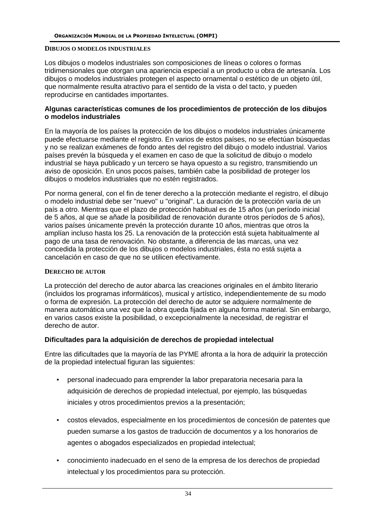#### <span id="page-33-0"></span>**DIBUJOS O MODELOS INDUSTRIA LES**

Los dibujos o modelos industriales son composiciones de líneas o colores o formas tridimensionales que otorgan una apariencia especial a un producto u obra de artesanía. Los dibujos o modelos industriales protegene las pecto ornamen tal o estético de un objeto útil, que normalmente resulta atractivo para el sentido de la vista o del tacto, y pueden reproducirse en cantidades importantes.

#### **Algunas características comunes de los procedimientos de protección de los dibujos o modelos indu striales**

En la mayoría de los países la protección de los dibujos o modelos industriales únicamente puede efectuarse mediante el registro. En varios de estos países, no se efectúan búsquedas y no se realizan exámenes de fondo antes del registro del dibujo o modelo industrial. Varios países prevén la búsqueda y el examen en caso de que la solicitud de dibujo o modelo industrial se haya publicado y un tercero se haya opuesto a suregistro, transmitiendo un aviso de oposición. En unos pocos países, también cab el aposibilidad de proteger los dibujos o modelos industriales que no estén registrados.

Por norma general, con el fin de tener de recho a la protección mediante el registro, el dibujo o modelo industrial debeser "nuevo" u "original". La duración de la promodelo invaría de un país a otro. Mientras que el plazo de protección habitual es de  $15$ años (un período inicial de 5 años, al que se añade la posibilidad de renovación durante otros períodos de 5 años), varios países únicamente prevén la protección durant e 10 años, mientras que otros la amplían incluso hasta los 25. La renovación de la protección está sujeta habitualmente al pago de una tasa de renovación. No obstante, a diferencia de las marcas, una vez concedida la protección de los dibujos o modelos ind ustriales, ésta no está sujeta a cancelación en caso de que no se utilicen efectivamente.

#### **DERECHODEAUTOR**

La protección del derecho de autora barca las creaciones originales en el ámbito literario (incluidos los programas informáticos), musical y artístic o, independientemente de su modo o forma de expresión. La protección del derecho de autor se adquiere normalmente de manera automática una vez que la obra queda fijada en alguna forma material. Sin embargo, en varios casos existe la posibilidad, o excepcio nalmente la necesidad, de registrar el derechodeautor.

#### **Dificultades para la adquisición de derechos de propiedad intelectual**

Entre las dificultades que la mayoría de las PYME afronta a la hora de adquirir la protección de la propiedad intelectual figuran las siguientes:

- personal inadecuado para emprender la labor preparatoria necesaria para la adquisición de derechos de propiedad intelectual, por ejemplo, las búsquedas iniciales y otros procedimientos previos a la presentación;
- costos elevados, especialm ente en los procedimientos de concesión de patentes que pueden sumarse a los gastos de traducción de documentos y a los honorarios de agentes o abogados especializados en propiedad intelectual;
- conocimiento inadecuado en el seno de la empresa de los derec hos de propiedad intelectual y los procedimientos para su protección.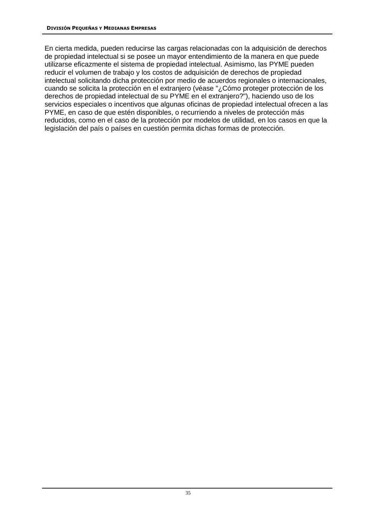En cierta medida, pueden reducirse las cargas relacionadas con la adquisición de derechos de propiedad intelectual sise pose eun may or entendimiento de la manera enque puede utilizarse eficazmente el sistema de propiedad intelectual. Asimismo, las PYME pueden reducir el volumen de trabajo y los costos de adquisición de derechos de propiedad intelectual solicitando dicha protección por medio de acuerdos regionales o internacionales, cuando se solicita la protección en el extranjero (véase"; Cómo proteger protección de los derechos de propiedad intelectual de su PYME en el extranjero?"), haciendo uso de los servicios especiales o incentivos que algunas oficinas de propiedad intelectual of recenal as PYME, en caso de que estén disponibles, o recurriendo a niveles de protección más reducidos, como en el caso de la protección por modelos de utilidad, en los casos en que la legislación del país o países en cuestión permita dichas formas de proportedades de producidades de proporteda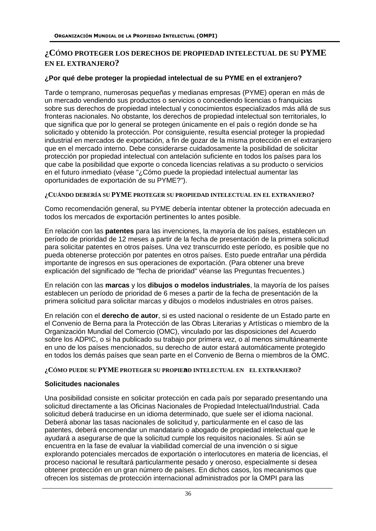### <span id="page-35-0"></span>**¿CÓMO PROTEGER LOS DER ECHOS DE PROPIEDAD I NTELECTUAL DE SU PYME EN EL EXTRANJERO ?**

### **¿Por qué debe proteger la propiedad intelectual de su PYME en el extranjero?**

Tardeotemprano, numerosas pequeñas y medianas empresas (PYME) operan en más de un mer cado vendiendo sus productos o servicios o concediendo licencias o franquicias sobre sus derechos de propiedad intelectual y conocimientos especializados más allá de sus fronteras nacionales. No obstante, los derechos de propiedad intelectual son territori ales, lo que significa que por lo general se protegen únicamente en el país o región donde se ha solicitado y obtenido la protección. Por consiguiente, resulta esencial proteger la propiedad industrial en mercados de exportación, a fin de gozar de la misma protección en el extranjero que en el mercado interno. Debe considerarse cuidadosamente la posibilidad de solicitar protección por propiedad intelectual con antelación suficiente en todos los países para los que cabe la posibilidad que exporte o conceda l icencias relativas a su producto o servicios en el futuro inmediato (véase"¿Cómo puede la propiedad intelectual aumentar las oportunidades de exportación de su PYME?").

#### **¿CUÁNDO DEBERÍA SU PYME PROTEGER SU PROPIED AD INTELECTUAL EN EL EXTRANJERO ?**

Comorecom endación general, su PYME debería intentar obtener la protección adecuada en todos los mercados de exportación pertinentes lo antes posible.

En relación con las **patentes** para las invenciones, la mayoría de los países, establecen un período de prioridad de 12 meses a partir de la fecha de presentación de la primera solicitud para solicitar patentes en otros países. Una vez transcurrido este período, esposible que no pueda obtenerse protección por patentes en otros países. Esto puede entrañar una pérdida importante de ingresos en sus operaciones de exportación. (Para obtener una breve explicación del significado de "fecha de prioridad" véanse las Preguntas frecuentes.)

En relación con las **marcas** y los **dibujos o modelos industriales** , la mayoría de los países establecen un período de prioridad de 6 meses a partir de la fecha de presentación de la primera solicitud para solicitar marcas y dibujos o modelos industriales en otros países.

Enrelación con el **derecho de autor** , si es usted nacional or esidente de un Es tado parte en el Convenio de Berna para la Protección de las Obras Literarias y Artísticas o miembro de la Organización Mundial del Comercio (OMC), vinculado por las disposiciones del Acuerdo sobre los ADPIC, o si ha publicado su trabajo por primera vez, o al menos simultáneamente en uno de los países mencionados, su derecho de autor estará automáticamente protegido en todos los demás países que sean parte en el Convenio de Berna o miembros de la OMC.

### **¿CÓMO PUEDE SU PYME PROTEGER SU PROPIEDAD INTELECTUAL EN EL EXTRANJERO ?**

### **Solicitudes nacionales**

Una posibilidad consiste en solicitar protección en cada país por separado presentando una solicitud directamente a las Oficinas Nacionales de Propiedad Intelectual/Industrial. Cada solicitud deberá traducirse en uni dioma determinado, que suele ser el idiomanacional. Deberá abonar las tasas nacionales de solicitud y, particularmente en el caso de las patentes, deberá encomendar un mandatario o abogado de propiedad intelectual que le ayudará a a segurar sede que la sol icitud cumple los requisitos nacionales. Si aún se encuentra en la fase de evaluar la viabilidad comercial de una invención o sisique explorando potenciales mercados de exportación o interlocutores en materia de licencias, el proceso nacional le resultará particularmente pesado y oneroso, especialmente si desea obtener protección en un gran número de países. En dichos casos, los mecanismos que ofrecen los sistemas de protección internacional administrados por la OMPI para las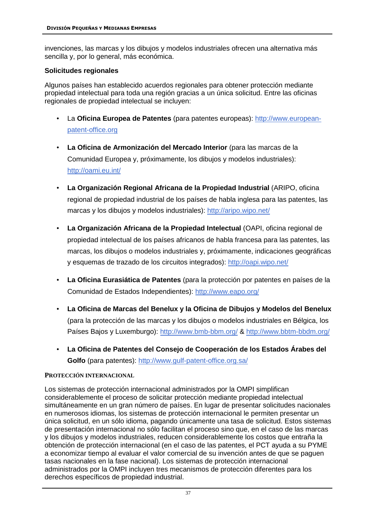invenciones, las marcas y los dibujos y modelos industriales of recenuna alternativamás sencillay, por logeneral, más económica.

### **Solicitudes regionales**

Algunos países han establecido acuerdos regionales para obtener protección mediante propiedad intelectual para toda una región grac ias a un única solicitud. Entre las oficinas regionales de propiedad intelectual seincluyen:

- La **Oficina Europeade Patentes** (para patente seuropeas): [http://www.european](http://www.european-patent-office.org/)[patent-office.org](http://www.european-patent-office.org/)
- **La Oficina de Armonización del Mercado Interior** (para las marcas de la Comunidad Europeay, próximamente, los dibujos y modelos industriales): <http://oami.eu.int/>
- **La Organización Regional Africana de la Propiedad Industrial** (ARIPO, oficina regional de propiedad industrial de los países de habla inglesa para las patentes, las marcas y los dibujos y modelos industriales): <http://aripo.wipo.net/>
- **La Organización Africana de la Propieda dintelectua lí OAPI, oficina regional de** propiedad intelectual de los países africanos de habla francesa para las patentes, las marcas, los dibujos o modelos industriales y, próximamente, indicaciones geográficas yesquemas de trazado de los circuitos integrados): <http://oapi.wipo.net/>
- **La Oficina Eurasiática de Patentes** (para la protección por patentes en países de la Comunidad de Estados Independientes): <http://www.eapo.org/>
- **La Oficina de Mar cas del Benelux y la Oficina de Dibujos y Modelos del Benelux** (para la protección de las marcas y los dibujos o modelos industriales en Bélgica, los Países Bajosy Luxemburgo): <http://www.bmb-bbm.org/>& <http://www.bbtm-bbdm.org/>
- **La Oficina de Patentes del Consejo de Cooperación de los Estados Árabes del Golfo** (parapatentes): <http://www.gulf-patent-office.org.sa/>

### PROTECCIÓN INTERNACIONAL

Lossistemas de protección internacional administrados por la OMPI simplifican considerablemente el proceso de solicitar protección mediante propiedad intelectual simultáneamente en un gran número de países. En lugar de presentar solicitud es nacionales en numerosos idiomas, los sistemas de protección internacional le permiten presentar un única solicitud, en un sólo idioma, pagando únicamente una tasa de solicitud. Estos sistemas de presentación internacional no sólo facilitan el proceso si no que, en el caso de las marcas y los dibujos y modelos industriales, reducen considerablemente los costos que entraña la obtención de protección internacional (en el caso de las patentes, el PCT ayuda a su PYME a economizar tiempo al evaluar el valor com ercial de su invención antes de que se paquen tas as nacionales en la fase nacional). Los sistemas de protección internacional administrados por la OMPI incluvent res mecanismos de protección diferentes para los derechos específicos de propiedad industrial.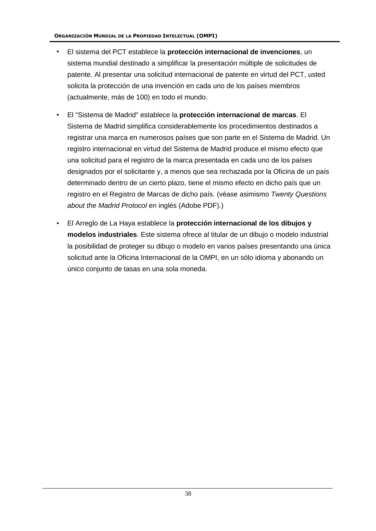- El sistema del PCT establece la **protección internacional de invenciones** , un sistema mundial destinado a simplificar la presentación múltiple des olicitudes de patente. Alpresentar una solicitud internacional depatente en virtud del PCT, usted solicital aprotección de una invención en cada uno del os países miembros (actualmente, más de 100) entodo el mundo.
- El "Sistema de Madrid" establece la **protección internacional de marcas** . El Sistema de Madrid simplifica considerablemente los procedimientos desti nados a registrar una marca en numeros os países que son parte en el Sistema de Madrid. Un registro internacional en virtud del Sistema de Madrid produce el mismo efecto que una solicitud para el registro de la marca presentada en cada uno de los países designados por el solicitante y, a menos que sea rechazada por la Oficina de un país determinado dentro de un cierto plazo, tiene el mismo efecto en dicho país que un registro en el Registro de Marcas de dicho país. (véase asimismo Twenty Questions about the Madrid Protocol eninglés (Adobe PDF).)
	- ElArreglodeLa Haya establecela protección internacional de los dibujos y modelos industriales . Este sistema ofrece altitular de un dibujo omodelo industrial la posibilidad de proteger su dibujo o modelo en var ios países presentando una única solicitud ante la Oficina Internacional de la OMPI, en un sólo idiomay abonando un único conjunto de tasas en una solamo neda.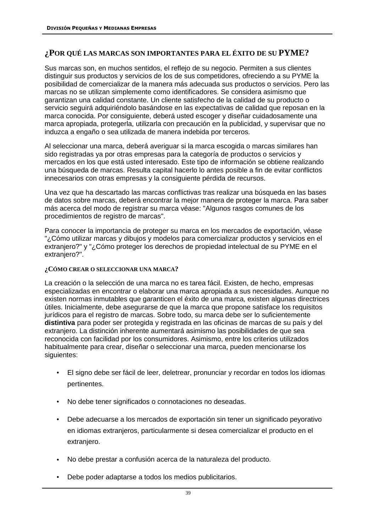# **¿POR QUÉ LAS MARCAS SO N IMPORTANTES PARA E L ÉXITO DE SU PYME?**

Susmarcasson, en muchos senti dos, el reflejo de su negocio. Permiten a sus clientes distinguir sus productos y servicios de los de sus competidores, of reciendo a su PYME la posibilidad de comercializar de la manera más a decuada sus productos o servicios. Pero las marcas no seutilizan simplemente como identificadores. Se considera asimismo que garantizan una calidad constante. Un cliente satisfecho de la calidad de su producto o servicio seguirá adquiriéndo lo basándo segulas expectativas de calidad que reposan en la marca conocida. Po r consiguiente, deberá usted escoger v diseñar cuidados amente una marca apropiada, protegerla, utilizarla con precaución en la publicidad, y supervisar que no induzca a engaño o sea utilizada de manera indebida por terceros.

Alseleccionar una marca, deber á averiguar sila marca escogida o marcas similares han sido registradas ya por otras empresas para la categoría de productos o servicios y mercados en los que está usted interesado. Este tipo de información se obtiene realizando una búsqueda de marcas. Re sulta capital hacerlo lo antes posible a fin de evitar conflictos innecesarios con otras empresas y la consiguiente pérdida de recursos.

Una vez que ha descartado las marcas conflictivas tras realizar una búsqueda en las bases de datos sobre marcas, deberá encontrar la mejor manera de proteger la marca. Para saber más acerca del modo de registrar su marca véase: "Algunos rasgos comunes de los procedimientos de registro de marcas".

Para conocer la importancia de proteger su marca en los mercados de exportaci ón, véase "¿Cómo utilizar marcas y dibujos y modelos para comercializar productos y servicios en el extranjero?" y" ¿Cómo proteger los derechos de propiedad intelectual de su PYME en el extranjero?".

### **¿CÓMO CREAR O SELECCIO NAR UNA MARCA ?**

La creación o la se lección de una marca no esta reafácil. Existen, de hecho, empresas especializadas en encontrar o elaborar una marca apropiada a sus necesidades. Aunque no existen normas inmutables que garanticen el éxito de una marca, existen algunas directrices útiles. Inicialmente, debeasegurarse de que la marca que propone satisface los requisitos jurídicos para el registro de marcas. Sobre todo, su marca debe ser lo suficientemente distintiva para poder ser protegida y registrada en las oficinas de marcas de superior vertext de la protegida y d extraniero. La distinción inherente aumentará asimismo las posibilidades de que sea reconocida con facilidad por los consumidores. Asimismo, entre los criterios utilizados habitualmente para crear, diseñar o seleccionar una marca, pueden mencionar se los siguientes:

- Elsignodebeserfácildeleer, deletrear, pronunciar y recordar entodos los idiomas pertinentes.
- Nodebetener significados o connotaciones nodeseadas.
- Debeadecuarse alos mercados de exportación sintener un significado peyorativo enidiomas extranjeros, particularmente si desea comercializar el producto en el extranjero.
- No debe prestar a confusión acerca de la naturaleza del producto.
- Debepoderadaptarseatodos los medios publicitarios.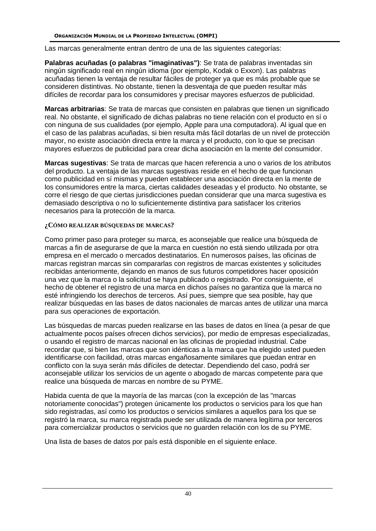Las marcas generalmente entrandentro de una de las siguientes categorías:

**Palabras acuñadas (o palabras "imaginativas")** : Setrata de palabras inventadas sin ningún significado real en ningún idioma (por ejemplo, Kodak o Exxon). Las palabras acuñadas tienen la ventaja de resultar fáciles de prot eger ya que es más probable que se consideren distintivas. No obstante, tienen la desventaja de que pueden resultar más difíciles de recordar para los consumidores y precisar mayores esfuerzos de publicidad.

**Marcas arbitrarias** : Setrata de marca sque consi sten en palabra sque tiene nun significado real. Noobstante, el significado de dichas palabras no tiene relación con el producto en sí o conninguna de sus cualidades (por ejemplo, Apple para una computadora). Al igual que en el caso de las palabras acuña das, si bien resulta más fácil dotarlas de un nivel de protección mayor, no existe asociación directa entre la marca y el producto, con lo que seprecisan mayores esfuerzos de publicidad para crear dicha asociación en la mente del consumidor.

**Marcas sugest ivas: Setratade marcas que hacen referencia a uno ovarios de los atributos** del producto. La ventaja de las marcas sugestivas reside en el hecho de que funcionan como publicidad en sí mismas y pueden establecer una asociación directa en la mente de los c onsumidores entre la marca, ciertas calidades deseadas y el producto. No obstante, se correel riesgo de que ciertas jurisdicciones puedan considerar que una marca sugestiva es demasiado descriptiva o no lo suficientemente distintiva para satisfacer los criterios necesarios para la protección de la marca.

## **¿CÓMO REALIZAR BÚSQUED AS DE MARCAS ?**

Como primer paso para proteger su marca, es aconsejable que realice una búsqueda de marcas a fin de asegurarse de que la marca encuestión no está siendo utilizada por o tra empresa en el mercado o mercados destinatarios. En numeros os países, las oficinas de marcas registran marcas sin compararlas con registros de marcas existentes y solicitudes recibidas anteriormente, dejando en manos de sus futuros competidores hacer op osición una vez que la marca o la solicitud se haya publicado o registrado. Por consiguiente, el hecho de obtener el registro de una marca en dichos países no garantiza que la marca no esté infringiendo los de rechos de terceros. Así pues, siempre que sea p osible, hay que realizar búsquedas en las bases de datos nacionales de marcas antes de utilizar una marca para sus operaciones de exportación.

Las búsquedas de marcas pueden realizar se en las bases de datos en línea (a pesar de que actualmente pocos países of recendichos servicios), por medio de empresas especializadas, ousando el registro de marcas nacional en las oficinas de propiedad industrial. Cabe recordarque, sibien las marcas que son idénticas a la marca que ha elegido usted pueden identificarse confacilidad, otras marcas engaños amentes imilares que puedan entrar en conflicto con la suya serán más difíciles de detectar. Dependiendo del caso, podrá ser aconsejable utilizar los servicios de un agente o abogado de marcas competente para que realice una búsqueda de marcas en nombre de su PYME.

Habida cuenta de que la mayoría de las marcas (con la excepción de las "marcas" notoriamente conocidas") protegen únicamente los productos o servicios para los que han sido registradas, así como los productos os ervicios similares a aquellos para los que se registróla marca, su marca registrada puede ser utilizada de manera legítima por terceros para comercializar productos o servicios que no guarden relación con los de su PYME.

Unalista de bases de datos por para ís está disponible en el siguiente enlace.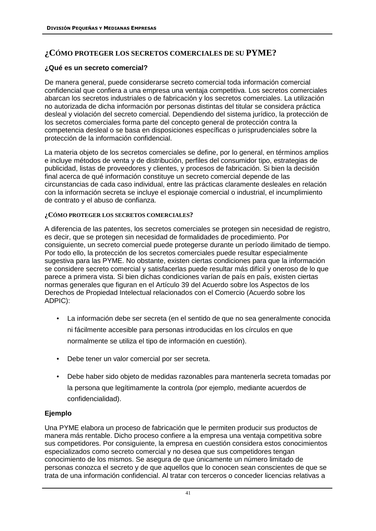# **¿CÓMO PROTEGER LOS SEC RETOS COMERCIALES DE SU PYME?**

## **¿Qué es un secreto comercial?**

De manera general, puede considerarse secreto comercial toda información comercial confidencial que confiera a una empresa una ven taja competitiva. Los secretos comerciales abarcan los secretos industriales o de fabricación y los secretos comerciales. La utilización no autorizada de dicha información por personas distintas del titular se considera práctica desleal y violación del sec reto comercial. Dependiendo del sistema jurídico, la protección de los secretos comerciales forma parte del concepto general deprotección contra la competencia desleal o se basa en disposiciones específicas o jurisprudenciales sobre la protección de la in formación confidencial.

La materia objeto de los secretos comerciales se define, por lo general, entérminos amplios eincluyemétodos de venta y de distribución, perfiles del consumidor tipo, estrategias de publicidad, listas de proveedores y clientes, y procesos de fabricación. Si bien la decisión final acerca de qué información constituye un secreto comercial depende de las circunstancias de cada caso individual, entre las prácticas claramente desleales en relación con la información secreta se incluye e lespionaje comercial o industrial, el incumplimiento de contrato y el abuso de confianza.

## **¿CÓMO PROTEGER LOS SEC RETOS COMERCIALES ?**

A diferencia de las patentes, los secretos comerciales seprote gensin necesidad de registro, es decir, que se protegen sin necesidad de formalidades de procedimiento. Por consiguiente, un secreto comercial puede protegerse durante un período ilimitado de tiempo. Portodo ello, la protección de los secretos comerciales puede resultar especialmente sugestiva para las PYME. No ob stante, existen ciertas condiciones para que la información se considere secreto comercial y satisfacer las puede resultar más difícil y oneros o delo que parece a primera vista. Si bien dichas condiciones varían de país en país, existen ciertas normas gene rales que figuran en el Artículo 39 del Acuerdo sobre los Aspectos de los Derechos de Propiedad Intelectual relacionados con el Comercio (Acuerdo sobre los ADPIC):

- La información de beser secreta (en el sentido de que no se a generalmente conocida nifácilm ente accesible para personas introducidas en los círculos en que normalmente se utiliza el tipo de información en cuestión).
- $\cdot$  Debetener unvalor comercial por serse creta.
- Debehabersidoobjetodemedidas razonables para mantener la secretatomadas por la persona que legítimamente la controla (por ejemplo, mediante acuerdos de confidencialidad).

## **Ejemplo**

Una PYME elabora un proceso de fabricación que le permiten producir sus productos de manera más rentable. Dicho proceso confiere a la empresa una ventaja competitiva sobre sus competidores. Por consiguiente, la empresa en cuestión considera estos conocimientos especializados como secreto comercial y no desea que sus competidores tengan conocimiento de los mismos. Se asegura de que únicamente un número limi tado de personas conozca el secreto y de que aquellos que lo conocen sean conscientes de que se trata de una información confidencial. Al tratar con terceros o conceder licencias relativas a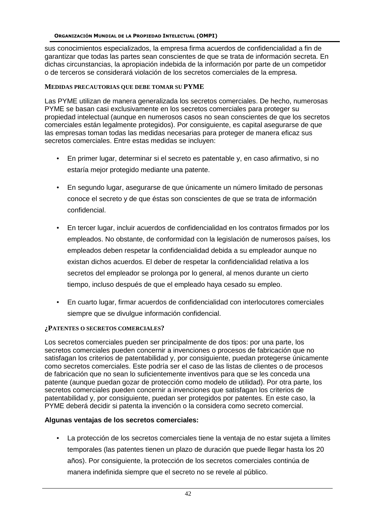sus conocimiento sespecializados, la empresa firma acuerdos de computidad a fin de nfidencialidad a fin de re garantizar que todas las partes sean conscientes de que se trata de información secreta. En dichas circunstancias, la apropiación indebida de la información por parte de un competidor o de terceros se considerará violación de los se cretos comerciales de la empresa.

### **MEDIDASPRECAUTORIAS QUEDEBETOMARSU PYME**

Las PYME utilizan de manera generalizada los secretos comerciales. De hecho, numeros as PYME se basan casi exclusivamente en los secretos comerciales para proteger su propiedad in telectual (aunque en numerosos casos no sean conscientes de que los secretos comerciales están legalmente protegidos). Por consiguiente, es capital asegurarse de que las empresas toman todas las medidas necesarias para proteger de manera eficaz sus secretos comerciales. Entreestas medidas seincluyen:

- Enprimerlugar, determinar si el secreto espatentable y, en caso a firmativo, si no estaría mejor protegido mediante una patente.
- En segundo lugar, as equitarse deque únicamente un número limitado de persona s conoce el secreto y de que éstas son conscientes de que se trata de información confidencial.
- En tercer lugar, incluir acuerdos de confidencialidad en los contratos firmados por los empleados. Noobstante, deconformidad con la legislación de numerosos países, los empleados deben respetar la confidencialidad debida a su empleador aunque no existan dichos acuerdos. El deber de respetar la confidencialidad relativa a los secretos del empleador se prolonga por lo general, al menos durante un cierto tiempo, incluso después de que el empleado haya cesado su empleo.
- Encuartolugar, firmar acuerdos de confidencialidad con interlocutores comerciales siemprequesedivulgue información confidencial.

## **¿PATENTES O SECRETOS C OMERCIALES?**

Los secretos comerciales pue den ser principalmente de dos tipos: por una parte, los secretos comerciales pueden concernir a invenciones o procesos de fabricación que no satisfagan los criterios de patentabilidad y, por consiguiente, puedan protegerse únicamente como secretos comercia les. Este podría ser el caso de las listas de clientes o deprocesos de fabricación que no sean lo suficientemente inventivos para que se les conceda una patente (aunque puedan gozar de protección como modelo de utilidad). Por otra parte, los secretos come rciales pueden concernir a invenciones que satisfagan los criterios de patentabilidad y, por consiguiente, puedan ser protegidos por patentes. En este caso, la PYME deberá decidir si patenta la invención o la considera como secreto comercial.

## **Algunas venta jas de los secretos comerciales:**

La protección de los secretos comerciales tiene la ventaja de no estar sujeta a límites temporales (las patentes tienen un plazo de duración que puede llegar hasta los 20 años). Por consiguiente, la protección de los secret os comerciales continúa de manera indefinida siempre que el secreto no serevele al público.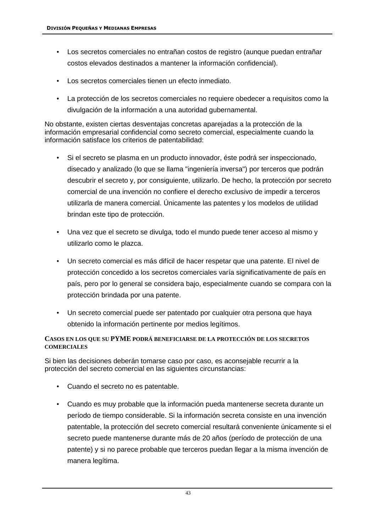- Los secretos comerciales no entrañan costos de registro (aunque puedan entrañar costos elevados destinados a mantener la información confidencial).
- Los secretos comerciales tienen un efecto inmediato.
- La protección de los secretos comerciales no requiere obedecer a requisitos como la divulgación de la información a una autoridad qui bernamental.

Noobstante, existen ciertas desventajas concretas aparejadas a la provocción de la información empresarial confidencial como secreto comercial, especialmente cuando la información satisface los criterios de patentabilidad:

- Sielsecreto se plasma en un producto innovador, éste podrá ser inspeccionado, disecado y analizado (lo que se llama "ingeniería inversa") por terceros que podrán descubrir el secreto y, por consiguiente, utilizarlo. De hecho, la protección por secreto comercial de una invención no confiere el derecho exclusivo de impedirate r ceros utilizarla de manera comercial. Únicamente las patentes y los modelos de utilidad brindan este tipo de protección.
- Unavez que else creto se divulga, to do el mundo puede tener accesso al mismo y utilizarlo como leplazca.
- Un secreto comercial es más difícil de hacer respetar que una patente. El nivel de protección concedido a los secretos comerciales varía significativamente de país en país, pero por lo general se considera bajo, especialmente cuando se compara con la protección brindada por una patente.
- Unsecreto comercial puede ser patentado por cualquier otra persona que haya obtenido la información pertinente por medios legítimos.

## CASOS EN LOS QUE SU PYME PODRÁ BENEFICIARSE DE LA PROTECCIÓN DE LOS SECRETOS **COMERCIALES**

Sibien las decisiones deberán tomarse caso por caso, es aconsejable recurrir a la protección del secreto comercial en las siguientes circunstancias:

- $\cdot$  Cuando el secreto no espatentable.
- Cuando es muy probable que la información pueda manten er se secreta durante un período de tiempo considerable. Si la inform ación secreta consiste en una invención patentable, la protección del secreto comercial resultará conveniente únicamente si el secreto puede mantenerse durante más de 20 años (período de protección de una patente) y sino parece probable que terceros pueda nilegar a la misma invención de maneralegítima.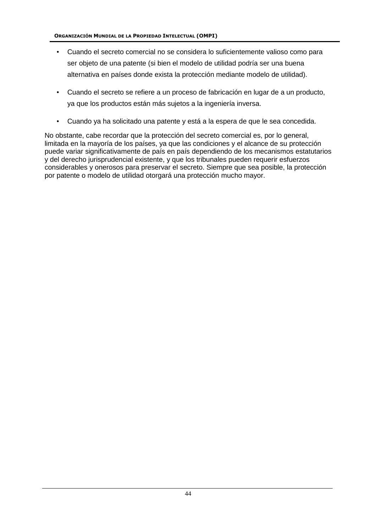- Cuando el secreto comercial no se considera lo suficientemente valios o como para ser objeto de una patente (si bien el modelo de utilidad podría ser una buena alternativa en países donde exista la protecci ón mediante modelo de utilidad).
- Cuando el secreto se refiere a un proceso de fabricación en lugar de a un producto, ya que los productos están más sujetos a la ingeniería inversa.
- Cuando ya ha solicitado una patente y está a la espera de que le sea conc edida.

Noobstante, cabe recordar que la protección del secreto comerciales, por lo general, limitada en la mayoría de los países, ya que las condiciones y el alcance de suprotección puede variar significativamente de país en país de pendiendo de los mecos en anismos estatutarios y del derecho jurisprudencial existente, y que los tribunales pueden requerir esfuerzos considerables y onerosos para preservar el secreto. Siempre que se aposible, la protección por patente o modelo de utilidad otorgará una protección mucho mayor.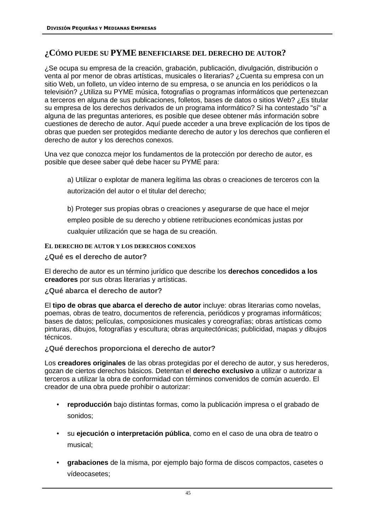# **¿CÓMO PUEDE SU PYME BENEFICIARSE DEL DE RECHO DE AUTOR ?**

¿Se ocupa su empresa de la creación, grabación, publicación, divulgación, distribución o venta al por menor de obras artísticas, musicales o literarias? ¿Cuenta su empresa con un sitio W eb, unfolleto, un vídeo interno de su empresa, o se anuncia en los periódicos o la televisión? ¿Utiliza su PYME música, fotografías o programas informáticos que pertenezcan aterceros en alguna de sus publicaciones, folletos, bases de datos ositios Web? in the statular su empresa de los derechos de rivados de un programa informático? Si ha contestado "sí" a alguna de las preguntas anteriores, es posible que desee obtener más información sobre cuestiones de derecho de autor. Aquí puede acceder a una breve expli cación de los tipos de obras que pueden ser protegidos mediante derecho de autory los derechos que confieren el derecho de autor y los derechos conexos.

Una vez que conoz ca mejor los fundamentos de la protección por de recho de autor, es posible que desee saber qué debe hacer su PYME para:

a) Utilizar o explotar de manera legítima las obras o creaciones de terceros con la autorización de lautor o el titular del derecho;

b) Proteger sus propias obras o creaciones y as egurarsed eque hace elmejor empleoposi ble de su derecho y obtiene retribuciones e conómicas justas por cualquier utilización que se haga de sucreación.

**EL DERECHO DE AUTOR Y LOS DERECHOS CONEXO S**

**¿Qué es el derecho de autor?**

El derecho de autor es un término jurídico que describe los **derechos concedidos a los derechos** concedidos a los creadorespor sus obras literarias y artísticas.

## **¿Qué abarca el derecho de autor?**

El **tipode obras que abarca el derecho de autor** incluye: obras literarias como novelas, poemas, obras de teatro, documentos de referencia, periódicos y progra mas informáticos; bases de datos; películas, composiciones musicales y coreografías; obras artísticas como pinturas, dibujos, fotografías y escultura; obras arquitectónicas; publicidad, mapas y dibujos técnicos.

**¿Qué derechos proporciona el derecho de auto r?**

Los **creadores originales** de las obras protegidas por el derecho de autor, y sus here deros, gozan de ciertos de rechos básicos. Detentan el **derecho exclusivo** a utilizar o autorizar a terceros autilizar la obra de conformidad contérminos convenidos de componéncia cuerdo. El creador de una obra puede prohibir o autorizar:

- $\cdot$  **reproducción** bajo distintas formas, como la publicación impresa o el grabado de sonidos;
- su ejecución o interpretación pública , como en el caso de una obra de teatro o musical;
- grabaciones delamisma, por ejemplo bajo forma de discos compactos, casetes o vídeocasetes;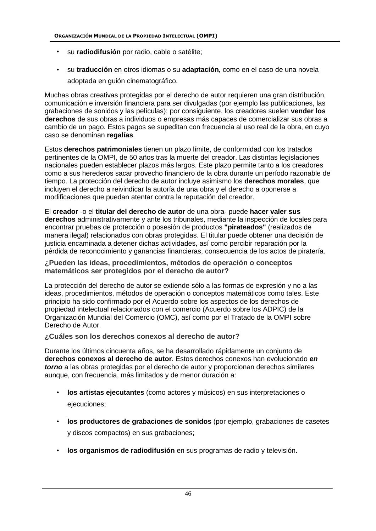- su **radiodifusión** por radio, cable o satélite;
- su **traducción** en otros idiomas o su **adaptación,** como en el caso de una novela adoptada en quión cinemato gráfico.

Muchas obras c reativas protegidas por el derecho de autor requieren una gran distribución, comunicación e inversión financiera para ser divulgadas (por ejemplo las publicaciones, las grabaciones de sonidos y las películas); por consiguiente, los creadores suelen **vender los derechos** desus obras a individuos o empresas más capaces de comercializar sus obras a cambio de un pago. Estos pagos se supeditan con frecuencia al uso real de la obra, en cuyo caso se denominan **regalías**.

Estos **derechos patrimoniales** tienen un plazo l ímite, de conformidad con los tratados pertinentes de la OMPI, de 50 años tras la muerte del creador. Las distintas le qui sia ciones nacionales pueden establecer plazos más largos. Este plazo permite tanto a los creadores como a sus herederos sacar provech of inanciero de la obra durante un período razonable de tiempo. La protección del derecho de autor incluy e asimismo los **derechos morales**, que incluyen el derecho a reivindicar la autoría de una obra y el derecho a oponerse a modificaciones que puedan atentar contra la reputación del creador.

El **creador** -o el **titular del derecho de autor** de una obra - puede **hacer valer sus**  derechosadministrativamente y antelos tribunales, mediante la inspección de locales para encontrar pruebas de protección o posesión de prod uctos **"pirateados"** (realizados de manera ilegal) relacionados con obras protegidas. El titular puede obtener una decisión de justicia encaminada a detener dichas actividades, así como percibir reparación por la pérdida de reconocimiento y ganancias financi eras, consecuencia de los actos de piratería.

### **¿Pueden las ideas, procedimientos, métodos de operación o conceptos matemáticos ser protegidos por el derecho de autor?**

La protección del derecho de autor se extiendes ó lo a las formas de expresión y no a las ideas, procedimientos, métodos de operación o conceptos matemáticos como tales. Este principio ha sido confirmado por el Acuerdo sobre los aspectos de los derechos de propiedad intelectual relacionados con el comercio (Acuerdo sobre los ADPIC) de la Organización Mundial del Comercio (OMC), así como por el Tratado de la OMPI sobre DerechodeAutor.

## **¿Cuáles son los derechos conexos al derecho de autor?**

Durante los últimos cincuenta años, se hades arrolladorá pidamente un conjunto de **derechosconexos al derecho de autor** . Estos derechos conexos han evolucionado *en* **torno** a las obras protegidas por el derecho de autor y proporcionan derechos similares aunque, confrecuencia, más limitados y de menor duración a:

- **los artistas e iecutantes** (como actores y músicos) en s us interpretaciones o ejecuciones;
- **los productores de grabaciones de sonidos** (por ejemplo, grabaciones de casetes y discos compactos) en sus grabaciones;
- **los organismos de radio difusión** en sus programas de radio y televisión.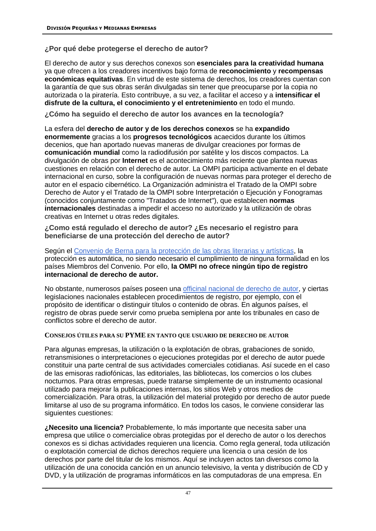# **¿Por qué debe protegerse el derecho de autor?**

El derecho de autor y sus derechos conexos son **esenciales para la creatividad humana** yaque of recenal oscreadores incentivos bajo forma de **reconocimiento** y **recompensas económicas equitativas** . En virtud de este sistema de derechos, lo screadores cuentan con la garantía de que sus obras serán divulgadas sin tener que preocuparse por la copia no autorizada o la piratería. Esto contribuye, a su vez, a facilitar el acceso y a **intensificar el disfrutedelacultura, el conocimiento y el entre retenimiento** entodo el mundo.

**¿Cómo ha seguido el derecho de autor los avances en la tecnología?**

La esferadel **derecho de autor y del poster echos conexos** se ha expandido **enormemente** gracias alos **progresos tecnológicos** acaecidos durante los últimos decenios, que han aportado nuevas maneras de divulgar creaciones por formas de **comunicación mundial** como la radiodifusión por satélite y los discos compactos. La divulgación de obras por **Internet** es el acontecimiento más reciente que plante a nuevas cuestiones en relación con el derecho de autor. La OMPI participa activamente en el debate internacional en curso, sobre la configuración de nuevas normas para proteger el derecho de autor en el espacio cibernético. La Organización administra el Tratado de la OMPI sobre e Derecho de Autor y el Tratado de la OMPI sobre Interpretación o Ejecución y Fonogramas (conocidos conjuntamente como "Tratados de Internet"), que establecen **normas internacionales** destinadas a impedir el acceso no autorizado y la utilización de obras creativas en Internet u otras redes digitales.

**¿Como está regulado el derecho de autor? ¿Es necesario el registro para beneficiarse de una protección del derecho de autor?**

Segúnel Convenio de Berna para la protección de las obras literarias vartísticas (a la protección es automática, no siendo necesario el cumplimiento de ninguna formalidad en los países Miembros del Convenio. Por ello, **la OMPI no ofrece ningún tipo de registro internacional de derecho de autor.**

Noobstante, numerosospaíses poseen una [officinal](http://www.wipo.int/news/es/links/addresses/cr/index.htm) [nacional de derecho de autor](http://www.wipo.int/news/en/links/addresses/cr/index.htm) y ciertas legislaciones nacionales establecen procedimientos de registro, por ejemplo, con el propósito de identificar o distinguir títulos o contenido de obras. En algunos países, el registro de obras puede servir com o prue base mi plena por ante los tribu nales en caso de conflictos sobreel de recho de autor.

**CONSEJOS ÚTILES PARA SU PYME EN TANTO QUE USUARI O DE DERECHO DE AUTO R**

Para algunas empresas, la utilización o la explotación de obras, grabaciones de sonido, retransmisiones o interpretaciones o ejecuciones protegidas por el derecho de autor puede constituir una parte central de sus actividades comerciales cotidianas. Así suce de enel caso de las emisoras radiofónicas, las editoriales, las bibliotecas, los comercios o los clubes nocturnos. Para otras em presas, puede tratarse simplemente de un instrumento ocasional utilizado para mejorar la publicaciones internas, los sitios Web y otros medios de comercialización. Para otras, la utilización del material protegido por derecho de autor puede limitarse al us o de suprograma informático. Entodos los casos, le conviene considerar las siguientescuestiones:

**¿Necesito una licencia?** Probablemente, lo más importante que necesita saber una empresa que utilice o comercialice o bras protegidas por el derecho de autor o los derechos conexos es si dichas actividades requieren una licencia. Como regla general, toda utilización o explotación comercial de dichos derechos requiere una licencia o una cesión de los derechos por parte del titular de los mismos. Aquí se incluyen actos tan diversos como la utilización de una conocida canción en un anuncio televisivo, la venta y distribución de CD y DVD, y la utilización de programas informáticos en las computadoras de una empresa. En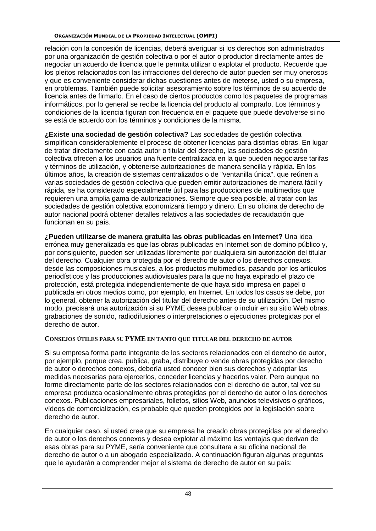relación con la concesión de licencias, deberá averiguar si los derechos son administrados por una organización de gestión colectiva o por el autor o productor directamente antes de negociar un acuerdo de licencia que le permita utilizar o explotar el producto. Recuerde que los pleitos relacionados con las infracciones del derecho de autor pueden ser muy onerosos y que es conveniente considerar dichas cuestiones antes de meterse, usted o su empresa, en problemas. También puede solicitar asesoramiento sobre los términos de su acuerdo de licencia antes de firmarlo. En el caso de ciertos productos como los paquetes de programas informáticos, por lo general se recibe la licencia del producto al comprar lo. Los términos y condiciones de la licencia figuran con frecuencia en el paquete que puede devolverse sin o se está de acuerdo con los términos y condiciones de la misma.

**¿Existe una sociedad de gestión colectiva?** Las sociedades de gestión colectiva simplifican considerablemente el proceso de obtener licencias para distintas obras. En lugar de tratar directame nte con cada autor o titular del derecho, las sociedades de gestión colectiva of recenalos usuarios una fuente centralizada en la que pueden negociarse tarifas y términos de utilización, y obtenerse autorizaciones de manera sencilla y rápida. En los últimos años, la creación de sistemas centralizados o de "ventanilla única", que reúnen a varias sociedades de gestión colectiva que pueden emitir autorizaciones de manera fácil y rápida, se ha considerado especialmente útil para las producciones de multimedios que requieren una amplia gama de autorizaciones. Siempre que sea posible, al tratar con las sociedades de gestión colectiva e conomizará tiempo y dinero. En su oficina de derecho de autor nacional podrá obtener detalles relativos a las sociedades de recaud ación que funcionanen supaís.

**¿Pueden utilizarse de manera gratuita las obras publicadas en Internet?** Una idea errónea muy generalizada es que las obras publicadas en Internets on de domino público y, por consiguiente, pueden ser utilizadas libremente po r cualquiera sin autorización del titular del derecho. Cualquier obra protegida por el derecho de autor o los derechos conexos, desde las composiciones musicales, a los productos multimedios, pasando por los artículos periodísticos y las producciones audio visuales para la que no haya expirado el plazo de protección, está protegida independientemente de que haya sido impresa en papel o publicada en otros medios como, por ejemplo, en Internet. En todos los casos se debe, por lo general, obtener la autorizació n del titular del derecho antes de su utilización. Del mismo modo, precisará una autorización si su PYME desea publicar o incluir en su sitio Web obras, grabaciones de sonido, radiodifusiones o interpretaciones o ejecuciones protegidas por el derechodeau tor.

# **CONSEJOSÚTILESPARA SU PYMEENTANTOQUETITULA RDELDERECHODEAUT OR**

Sisu empresa forma parte integrante de los sectores relacionados con el derecho de autor, por ejemplo, porque crea, publica, graba, distribuye o vende obras protegidas por derecho de autor o derechos conexos, debería usted conocer bien sus derechos y adoptar las medidas necesarias para ejercerlos, conceder licencias y hacerlos valer. Pero aunque no formedirectamente parte de los sectores relacionados con el derecho de autor, tal v ez su empresa produzca ocasionalmente obras protegidas por el derecho de autor o los derechos conexos. Publicaciones empresariales, folletos, sitios Web, anuncios televisivos ográficos, vídeos de comercialización, es probable que que de n protegidos por la legislación sobre derechodeautor.

Encualquier caso, si usted cree que su empresa ha creado obras protegidas por el derecho de autor o los derechos conexos y desea explotar al máximo las ventajas que derivan de esas obras para su PYME, sería conveniente que consultara a su oficina nacional de derecho de autor o aunabogado especializado. A continuación figuran algunas preguntas que le ayudarán a comprender mejor el sistema de derecho de autor en su país: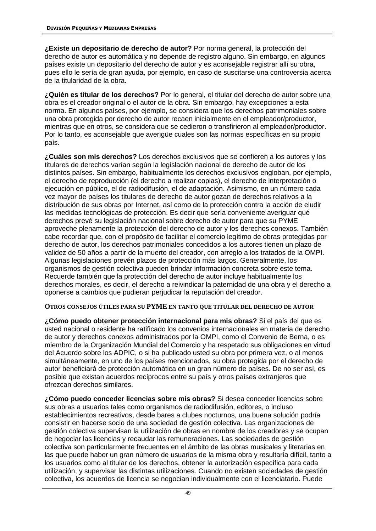**¿Existe un depositario de derecho de autor?** Por no rma general, la protección del derecho de autor es automática y no depende de registro alguno. Sin embargo, en algunos países existe un depositario del derecho de autory es aconsejable registrar allí su obra, pues ello le sería de gran ayuda, por ejemplo, en caso de suscitarse una controversia acerca de la titularidad de la obra.

**¿Quién es titular de los derechos?** Por lo general, el titular del derecho de autor sobre una obra es el creador original o el autor de la obra. Sin embargo, hay excepciones a esta norma. En algunos países, por ejemplo, se considera que los derechos patrimoniales sobre una obra protegida por derecho de autor recaen inicialmente en el empleador/productor, mientras que en otros, se considera que se cedieron otransfirieron al empleado r/productor. Por lotanto, es aconsejable que averigüe cuales son las normas específicas en su propio país.

**¿Cuáles son mis derechos?** Los derechos exclusivos que se confieren a los autores y los titulares de derechos varían según la legislación nacional de derecho de autor de los distintospaíses. Sinembargo, habitualmente los derechos exclusivos engloban, por ejemplo, el derecho de reproducción (el derecho a realizar copias), el derecho de interpretación o ejecución en público, el deradiodifusión, el de adaptación. Asimismo, en un número cada vez mayor de países los titulares de derecho de autor gozan de derechos relativos a la distribución de sus obras por Internet, así como de la protección contra la acción de eludir las medidas tecnológicas de protecci ón. Es decir que sería conveniente averiguar qué derechos prevé su legislación nacional sobre derecho de autor para que su PYME aproveche plenamente la protección del derecho de autor y los derechos conexos. También cabe recordar que, con el propósito de f acilitar el comercio legítimo de obras protegidas por derecho de autor, los derechos patrimoniales concedidos a los autores tienen un plazo de validez de 50 años a partir de la muerte del creador, con arreglo a los tratados de la OMPI. Algunas legislacione sprevén plazos de protección más largos. Generalmente, los organismos de gestión colectiva pueden brindar información concreta sobre este tema. Recuerde también que la protección del derecho de autor incluye habitualmente los derechos morales, es decir, e lderecho a reivindicar la paternidad de una obra y el derecho a oponerse a cambios que pudieran perjudicar la reputación del creador.

**OTROS CONSEJOS ÚTILES PARA SU PYME EN TANTO QUE TITULA R DEL DERECHO DE AUT OR**

**¿Cómo puedo obtener protección internacional para mis obras?** Si el país del que es usted nacional o residente haratificado los convenios internacionales en materia de derecho de autory derechos conexos administrados por la OMPI, como el Convenio de Berna, o es miembro de la Organización Mundial de lComercio y har espetado sus obligaciones en virtud del Acuerdo sobre los ADPIC, o si ha publicado usted su obra por primera vez, o al menos simultáneamente, en uno de los países mencionados, su obra protegida por el derecho de autor beneficiará de protec ción automática en un gran número de países. De no ser así, es posible que existan acuerdos recíprocos entre su país y otros países extranjeros que ofrezcan derechos similares.

**¿Cómo puedo conceder licencias sobre mis obras?** Si desea conceder licencias sob re sus obras a usuarios tales como organismos de radiodifusión, editores, o incluso establecimientos recreativos, desde bares a clubes nocturnos, una buena solución podría consistir en hacerse socio de una sociedad de gestión colectiva. Las organizaciones de gestión colectiva supervisan la utilización de obras en nombre de los creadores y se ocupan de negociar las licencias y recaudar las remuneraciones. Las sociedades de gestión colectiva son particularmente frecuentes en el ámbito de las obras musicales y literarias en las que puede haber un gran número de usuarios de la misma obra y resultaría difícil, tanto a los usuarios como al titular de los derechos, obtener la autorización específica para cada utilización, y supervisar las distintas utilizaciones. C uando no existen sociedades de gestión colectiva, los acuerdos de licencia se negocian individualmente con el licenciatario. Puede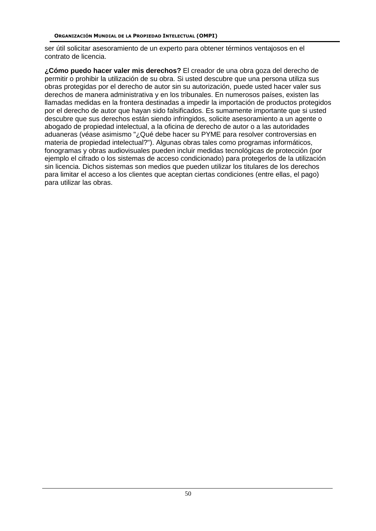ser útil solicitar as esoramiento de un experto para obtener términos ventajos os en el contrato delicencia.

¿Cómopuedo hacer valer mis derechos? El creador de una obra goza del derecho de permitiroprohibir la utilización de su obra. Si usted descubre que una persona utiliza sus obras protegidas por el derecho de autor sin su autorización, puede usted hacer valer sus derechos de manera administrativa y en los tribunales. En numeros os países, existen las llamadas medidas en la frontera destinadas a impedir la importación de productos protegidos por el derecho de autor que hayan sido falsificados. Es sumamente importante que siu sted descubre que sus derechos están siendo infringidos, solicite asesoramiento a un agente o abogado de propiedad intelectual, a la oficina de derecho de autoro a la sautoridades aduaneras (véase asimismo"; Qué debe hacer su PYME par a resolver controvers ias en materia de propiedad intelectual?"). Algunas obras tales como programas informáticos, fonogramas y obras audiovisuales pueden incluir medidas tecnológicas de protección (por ejemplo el cifrado o los sistemas de acceso condicionado) para protegerlos de la utilización sin licencia. Dichos sistemas son medios que pueden utilizar los titulares delos derechos para limitar el acceso a los clientes que aceptan ciertas condiciones (entre ellas, el pago) parautilizarlas obras.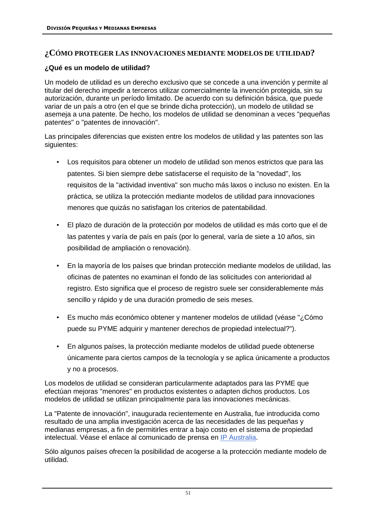# **¿CÓMO PROTEGER LAS INN OVACIONES MEDIANTE MODELOS DE UTILIDAD ?**

# **¿Qué es un modelo de utilidad?**

Un modelo de utilidad es un derecho exclusivo que se concede a una invención vo ermite al titular del derecho impedirater ceros utilizar comercialmente la invención protegida, sin su autorización, durante un período limitado. De acuerdo con su definición básica, que puede variar de un país a otro (en el que se brinde dicha protección), un modelo de utilidad se a semeja a una patente. De hecho, los modelos de utilidad se denomina naveces "pequ eñas patentes" o "patentes de innovación".

Las principales diferencias que existen entre los modelos de utilidad y las patentes son las siguientes:

- Los requisitos para obtener un modelo de utilidad son menos estrictos que para las patentes. Sibien siempre debe satisfacer se el requisito de la "novedad", los requisitos de la "actividad inventiva" son mucho más laxos o incluso no existen. En la práctica, seutiliza la protección mediante modelos de utilidad para innovaciones menores que quizás no satisfagan los criterios de patentabilidad.
- El plazo de duración de la protección por modelos de utilidad es más corto que el de las patentes y varía de país en país (por lo general, varía de siete a 10 años, sin posibilidad de ampliación o renovación).
- En la mayorí a de los países que brindan protección mediante modelos de utilidad, las oficinas de patentes no examinan el fondo de las solicitudes con anterioridad al registro. Esto significa que el proceso de registro sueles er considerablemente más sencillo y de una duración promedio de seismeses.
- Es mucho más económico obtener y mantener modelos de utilidad (véase "¿Cómo puede su PYME adquiriry mantener derechos de propiedad intelectual?").
- En algunos países, la protección mediante modelos de utilidad pu ede obtenerse únicamente para ciertos campos de la tecnología y se aplica únicamente a productos yno aprocesos.

Los modelos de utilidad se consideran particularmente adaptados para las PYME que efectúan mejoras "menores" en productos existentes o adapte n dichos productos. Los modelos de utilidad se utilizan principalmente para las innovaciones mecánicas.

La "Patente de innovación", inaugurada recientemente en Australia, fue introducida como resultado de una amplia investigación acerca de las necesidades de las pequeñas y medianas empresas, a fin de permitirles entrar a bajo costo en el sistema de propiedad intelectual. Véase el enlace al comunicado de prensa en [IP Australia](http://www.ipaustralia.gov.au/library/PDFS/general/20010427 Media Release.pdf).

Sólo algunos países ofrecen la posibilidad de acogerse a la protección mediante modelo de utilidad.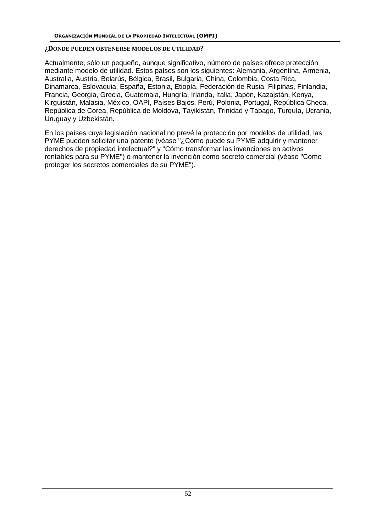### **¿DÓNDE PUEDEN OBTENERS E MODELOS DE UTILIDA D?**

Actualmente, sólo un pequeño, aunque significativo, número de países ofrece protección mediante modelo de utilidad. Estos países son los siguientes: Alemania, Argentina, Armenia, Australia, Austria, Belarús, Bélgica, Brasil, Bulgaria, China, Colombia, Costa Rica, Dinamarca, Eslovaquia, España, Estonia, Etiopía, Federación de Rusia, Filipinas, Finla ndia, Francia, Georgia, Grecia, Guatemala, Hungría, Irlanda, Italia, Japón, Kazajstán, Kenya, Kirguistán, Malasia, México, OAPI, Países Bajos, Perú, Polonia, Portugal, República Checa, República de Corea, República de Moldova, Tayikistán, Trinidad y Tabago , Turquía, Ucrania, Uruguayy Uzbekistán.

En los países cuya legislación nacional no prevé la protección por modelos de utilidad, las PYME pueden solicitar una patente (véase" ¿Cómo puede su PYME adquirir y mantener derechos de propiedad intelectual?" y "C ómo transformar las invenciones en activos rentables para su PYME") o mantener la invención como secreto comercial (véase "Cómo protegerlossecretos comerciales desuPYME").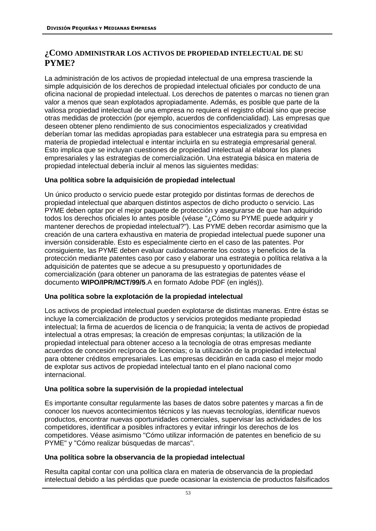# **¿COMO ADMINISTRAR LOS ACTIVOS DE PROPIEDAD INTELECTUAL DE SU PYME?**

La administr ación de los activos de propiedad intelectual de una empresa trasciende la simple adquisición de los derechos de propiedad intelectual oficiales por conducto de una oficina nacional de propiedad intelectual. Los derechos de patentes o marcas no tienen gran valor a menos que sean explotados apropiadamente. Además, es posible que parte de la valiosa propiedad intelectual de una empresa no requiera el registro oficial sino que precise otras medidas de protección (por ejemplo, acuerdos de confidencialidad). Las empresas que deseen obtener pleno rendimiento de sus conocimientos especializados y creatividad deberían tomar las medidas apropiadas para establecer una estrategia para su empresa en materia de propieda dintelectual e intentar incluir la ensuestrategia empresaria lo en eral. Esto implica que se incluyan cuestiones de propiedad intelectual al elaborar los planes empresariales y las estrategias de comercialización. Una estrategia básica en materia de propiedad intelectual debería incluir al menos las siguien tes medidas:

## **Una política sobre la adquisición de propiedad intelectual**

Unúnico producto o servicio puede estar protegido por distintas formas de derechos de propiedad intelectual que abarquen distintos aspectos de dicho producto o servicio. Las PYME debe n optar por el mejor paquete de protección y asegurarse de que han adquirido todos los derechos oficiales lo antes posible (véase "¿Cómo su PYME puede adquirir y mantener derechos de propiedad intelectual?"). Las PYME deben recordar asimismo que la creación de una cartera exhaustiva en materia de propiedad intelectual puede suponer una inversión considerable. Esto es especialmente cierto en el caso de las patentes. Por consiguiente, las PYME deben evaluar cuidadosamente los costos y beneficios de la protección mediante patentes caso por caso y elaborar una estrategia o política relativa a la adquisición de patentes que se adecue a su presupuesto y oportunidades de comercialización (para obtener un panorama de las estrategias de patentes véase el documento **WIPO/IPR/MCT/99/5**.A enformato Adobe PDF (eninglés)).

## **Una política sobre la explotación de la propiedad intelectual**

Los activos de propiedad intelectual pueden explotarse de distintas maneras. Entre éstas se<br>
incluye la comercialización de productos vservic ios protegidos mediantes propiedad incluye la comercialización de productos y servic intelectual; la firma de acuerdos de licencia o de franquicia; la venta de activos de propiedad intelectual a otras empresas; la creación de empresas conjuntas; la utilización de la propiedad intelectual para obtener acces o a la tecnología de otras empresas mediante acuerdos de concesión recíproca de licencias; o la utilización de la propiedad intelectual para obtener créditos empresariales. Las empresas decidirán en cada caso el mejor modo de explotar sus activos de propie dad intelectual tanto en el plano nacional como internacional.

## **Una política sobre la supervisión de la propiedad intelectual**

Esimportante consultar regularmente las bases de datos sobrepatentes y marcas a fin de conocer los nuevos acontecimientos técnico sy las nuevas tecnologías, identificar nuevos productos, encontrar nuevas oportunidades comerciales, supervisar las actividades de los competidores, identificar a posible sinfractores y evitar infringir los derechos de los competidores. Véase asimismo "Có moutilizar información depatentes en beneficio de su PYME" v "Cómo realizar búsquedas de marcas".

## **Una política sobre la observancia de la propiedad intelectual**

Resulta capital contar con una política clara en materia de observancia de la propiedad intelectual debido a las pérdidas que puede ocasionar la existencia de productos falsificados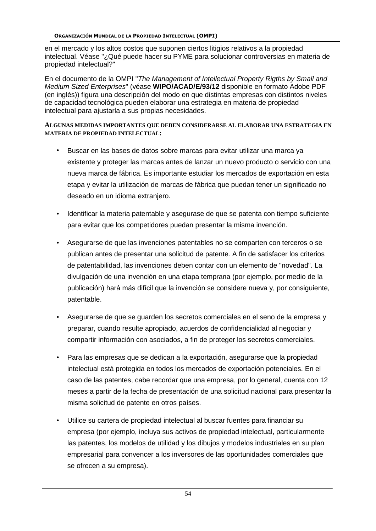en el mercado y los altos costos que suponen ciertos litigios relativos a la propiedad intelectual. Véase"; Quépuede hacer su PYME para solucionar controver sias en mat eria de propiedad intelectual?"

EneldocumentodelaOMPI" TheManagementofIntellectualPropertyRigthsbySmalland Medium Sized Enterprises " (véase WIPO/ACAD/E/93/12 disponible enformato Adobe PDF (eninglés)) figura una descripción del modo en que d istintas empresas condistintos niveles de capacidad tecnológica pueden elaborar una estrategia en materia de propiedad intelectual para a justarla a sus propias necesidades.

### **ALGUNASMEDIDASIMPOR TANTES QUE DEBENCON SIDERARSE ALELABORA RUNAES TRATEGIAEN MATERIADEPROPIEDAD INTELECTUAL:**

- Buscaren las bases de datos sobremarcas para evitar utilizar una marcava existente y proteger las marcas antes de lanzar un nuevo producto o servicio con una nueva marca de fábrica. Es importante estudiar los mercados de exportación en esta etapa y evitar la utilización de marcas de fábrica que puedan tener un significado no deseado en unidioma extranjero.
- Identificar la materia patentable y asegurase de que se patenta con tiempo suficiente para evitar que los competido respuedan presentar la misma invención.
- Asegurarse de que las invenciones patentables no secomparten conterceros o se publican antes de presentar una solicitud de patente. A fin de satisface r los criterios de patentabilidad, las invenciones deben conta r con un elemento de "novedad". La divulgación de una invención en una etapa temprana (por ejemplo, por medio de la publicación) harámás difícil que la invención se considere nueva y, por consiguiente, patentable.
- Asegurarse de que se guarden los secreto scomerciales en el seno de la empresa y preparar, cuando resulte apropiado, acuerdos de confidencialidad al negociary compartir información con asociados, a fin de proteger los secretos comerciales.
- Para las empresas que se dedican a la exportación, ase que reseque la propiedad intelectual está protegida en todos los mercados de exportación potenciales. En el caso de las patentes, cabe recordar que una empresa, por lo general, cuenta con  $12$ meses a partir de la fecha de presentación de una solicitud nacio concela para presentar la misma solicitud de patente en otros países.
- Utilice su cartera de propiedad intelectual al buscar fuentes para financiar su empresa (por ejemplo, incluya sus activos de propiedad intelectual, particularmente las patentes, los modelos de utilidad y los dibujos y modelos industriales en su plan empresarial para convencer a los inversores de las oportunidades comerciales que se of recena sue moresa).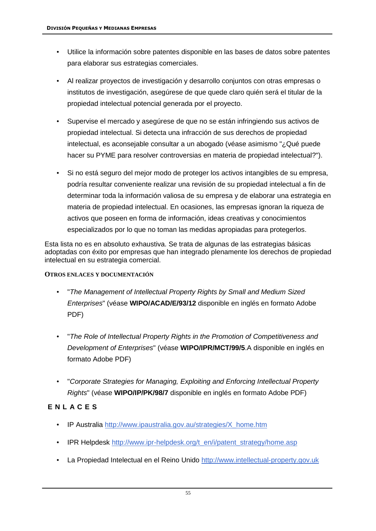- Utilice la información sobrepatentes disponible en las bases de datos sobrepatentes para elaborar sus estrategias comerciales.
- Alrealizar proyectos de investigación y desarrollo conjuntos con otras empresas o institutos de investigación, asegúrese de que que de claro quién será el titular de la propiedad intelectual potencial generada por el proyecto.
- Supervise el mercado y asegúrese de que no se están infringiendo sus activos de propiedad intelectual. Sidetecta una infracción de sus derechos de propiedad intelectual, es aconse jable consultar a un abogado (véase asimismo" ¿Qué puede hacer su PYME para resolver controversias en materiade propiedad intelectual?").
- Sino está seguro del mejor modo de proteger los activos intangibles de su empresa, podría resultar conveniente realizar una revisión de su propiedad intelectual a fin de determinar toda la información valiosa de su empresa y de elaborar una estrategia en materia de propiedad intelectual. En ocasiones, las empresas ignoran la riqueza de activos que pose en enforma de información, i de as creativas y conocimientos especializados por lo que no toman las medidas apropiadas para protegerlos.

Esta lista no es en absoluto exhaustiva. Se trata de algunas de las estrategias básicas adoptadas con éxito por empresas que han integrado plenamente los derechos de propiedad intelectualensuest rategia comercial.

## **OTROS ENLACES Y DOCUM ENTACIÓN**

- "The Management of Intellectual Property Rights by Small and Medium Sized Enterprises" (véase WIPO/ACAD/E/93/12 disponible en inglés enformato Adobe PDF)
- "The Role of Intellectual Property Rights in the Pro motion of Competitiveness and Development of Enterprises " (véase WIPO/IPR/MCT/99/5. A disponible en inglés en formato Adobe PDF)
- "Corporate Strategies for Managing, Exploiting and Enforcing Intellectual Property Rights" (véase WIPO/IP/PK/98/7 disponible en inglés enformato Adobe PDF)

## **E N L A C E S**

- IP Australia [http://www.ipaustralia.gov.au/strategies/X\\_home.htm](http://www.ipaustralia.gov.au/strategies/X_home.htm)
- IPRHelpdesk [http://www.ipr-helpdesk.org/t\\_en/i/patent\\_strategy/home.asp](http://www.ipr-helpdesk.org/t_en/i/patent_strategy/home.asp)
- La Propiedad Intelectual enel Reino Unido [http://www.intellectual-property.gov.uk](http://www.intellectual-property.gov.uk/)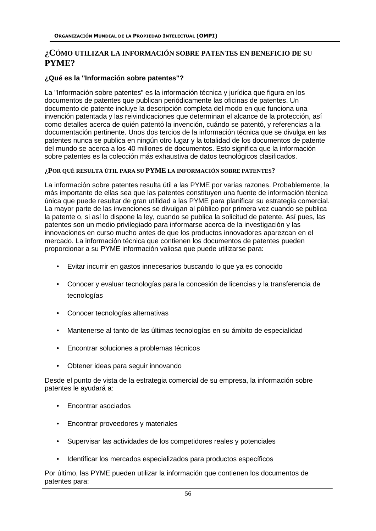## **¿CÓMO UTILIZAR LA INFO RMACIÓN SOBRE PATENT ES EN BENEFICIO DE SU PYME?**

## **¿Qué es la "Información sobre patentes"?**

La "Información sobrepatentes" es la información técnica y jurídica que figura en los documentos de patentes que publican periódicamente las oficinas de patentes. Un documento de patente inclu ye la descripción completa del modo enque funciona una invención patentada y las reivindicaciones que determinan el alcance de la protección, así como detalles acerca de quién patentó la invención, cuándo se patentó, y referencias a la documentación perti nente. Unos dos tercios de la información técnica que se divulga en las patentes nunca se publica en ningún otro lugar y la totalidad de los documentos de patente del mundo se acerca a los 40 millones de documentos. Esto significa que la información sobre patentes es la colección más exhaustivade datos tecnológicos clasificados.

### **¿POR QUÉ RESULTA ÚTIL PARA SU PYME LA INFORMACIÓN SOBR E PATENTES ?**

Lainformación sobre patentes resulta útil a las PYME por varias razones. Probablemente, la más importante de ella s sea que las patentes constituyen una fuente de información técnica única que puede resultar de gran utilidad a las PYME para planificar su estrategia comercial. La mayor parte de las invenciones se divulgan al público por primera vez cuando se publica la patente o, si así lo dispone la ley, cuando se publica la solicitud de patente. Así pues, las patentes son un medio privilegiado para informarse acerca de la investigación y las innovaciones en curso mucho antes de que los productos innovadores aparez can en elel mercado. La información técnica que contienen los documentos de patentes pueden proporcionar a su PYME información valios a que puede utilizar se para:

- Evitar incurrir en gastos innecesarios buscando loque vaes conocido
- Conocer y evaluar tecnologías para la concesión de licencias y la transferencia de tecnologías
- Conocertecnologías alternativas
- Mantenersealtantodelasúltimastecnologías en suámbito de especialidad
- Encontrar soluciones a problemasté cnicos
- Obtenerideas para seguir innovando

Desde el punto de vista de la estrategia comercial de su empresa, la información sobre patentes le avudaráa:

- $\cdot$  Encontrar asociados
- Encontrarproveedoresymateriales
- Supervisar las actividades de los competidores reales y potenciales
- Identificarlosme rcadosespecializados para productos específicos

Por último, las PYME pueden utilizar la información que contienen los documentos de patentespara: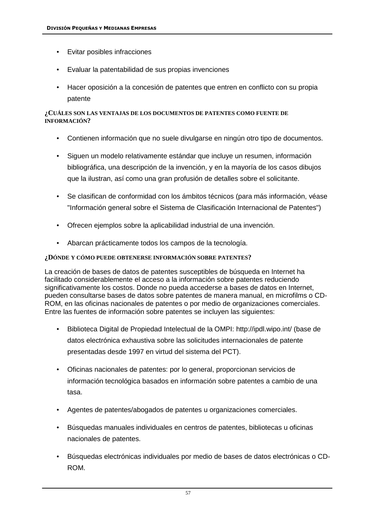- $\cdot$  Evitar posibles infracciones
- Evaluar la patenta bilidad de sus propias invenciones
- Haceroposición a la concesión de patentes que entre nen conflicto con supropia patente

### **¿CUÁLES SON LAS VENTAJ AS DE LOS DOCUMENTOS DE PATENTES COMO FU ENTE DE INFORMACIÓN?**

- Contienen información que no suele divulgar se en ningún otro tipo de documentos.
- Siguen un model or elativ amente estándar que incluye un resumen, información bibliográfica, una descripción de la invención, y en la mayoría de los casos dibujos que la ilustran, así como una gran profusión de detalles sobre el solicitante.
- Seclasifican de conformidad con los ám bitos técnicos (para más información, véase "Información general sobre el Sistema de Clasificación Internacional de Patentes")
- Ofrecene jemplos sobre la aplicabilidad industrial de una invención.
- Abarcan prácticamente todos los campos de la tecnología.

## **¿DÓNDE Y CÓMO PUEDE OB TENERSE INFORMACIÓN SOBRE PATENTES ?**

La creación de bases de datos de patentes sus ceptibles de búsqueda en Internetha facilitado considerablemente el acceso a la información sobre patentes reduciendo significativamente los costos. Don de no pueda accederse a bases de datos en Internet, pueden consultarse bases de datos sobre patentes de manera manual, en microfilms o CD - ROM, en las oficinas nacionales de patentes o por medio de organizaciones comerciales. Entrelas fuentes de informació n sobrepatentes se incluyen las siguientes:

- Biblioteca Digital de Propiedad Intelectual de la OMPI: http://ipdl.wipo.int/ (base de datos electrónica exhaustivas obre las solicitudes internacionales de patente presentadas desde 1997 en virtud del sistema d el PCT).
- Oficinas nacionales de patentes: por logeneral, proporcionan servicios de información tecnológica basados en informacións obrepatentes a cambio de una tasa.
- Agentes de patentes/abogados de patentes u organizaciones comerciales.
- Búsquedas manu ales individuales en centros de patentes, bibliotecas u oficinas nacionales de patentes.
- Búsquedas electrónicas individuales por medio de bases de datos electrónicas o CD ROM.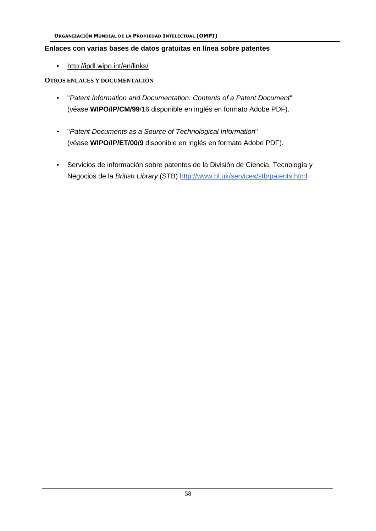### **Enlaces con varias bases de datos gratuitas en línea sobre patentes**

• http://ipdl.wipo.int/en/links/

## **OTROSENLACESYDOCUM ENTACIÓN**

- "PatentInformationandDocumentation:ContentsofaPatentDocument " (véase WIPO/IP/CM/99/16 disponible en inglés enformato Adobe PDF).
- "PatentDocumentsasaSource of Technological Information (véase WIPO/IP/ET/00/9disponible en inglés enformato Adobe PDF).
- Servicios de información sobrepatentes de la División de Ciencia, Tecnología y Negocios de la British Library (STB) http://www.bl.uk/services/stb/patents.html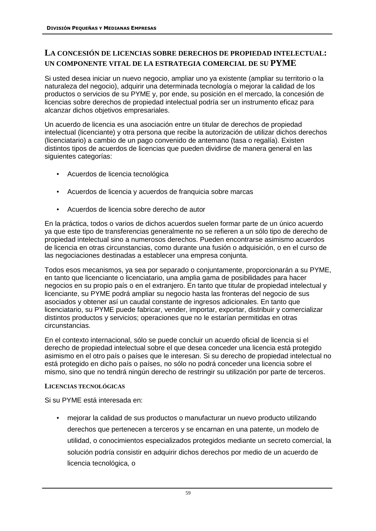# **LA CONCESIÓN DE LICEN CIAS SOBRE DERECHOS DE PROPIEDAD INTELEC TUAL:** UNCOMPONENTEVITAL DELAESTRATEGIACOM ERCIALDESU PYME

Si usted desea iniciar un nuevo negocio, ampliar uno ya existente (ampliar su territorio o la naturaleza del negocio), adquiriruna determinada tecnología o mejorar la calidad de los productos o servicios de su PYME y, por ende, su posición en el mercado, la concesión de licencias sobre de rechos de propiedad intelectual podría ser un instrumento eficaz para alcanzar dichosobietivos empresariales.

Un acuerdo de licencia es una asociación entre un titular de derechos de propiedad intelectual(licenciante) y otra persona que recibe la autorización de utilizar dichos de rechos (licenciatario) a cambio de un pago convenido de antemano (tasa o regalía). Existen distintostipos de acuerdos de licencias que pueden dividirse de manera general en las siguientes categorías:

- Acuerdos delicencia tecnológica
- Acuerdos de licencia y acuerdos de franquicias obremarcas
- Acuerdos de licencias obrederecho de autor

En la práctica, todos o varios de dichos acuerdos suelen formar parte de un único acuerdo ya que este tipo de transferencias generalmente no se refieren a un sólo tipo de derecho de propiedad intelectual sino a numer osos derechos. Pueden encontrarse asimismo acuerdos de licencia en otras circunstancias, como durante una fusión o adquisición, o en el curso de las negociaciones destinadas a establecer una empresa conjunta.

Todos esos mecanismos, ya sea por separado o compuntamente, proporcionarán a su PYME, entanto que licenciante o licenciatario, una amplia gama de posibilidades para hacer negocios en su propio país o en el extranjero. En tanto que titular de propiedad intelectual y licenciante.su PYME podrá ampliars unegocio hasta las fronteras del negocio de sus asociados y obtener así un caudal constante de ingresos adicionales. En tanto que licenciatario, su PYME puede fabricar, vender, importar, exportar, distribuir y comercializar distintos productos y servicios ; operaciones que no le estarían permitidas en otras circunstancias.

En el contexto internacional, sólo se puede concluir un acuerdo oficial de licencia si el derecho de propiedad intelectual sobre el que desea conceder una licencia está protegido asimismo en el otropaís o países que le interesan. Si su derecho de propiedad intelectual no está protegido en dicho país o países, no sólo no podráconce de runalicencia sobre el mismo, sino que no tendráningun de recho de restringir su utilización por parte de terceros.

### **LICENCIAS TECNOLÓGICA S**

SisuPYME está interesada en:

• mejorar la calidad de sus productos o manufacturar un nuevo producto utilizando derechos que pertenecen a terceros y se encarnan en una patente, un modelo de utilidad, o conocimiento sespecial izados protegidos mediante un secreto comercial, la solución podría consistir en adquir ir dichos derechos por medio de una cuerdo de licencia tecnológica, o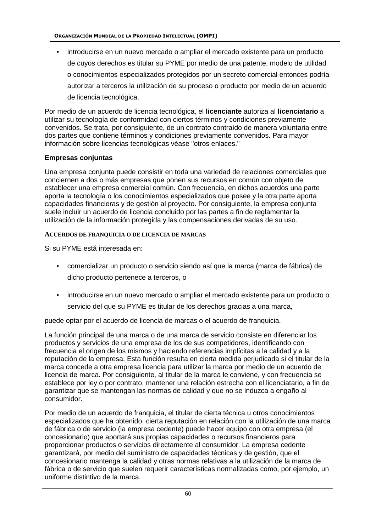• introducirse en un nuevo mercado o ampliar el mercado existente para un producto de cuyos derechos es titular su PYME por medio de una patente, modelo de utilidad o conocimientos especializados protegidos por un secreto comercial entonces podría autorizar a terceros la utilización de su proceso o producto por medio de una cuerdo de licencia tecnológica.

Por medio de un acuerdo de licencia tecnológica, el **licenciante** autoriza al **licenciatario** a utilizar su tecnología de conformidad con ciertos términos y condiciones previamente convenidos. Setrata, por consiguiente, de un contrato contraído de manera v oluntaria entre dos partes que contiene términos y condiciones previamente convenidos. Para mayor información sobre licencias tecnológicas véase "otros enlaces."

## **Empresas conjuntas**

Una empresa conjunta puede consistir entoda una variedad de relaciones com erciales que conciernen a dos o más empresas que ponen sus recursos en común con objeto de establecer una empresa comercial común. Con frecuencia, en dichos acuerdos una parte aporta la tecnología o los conocimientos especializados que posee y la otra part e aporta capacidades financieras y de gestión al proyecto. Por consiguiente, la empresa conjunta suele incluir un acuerdo de licencia concluido por las partes a fin de reglamentar la utilización de la información protegida y las compensaciones derivadas de su uso.

## **ACUERDOS DE FRANQUICI A O DE LICENCIA DE M ARCAS**

SisuPYME está interesada en:

- comercializar un producto o servicio siendo así que la marca (marca de fábrica) de dicho producto pertenece a terceros, o
- introducirse en un nuevo mercado o ampliar el mercado existente para un producto o servicio del que su PYME estitular de los derechos gracias a una marca,

puede optar por el acuerdo de licencia de marcas o el acuerdo de franquicia.

La función principal de una marca o de una marca de servicio consist e en diferenciar los productos y servicios de una empresa de los de sus competidores, identificando con frecuencia el origen de los mismos y haciendo referencias implícitas a la calidad y a la reputación de la empresa. Esta función resulta encierta medida en periudica da si el titular de la marca concede a otra empresa licencia para utilizar la marca por medio de una cuerdo de licencia de marca. Por consiguiente, al titular de la marca le conviene, y confrecuencia se establece por ley o por contrato, mantener una relación estrecha con el licenciatario, a fin de garantizar que se mantengan las normas de calidad y que no se induzca a engaño al consumidor.

Por medio de un acuerdo de franquicia, el titular de cierta técnica u otros conocimientos especializados que ha obtenido, cierta reputación en relación con la utilización de una marca de fábrica o deservicio (la empresa cedente) puede hacer equipo con otra empresa (el concesionario) que aportará sus propias capacidades o recursos financieros para proporcionarp roductos o servicios directamente al consumidor. La empresa cedente garantizará, por medio del suministro de capacidades técnicas y de gestión, que el concesionario mantenga la calidad y otras normas relativas a la utilización de la marca de fábrica o des ervicio que suelen requerir características normalizadas como, por ejemplo, un uniformedistintivo de la marca.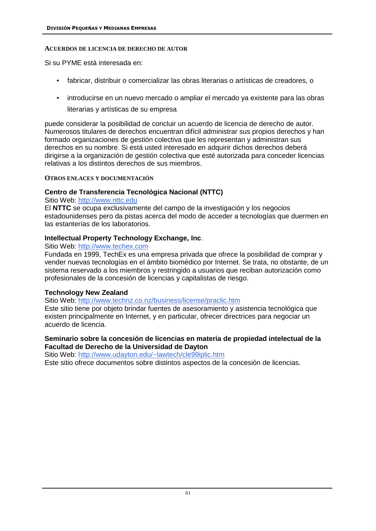### **ACUERDOS DE LICENCIA DE DERECHO DE AUTOR**

SisuPYME está interesada en:

- fabricar, distribuir o comercializar las obras literarias o artísticas decreadores, o
- introducirse en un nuevo mercado o ampliar el mercado y a existente para las obras literarias y artísticas de su empresa

puede considerar la posibilidad de concluir un acuerdo de licencia de derecho de autor. Numerosostitulares de derechos encuentran difícil administrar sus propios de rechos y han formado organizaciones de gestión colectiva que les representan y administran sus derechos en su nombre. Si está usted interesado en adquirir dichos derechos deberá dirigirse a la organización de que stión colectiva que esté autorizada para conceder licencias relativas a los distintos derechos de sus miembros.

#### **OTROS ENLACES Y DOCUM ENTACIÓN**

### **Centro de Transferencia Tecnológica Nacional (NTTC)**

Sitio Web: [http://www.nttc.edu](http://www.nttc.edu/)

El NTTCseocupa exclusivamente del campo de la investigación y los negocios estadounidenses pero da pistas acerca del modo de accedera tecnologías que duermen en las estanterías de los laboratorios.

### **Intellectual Property Technology Exchange, Inc** .

Sitio Web: [http://www.techex.com](http://www.techex.com/)

Fundada en 1999, TechEx es una empresa privada que ofrece la posibilidad de comprar y vender nuevas tecnologías en el ámbito biomédico por Internet. Se trata, no obstante, de un sistema reservado alos miembros y restringido ausuarios que reciban autorización como profesionales de la concesión de licencias y capitalistas de riesgo.

## **Technology New Zealand**

Sitio Web: <http://www.technz.co.nz/business/license/praclic.htm> Este sitio tiene por objeto brindar fuentes de asesoramiento y asistencia tecnológica que existen principalmente en Internet, y en particular, of recerdirectrices para negociarun acuerdo de licencia.

#### Seminario sobre la concesión de licencias en materia de propiedad intelectual de la **Facultad de Derecho de la Universidad de Dayton**

Sitio Web: <http://www.udayton.edu/~lawtech/cle99iplic.htm>

Este sit io ofrece do cumentos sobre distintos as pectos de la concesión de licencias.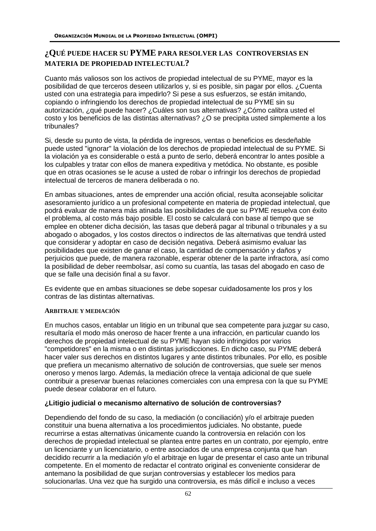# **¿OUÉPUEDEHACERSU PYMEPARARESOLVERLAS CONTROVERSIASEN MATERIA DE PROPIEDAD INTELECTUAL ?**

Cuantomás valiosos son los activos de propiedad intelectual de su PYME, mayor es la posibilidad de que terceros deseen utilizar los y, si esposible, sin pagar por ellos. ¿Cuenta usted con una estrategia para impedirlo? Si pese a sus esfuerzos, se están imitando, copiando o infringiendo los derechos de propiedad intelectual desuPYME sin su autorización, ¿qué puede hacer? ¿Cuáles son sus alternativas? ¿Cómo calibra ustede l costo y los beneficios de las distintas alternativas? ¿O seprecipita usted simplemente a los tribunales?

Si, desde su punto de vista, la pérdida de ingresos, ventas o beneficios es desdeñable puede usted "ignorar" la violación de los derechos de propiedad intelectual de su PYME. Si la violación y a es considerable o está a punto deserlo, deberá encontrar lo antes posible a los culpables y tratar conellos de manera exp editiva y metódica. No obstante, esposible que en otras ocasiones se le acuse a usted de robaro infringir los de rechos de propie dad intelectual de terceros de manera deliberada ono.

En ambas situaciones, antes de emprender una acción oficial, resulta ac onsejable solicitar asesoramiento jurídico a un profesional competente en materia de propiedad intelectual, que podrá evaluar de manera más atinada las posibilidades de que su PYME resuelva con éxito el problema, al costo más bajo posible. El costo se calc ulará con base al tiempo que se emplee en obtener dicha decisión, las tasas que deberá pagar al tribunal o tribunales y a su abogadoo abogados, y los costos directos o indirectos de las alternativas que tendrá usted que considerar y adoptar en caso de dec isión negativa. Deberá asimismo evaluar las posibilidades que existen de ganar el caso, la cantidad de compensación y daños y perjuicios que puede, de manera razonable, esperar obtener de la parte infractora, así como la posibilidad de deber reembolsar, as í como su cuantía, las tasas del abogado en caso de que se falle una decisión final a su favor.

Es evidente que en ambas situaciones se debe sopes ar cuidados amente los pros y los contras de las distintas alternativas.

## **ARBITRAJE Y MEDIACIÓN**

En muchos casos, entablar un litigio en un tribunal que se a competente para juzgar su caso, resultaría el modomás oneros o de hacer frente a una infracción, en particular cuando los derechos de propiedad intelectual de su PYME hay an sido infringidos por varios "competidores" en la misma o en distintas iuris dicciones. En dicho caso, su PYME deberá hacer valer sus derechos en distintos lugares vantedistintos tribunales. Por ello, esposible que prefiera un mecanismo alternativo de solución de controversias, que suele ser mecanos oneroso y menos largo. Además, la mediación ofrece la ventaja adicional de que suele contribuir a preservar buenas relaciones comerciales con una empresa con la que su PYME puede desear colaborar en el futuro.

## **¿Litigio judicial o mecanismo alternativo de solución de controversias?**

Dependiendo del fondo de su caso, la mediación (o conciliación) y/o el arbitraje pueden constituir una buena alternativa a los procedimientos judiciales. No obstante, puede recurrirse a estas alternativas únicamente cuando la controversia en relación con los derechos de propiedad intelectual se plantea entre parte se nun contrato, por ejemplo, entre un licenciante y un licenciatario, o entre asociados de una empresa conjunta que han decidido recurrir a la mediación y/o el arbi traje en lugar de presentar el caso ante un tribunal competente. En el momento de redactar el contrato original es conveniente considerar de antemano la posibilidad de que surian controversias y establecer los medios para solucionarlas. Una vez que ha surg ido una controversia, es más difícil e incluso a veces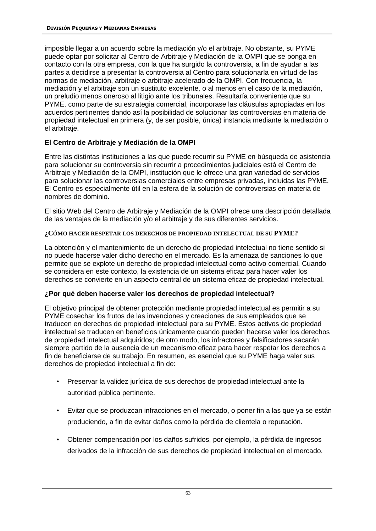imposible llegar a una cuerdo sobre la mediación y/o el arbitraje. No obstante, su PYME puede optar por solicitar al Centro de Arbitraje y Mediación de la OMP la uese ponga en contacto con la otra empr esa, con la que ha surgido la controversia, a fin de ayudar a las partes a decidirse a presentar la controversia al Centropara solucionar la en virtud de las normas de mediación, arbitraje o arbitraje acelerado de la OMPI. Confrecuencia, la mediación y el arbitraje son un sustituto excelente, o almenos en el caso de la mediación, un preludio menos oneros o allitigio ante los tribunales. Resultaría conveniente que su PYME, como parte de su estrategia comercial, incorporas e las cláusulas apropiadas en los acuerdos pertinentes dando así la posibilidad de solucionar las controversias en materia de propiedad intelectual en primera (y, deser posible, única) instancia mediante la mediación o el arbitraie.

## **El Centro de Arbitraje y Mediación de la OMPI**

Entrelas distintas instituciones a las que puede recurrir su PYME en búsqueda de asistencia para solucionar su controversia sin recurrir a procedimientos judiciales está el Centro de Arbitraje y Mediación de la OMPI, institución que le ofrece una gran variedad des ervicios para solucionar las controversias comerciales entre empresas privadas, incluidas las PYME. El Centro es especialmente útil en la esfera de la solución de controversias en materia de nombres de dominio.

El sitio Web del Centro de Arbitraje y Mediac ión de la OMP lo frece una descripción detallada de las ventajas de la mediación y/o el arbitraje y de sus diferentes servicios.

## **¿CÓMO HACER RESPETAR L OS DERECHOS DE PROPI EDAD INTELECTUAL DE SU PYME?**

La obtención y el mantenimiento de un derecho de propieda dintelectual no tienes entidos i no puede hacerse valer dicho derecho en el mercado. Es la amenaza de sanciones lo que permite que se explote un derecho de propiedad intelectual como activo comercial. Cuando se considera en este contexto, la existencia de un sistema eficaz para hacer valer los derechos se convierte en un aspecto central de un sistema eficaz de propiedad intelectual.

## **¿Por qué deben hacerse valer los derechos de propiedad intelectual?**

El objetivo principal de obtener protección mediante prop i edad intelectual es permitir a su PYME cose charlos frutos de las invenciones y creaciones de sus empleados que se traducen en derechos de propiedad intelectual para su PYME. Estos activos de propiedad intelectual setraducen en beneficios únicamente cuan do pueden hacerse valer los derechos de propiedad intelectual adquiridos; de otro modo, los infractores y falsificadores sacarán siemprepartido de la ausencia de un mecanismo eficaz para hacer respetar los derechos a fin de beneficiarse de su trabajo. En resumen, es esencial que su PYME haga valer sus derechos de propiedad intelectual a fin de:

- Preservar la validez jurídica de sus derechos de propiedad intelectual ante la autoridad pública pertinente.
- Evitar que se produzcan infracciones en el mercado, o poner fin a las que vas e están produciendo, a fin de evitar daños como la pérdida de cliente la orientación.
- Obtener compensación por los daños sufridos, por ejemplo, la pérdida de ingresos derivados de la infracción de sus de rechos de propiedad intelect ual en el mercado.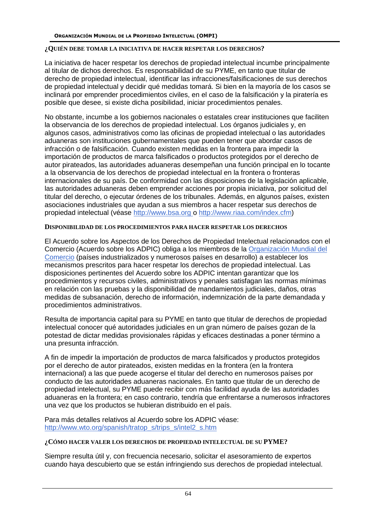## **¿QUIÉN DEBE TOMAR LA I NICIATIVA DE HACER R ESPETAR LOS DERECHOS ?**

La iniciativa de hacer respetar los de rechos de propiedad intelectual incumbe principalmente altitular de dichos derechos. Es responsabilidad de su PYME, en tanto que titu lar de derecho de propiedad intelectual, identificar las infracciones/falsificaciones desus derechos de propiedad intelectual y decidir qué medidas tomará. Si bien en la mayoría de los casos se inclinará por emprender procedimientos civiles, en el caso de la falsificación y la piratería es posible que desee, si existe dicha posibilidad, iniciar procedimientos penales.

Noobstante, incumbe a los gobiernos nacionales o estatales crear instituciones que faciliten la observancia de los de rechos de propiedad in telectual. Los órganos judiciales y, en algunos casos, administrativos como las oficinas de propiedad intelectual o las autoridades aduaneras son instituciones gubernamentales que pueden tener que abordar casos de infracción o de falsificación. Cuando exis ten medidas en la frontera para impedir la importación de productos de marca falsificados o productos protegidos por el derecho de autor pirateados, la sautoridades aduaneras desempeñan una función principal en lo tocante a la observancia de los derechos de propieda dintelectual en la frontera ofronteras internacionales de supaís. De conformidad con las disposiciones de la legislación aplicable, las autoridades aduaner as deben emprender acciones por propia iniciativa, por solicitud del titular del derecho, o ejecutar órdenes del os tribunales. Además, en algunos países, existen asociaciones industriales que ayudan a sus miembros a hacer respetar sus derechos de propiedad intelectual (véase [http://www.bsa.org](http://www.bsa.org/) o [http://www.riaa.com/index.cfm\)](http://www.riaa.com/index.cfm)

### **DISPONIBILIDADDELOS PROCEDIMIENTOSPARA HACERRESPETARLOS DERECHOS**

El Acuerdo sobre los Aspectos de los Derechos de Propiedad Intelectual relacionados con el Comercio (Acuerdo sobre los A DPIC) obliga a los miembros de la Organización Mundial del [Comercio \(](http://www.wto.org/indexsp.htm)países industrializados y numeros os países en desarrollo) a establecer los mecanismos prescritos para hacer respetar los derechos depropied ad intelectual. Las disposiciones pertinentes del Acuerdo sobre los ADPIC intentangarantizar que los procedimientos y recursos civiles, administrativos y penales satisfagan las normas mínimas en relación con las pruebas y la disponibilidad de mandamientos iudiciales, daños, otras medidas de subsanación, derecho de información, indemnización de la parte demandada y procedimientos administrativos.

Resulta de importancia capital para su PYME en tanto que titular de derechos de propiedad intelectual conocer qu é autoridades judiciales en un gran número de países gozan de la potestad de dictar medidas provisionales rápidas y eficaces destinadas a poner término a una presunta infracción.

A fin de impedir la importación de productos de marca falsificados y producto sprotegidos por el derecho de autor pirateados, existen medidas en la frontera (en la frontera internacional) a las que puede acogerse el titular del derecho en numeros os países por conducto de las autoridades aduaneras nacionales. En tanto que titular de un derecho de propiedad intelectual, su PYME puede recibir con más facilidad a vuda de las autoridades aduaneras en la frontera; en caso contrario, tendría que enfrentarse a numerosos infractores una vez que los productos se hubieran distribuido en el país

Paramás detalles relativos al Acuerdo sobre los ADPIC véase: [http://www.wto.org/spanish/tratop\\_s/trips\\_s/intel2\\_s.htm](http://www.wto.org/spanish/tratop_s/trips_s/intel2_s.htm)

## **¿CÓMOHACERVALERLOS DERECHOSDEPROPIEDA DINTELECTUALDESU PYME?**

Siempreresulta útil y, confrecuencia necesario, solicitar el asesoramiento de expertos cuando haya descubierto que se están infringiendo sus derechos de propiedad intelectual.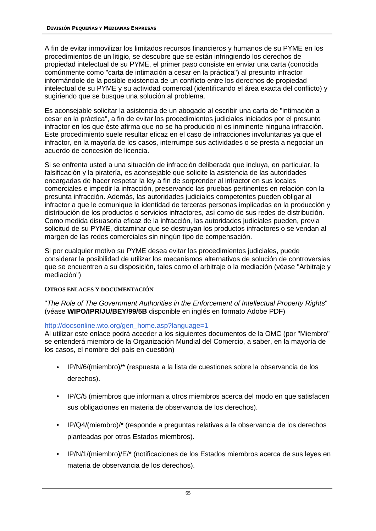A fin de evitar inmovilizar los limitados recursos financieros y humanos de su PYME en los procedimientos de un litigio, se descubre que se están infringiendo los derechos de propiedad intelectual de su PYME, el primer paso consiste en enviar una carta (conocida comúnmente como "carta de intimación a cesar en la práctica") al presunto infractor informándole de la posible existencia de un conflicto entre los derechos de propiedad intelectual de su PYME y su actividad comercial (identificando el área exacta del conflicto) y sugiriendo que se busque una solución al problema.

Es ac onsejable solicitar la asistencia de un abogado al escribir una carta de "intimación a cesar en la práctica", a fin de evitar los procedimientos judiciales iniciados por el presunto infractor en los que éste afirma que no se ha producido ni es inminente ni neguna infracción. Este procedimiento suele resultar eficazenel caso de infracciones involuntarias yaque el infractor, en la mayoría de los casos, interrum pesus actividades o sepresta a negociar un acuerdo de concesión de licencia.

Siseenfrentausted auna situación de infracción de liberada que incluya, en particular, la falsificación y la piratería, es aconsejable que solicite la asistencia de las autoridades encargadas de hacer respetar la ley a fin de sorprender a linfractor en sus locales comerciales e impedir la infracción, preservando las pruebas pertinentes en relación con la presunta infracción. Además, las autoridades judiciales competentes pueden obligar al infractor a que le comunique la identidad de terceras personas implicadas en la produc ción y distribución de los productos o servicios infractores, así como desus redes de distribución. Comomedida disuasoria eficaz de la infracción, las autoridades judiciales pueden, previa solicitud de su PYME, dictaminar que se destruyan los productos i nfractores o sevendan al margen de las redes comerciales sin ningún tipo de compensación.

Siporcualquier motivo su PYME desea evitar los procedimientos judiciales, puede considerar la posibilidad de utilizar los mecanismos alternativos de solución de componente de proversias que se encuentren a su disposición, tales como el arbitraje o la mediación (véase "Arbitraje y mediación")

## **OTROS ENLACES Y DOCUM ENTACIÓN**

"The Role of The Government Authorities in the Enforcement of Intellectual Property Rights (véase WIPO/IPR/JU/BEY/99/5B disponible en inglés enformato Adobe PDF)

## [http://docsonline.wto.org/gen\\_home.asp?language=1](http://docsonline.wto.org/gen_home.asp?language=1)

Alutilizar este enlace podrá acceder a los siguientes do cumentos de la OMC (por "M iembro" seentenderámiembro de la Organización Mundial del Comercio, a saber, en la mayoría de los casos, el nombre del país en cuestión)

- IP/N/6/(miembro)/\*(respuesta a la lista de cuestiones sobre la observancia de los derechos).
- IP/C/5 (miembrosquei nforman a otros miembros acerca del modo en que satisfacen sus obligaciones en materia de observancia de los derechos).
- IP/Q4/(miembro)/\*(responde a pregunta srelativas a la observancia delos derechos planteadas por otros Estados miembros).
- IP/N/1/(miembro)/E/\*(notificaciones delos Estados miembros acercades us leyes en materia de observancia de los derechos).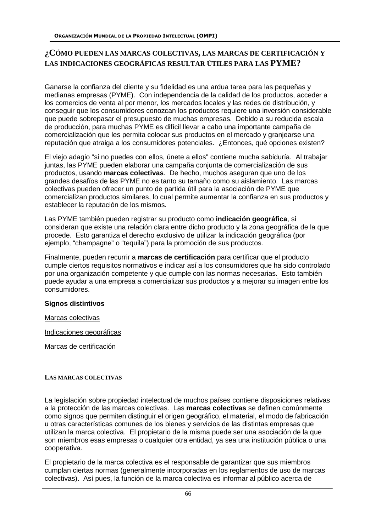# **¿CÓMO PUEDEN LAS MARCA S COLECTIVAS , LAS MARCAS DE CERTI FICACIÓN Y LASINDICACIONESGEO GRÁFICASRESULTARÚT ILESPARALAS PYME?**

Ganarselaco nfianza del cliente y su fidelidade suna ardua tarea para las pequeñas y medianas empresas (PYME). Conindependencia de la calidad de los productos, acceder a los comercios de venta al pormenor, los mercados locales y las redes de distribución, y conseguir que los consumidores conozcan los productos requiere una inversión considerable que puede sobrepasar el presupuesto de muchas empresas. Debido a sure ducida escala de producción, para muchas PYME es difícil llevar a cabo una importante campaña de comercialización que les permita colocar sus productos en el mercado varanjearse una reputación que atraiga a los consumidores potenciales. ¿Entonces, qué opciones existen?

El viejo adagio "si no puedes con ellos, únete a ellos" contiene mucha sabiduría. Al trabajar juntas, las PYME pueden elaborar una campaña conjunta de comercialización de sus productos, usando **marcas colectivas** . Dehecho, muchos aseguran que uno delos grandes desafíos de las PYME no es tanto su tamaño como su aislamiento. Las marcas colectivas pueden ofrecer un punto de partida útil para la asociación de PYME que comercializan productos similares, lo cual permite aumentar la confianza en sus productos y establecer la reputación de los mismos.

Las PYME también pueden registrar su product ocomo indicación geográfica, si consideran que existe una relación clara entre dicho producto y la zona geográfica de la que procede. Esto garantiza el derecho exclusivo de utilizar la indicación geográfica (por ejemplo, "champagne" o "tequila") para la promoción de sus productos.

Finalmente, pueden recurrira **marcas de certificación** para certificar que el producto cumple ciertos requisitos normativos e indicar así a los consumidores que ha sido controlado por una organización competente y que cumple con las normas necesarias. Esto también puede ayudar a una empresa a comercializar sus productos y a mejorar su imagement relos consumidores.

## **Signos distintivos**

Marcascolectivas

**Indicaciones geográficas** 

**Marcas de certificación** 

### **LAS MARCAS COLECTIVAS**

La leg islación sobre propiedad intelectual de muchos países contiened isposiciones relativas a la protección de las marcas colectivas. Las **marcas colectivas** se definen comúnmente como signos que permiten distinguir el origen geográfico, el material, el modo de fabricación u otras características comunes de los bienes y servicios de las distintas empresas que utilizan la marca colectiva. El propietario de la misma puede ser una asociación de la que son miembros esas empresas o cualquier otra entidad, ya sea una institución pública o una cooperativa.

El propietario de la marca colectiva es el responsable de garantizar que sus miembros cumplan ciertas normas (generalmente incorporadas en los reglamentos de uso de marcas colectivas). Así pues, la función de la marc acolectiva es informar al público acerca de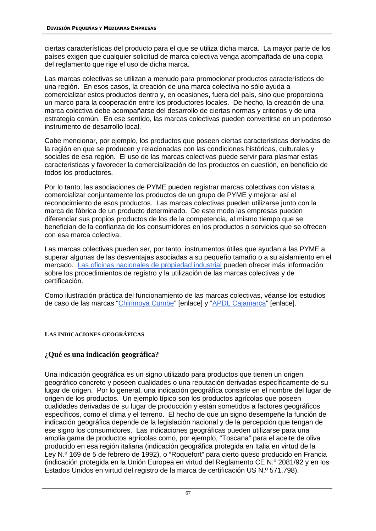ciertas características del producto para el que se utiliza dicha marca. La mayor parte de los países exigen que cualquier solicitud de marca colectiva venga acompañada de una copia del reglamento que rige el u so de dicha marca.

Las marcas colectivas se utilizan a menudo para promocionar productos característicos de una región. En esos casos, la creación de una marca colectiva nosólo ayuda a comercializar estos productos dentro y, en ocasiones, fuera del país, sino que proporciona un marco para la cooperación entre los productores locales. De hecho, la creación de una marca colectiva debe acompañarse del desarrollo de ciertas normas y criterios y de una estrategia común. En ese sentido, las marcas colectivas pueden convertirse en un poderoso instrumento de desarrollo local.

Cabe mencionar, por ejemplo, los productos que poseen ciertas características de rivadas de la región en que se producen y relacionadas con las condiciones históricas, culturales y sociales de esa región. El uso de las marcas colectivas puede servir para plas marestas características y favorecer la comercialización de los productos encuestión, en beneficio de todos los productores.

Porlotanto, las asociaciones de PYME pueden registrarmar cascolectivas convistas a comercializar conjuntamente los productos de un grupo de PYME y mejorar así el reconocimiento de esos productos. Las marcas colectivas pueden utilizarse junto con la marca de fábrica de un producto de terminado. De este modo la sempresa spueden diferenciar sus propios productos de los de la competencia, al mismo tiempo que se benefician de la confianza de los consumidores en los productos os ervicios que se ofrecen conesamarca colectiva.

Las marcas colectivas pueden ser, por total not instrumentos útiles que avudan a las PYME a superar algunas de las desventajas asociadas a supequeño tamaño o a su aislamiento en el mercado. [Las oficinas nacionales de propiedad industr](http://www.wipo.int/news/es/links/ipo_web.htm)a induceden ofrecer más información sobre los procedimientos de registro y la utilización de las marcas colectivas y de certificación.

Como ilustración práctica del funcionamiento de las marcas colectivas, véanse los estudios de caso de las marcas " [Chirimoya Cumbe](http://www.wipo.int/sme/es/case_studies/chirimoya.htm) " [enlace] y " [APDL Cajamarca](http://www.wipo.int/sme/es/case_studies/apdl.htm) " [enlace].

## **LASINDICACIONESGEOG** RÁFICAS

## **¿Qué es una indicación geográfica?**

Una indicación geográfica es un signo utilizado para productos que tienen un origen geográfico concreto y poseen cualidades o una reputación de rivadas específicamente de su lugar de origen. Por lo general, una indicación geográfica consiste en el nombre dell ugar de origen de los productos. Un ejemplo típico son los productos agrícolas que poseen cualidades de rivadas de sulugar de producción y están sometidos a factores geográficos específicos, como el clima y el terreno. El hecho de que un signo de sempeñe la función de indicación geográfica depende de la legislación nacional y de la percepción que tengan de ese signo los consumidores. Las indicaciones geográficas pueden utilizarse para una amplia gama de productos agrícolas como, por ejemplo, "Toscana" par ael aceite de oliva producido en esa región italiana (indicación geográfica protegida en Italia en virtud de la Ley N.º 169 de 5 de febrero de 1992), o "Roquefort" para cierto que so producido en Francia (indicación protegida en la Unión Europea en virtud del Reglamento CEN.<sup>º</sup> 2081/92 y en los Estados Unidos en virtud del registro de la marca de certificación USN. <sup>o</sup> 571.798).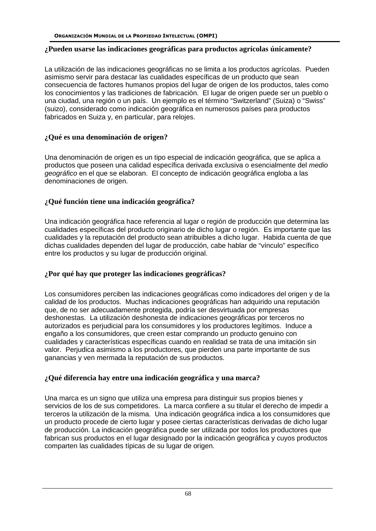## **¿Pueden usarse las indicaciones geográficas para productos agrícolas únicamente?**

Lautilización de las indicaciones geográficas no selimita a los productos agrícolas. Pueden asimismo servir para destacar las cualidades específicas de un producto que sean consecuencia de factores humanos propios del lugar de origen de los productos, tales como los conocimientos y las tradiciones de f abricación. El lugar de origen puede ser un pueblo o una ciudad, una región o un país. Un ejemplo es el término "Switzerland" (Suiza) o "Swiss" (suizo), considerado como indicación geográfica en numerosos países para productos fabricados en Suiza y, en p articular, para relojes.

## **¿Qué es una denominación de origen?**

Una de nominación de origen es un tipo especial de indicación geográfica, que se aplica a productos que poseen una calidad específica derivada exclusiva o esencialmente del medio geográfico en el quese elaboran. El concepto de indicación geográfica engloba a las denominaciones de origen.

**¿Qué función tiene una indicación geográfica?**

Una indicación geográfica hace referencia al lugar o región de producción que determina las cualidades específicas del producto originario de dicho lugar o región. Es importante que las cualidades y la reputación del producto sean atribuibles a dicholugar. Habida cuenta de que dichas cualidades dependen del lugar deproducción, cabe hablar de "vínculo" específic o o entre los productos y su lugar de producción original.

## **¿Por qué hay que proteger las indicaciones geográficas?**

Los consumidores per ciben la sindicaciones geográficas como indicadores del origen y de la calidad de los productos. Muchas indicaciones geo gráficas han adquirido una reputación que, de no ser adecuadamente protegida, podría ser desvirtuada por empresas deshonestas. La utilización deshonesta de indicaciones geográficas por terceros no autorizados esperiudicial para los consumidores y los productores legítimos. Induce a engaño a los consumidores, que creen estar comprando un producto genuino con cualidades y características específicas cuando en realidad se trata de una imitación sin valor. Perjudica asimismo a los productores, que pierden u na parte importante de sus ganancias y ven mermada la reputación de sus productos.

## **¿Qué diferencia hay entre una indicación geográfica y una marca?**

Una marca es un signo que utiliza una empresa para distinguir sus propios bienes y servicios de los desus competidores. La marca confiere a su titular el derecho de impedira terceros la utilización de la misma. Una indicación geográfica indica a los consumidores que un producto procede de cierto lugar y posee ciertas características de rivadas de dicho luga representar repre de producción. La indicación geográfica puede ser utilizada por todos los productores que fabrican sus productos en el lugar designado por la indicación geográfica y cuyos productos comparten las cualidades típicas de su lugar de origen.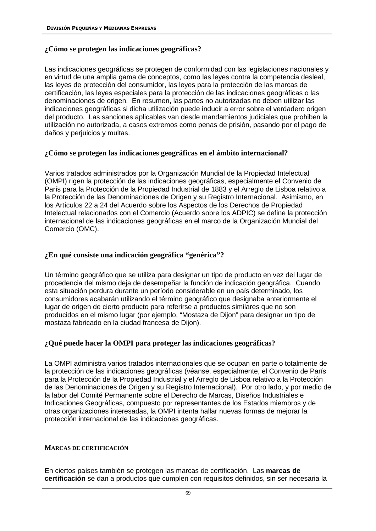# **¿Cómo se prot egen las indicaciones geográficas?**

Las indicaciones geográficas se protegen de conformidad con las legislaciones nacionales y en virtud de una amplia gama de conceptos, como las leyes contra la competencia desleal, las leyes de protección del consumidor, las leyes para la protección de las marcas de certificación, las leyes especiales para la protección de las indicaciones geográficas o las denominaciones de origen. En resumen, las partes no autorizadas no deben utilizar las indicaciones geográficas sidi cha utilización puede inducir a error sobre el verdadero origen del producto. Las sanciones aplicables van desde mandamientos judiciales que prohiben la utilización no autorizada, a caso sextremos como penas deprisión, pasando por el pago de daños y perj uicios y multas.

## **¿Cómo se protegen las indicaciones geográficas en el ámbito internacional?**

Varios tratados administrados por la Organización Mundial de la Propiedad Intelectual (OMPI) rigen la protección de las indicaciones geográficas, especialmente el Convenio de París para la Protección de la Propieda dindustrial de 1883 y el Arregio de Lisboa relativo a la Protección de las Denominaciones de Origen y su Registro Internacional. Asimismo, en los Artículos 22 a 24 del Acuerdo sobre los Aspectos de los Derechos de Propiedad Intelectual relacionados con el Comercio (Acuerdo sobre los ADPIC) se define la protección internacional de las indicaciones geográficas en el marco de la Organización Mundial de l Comercio (OMC).

## **¿En qué consiste una indicación geogr áfica "genérica"?**

Untérmino geográfico que se utiliza para designar un tipo de producto en vez del lugar de procedencia del mismo deja de desempeñar la función de indicación geográfica. Cuando esta situación perdura durante un período considerable en un país determinado, los consumidores acabarán utilizando el término geográfico que designaba anteriormente el lugar de origen de cierto producto para referirse a productos similares que no son producidos en el mismo lugar (por ejemplo, "Mostaza de Dijon" pa ra designar un tipo de mostaza fabricado en la ciudad francesa de Dijon).

## **¿Qué puede hacer la OMPI para proteger las indicaciones geográficas?**

La OMPI administra varios tratados internacionales que se ocupan en parte o totalmente de la protección de las indicaciones geográficas (véanse, especialmente, el Convenio de París para la Protección de la Propieda dindustrial y el Arregio de Lisboa relativo a la Protección de las Denominaciones de Origen y su Registro Internacional). Por otro lado, y por medio de la labor del Comité Permanente sobre el Derecho de Marcas, Diseños Industriales e Indicaciones Geográficas, compuesto por representantes de los Estados miembros y de otras organizaciones interesadas, la OMPI intenta hallar nuevas formas de mejorar la protección internacional de las indicaciones geográficas.

## **MARCAS DE CERTIFICACI ÓN**

En ciertos países también se protegen las marcas de certificación. Las **marcas de**  certificación sedan a productos que cumplen con requisitos definidos, sin ser necesaria la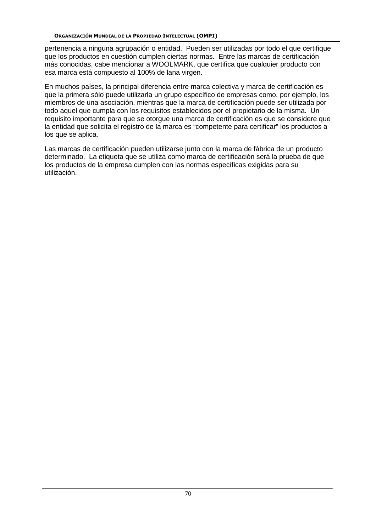pertenencia aninguna agrupación o entidad. Pueden ser utilizadas portodo el que certifique que los productos en cuestión cumplen ciertas normas. Entre las marcas de certificación más conocidas, cabe mencionar a WOOLMARK, que certifica que cualquier produ cto con esa marca está compuesto al 100% de la navirgen.

En muchos países, la principal diferencia entre marca colectiva y marca de certificación es que la primera sólo puede utilizarla un grupo específico de empresas como, por ejemplo, los miembros de una asociación, mientras que la marca de certificación puede ser utilizada por todo aquel que cumpla con los requisitos establecidos por el propietario de la misma. Un requisito importante para que se otorque una marca de certificación es que se considere que el electron el el la entidad que solicita el registro de la marca es "competente para certificar" los productos a los que se aplica.

Las marcas de certificación pueden utilizar se junto con la marca de fábrica de un producto determinado. La etiqueta que se utiliza como ma reade certificación será la prueba de que los productos de la empresa cumplen con las normas específicas exigidas para su utilización.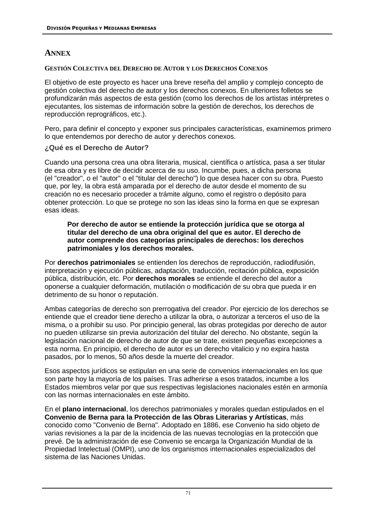# **ANNEX**

## **GESTIÓN COLECTIVADEL DERECHODE AUTORYLOS DERECHOS CONEXOS**

El objetivo de este proyecto es hacer una breve res eña del amplio y complejo concepto de gestión colectiva del derecho de autor y los derechos conexos. En ulteriores folletos se profundizarán más aspectos de esta gestión (como los derechos de los artistas intérpretes o ejecutantes, los sistemas de informac ión sobre la gestión de derechos, los derechos de reproducción reprográficos, etc.).

Pero, para definir el concepto y exponer sus principales características, examinemos primero lo que entendemos por derecho de autor y derechos conexos.

## **¿Qué es el Derecho de Autor?**

Cuando una persona crea una obra literaria, musical, científica o artística, pasa a ser titular de esa obra y es libre de decidir acerca de su uso. Incumbe, pues, a dicha persona (el "creador", o el "autor" o el "titular del derecho") lo que dese a hacer con su obra. Puesto que, por ley, la obra está amparada por el derecho de autor desde el momento de su creación no es necesario proceder a trámite alguno, como el registro o depósito para obtener protección. Lo que se protegeno son las ideas sino la forma enque se expresan esasideas.

#### **Por derecho de autor se entiende la protección jurídica que se otorga al titular del derecho de una obra original del que es autor. El derecho de autor comprende dos categorías principales de derechos: los derechos patrimoniales y los derechos morales.**

Por **derechos patrimoniales** seentienden los derechos de reproducción, radiodifusión, interpretación y ejecución públicas, adaptación, traducción, recitación pública, exposición pública, distribución, etc. Por **derechosm orales** seentiende el derecho de lautora oponerse a cualquier deformación, mutilación o modificación de su obra que pueda ir en detrimento de su honor o reputación.

Ambas categorías de derecho son prerrogativa del creador. Por ejercicio del os derechos se entiende que el creador tiene de recho autilizar la obra, o autorizar a terceros el uso de la misma, o a prohibir su uso. Por principio general, las obras protegidas por derecho de autor no pueden utilizar se sin previa autorización del titular del derecho . No obstante, según la legislación nacional de derecho de autor de que se trate, existen pequeñas excepciones a esta norma. En principio, el derecho de autor es un derecho vitalicio y no expira hasta pasados, por lo menos, 50 años desde la muerte del crea dor.

Esos aspectos jurídicos se estipulan en una serie de convenios internacionales en los que son parte hoy la mayoría de los países. Tras adherirse a esos tratados, incumbe a los Estados miembros velar por que sus respectivas legislaciones nacionales est énenarmonía con las normas internacionales en este ámbito.

En el **plano internacional** , los derechos patrimoniales y morales quedan estipulados en el **Convenio de Berna para la Protección de las Obras Literarias y Artísticas** , más conocido como "Convenio de Berna". Adoptado en 1886, ese Convenio ha sido objeto de varias revisiones a la par de la incidencia de las nuevas tecnologías en la protección que prevé. De la administración de ese Convenio se encarga la Organización Mundial de la Propiedad Intelectual (OMPI), uno delo sorganismos internacionales especializados del sistema de las Naciones Unidas.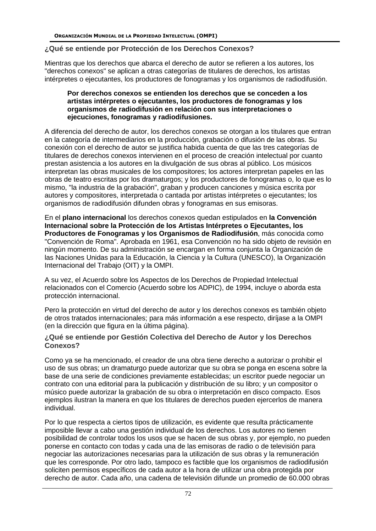## **¿Qué se entiende por Protección de los Derechos Conexos?**

Mientras que los derechos que abarca el derecho de autor serefieren a los autores, los "derechos con exos" se aplicana otras categorías de titulares de derechos, los artistas intérpretes o ejecutantes, los productores de fonogramas y los organismos de radiodifusión.

#### **Por derechos conexos se entienden los derechos que se conceden a los artistas intérpretes o ejecutantes, los productores de fonogramas y los organismos de radiodifusión en relación con sus interpretaciones o ejecuciones, fonogramas y radiodifusiones.**

A diferencia del derecho de autor, los derechos conexos se otorgan a los titulares que entran en la categoría de intermediarios en la producción, grabación o difusión de las obras. Su conexión con el derecho de autor se justifica habida cuenta de que las tres categorías de titulares de derechos conexos intervienen en el proceso de creación intelect ual por cuanto prestan asistencia a los autores en la divulgación de sus obras al público. Los músicos interpretan las obras musicales de los compositores; los actores interpretan papeles en las obras de teatro escritas por los dramaturgos; y los productor es de fonogramas o, loque es lo mismo, "la industria de la grabación", graban y producen canciones y música escrita por autores y compositores, interpretada o cantada por artistas intérpretes o ejecutantes; los organismos de radiodifusión difunden obras y fonogramas en sus emisoras.

En el **plano internacional** los derechos conexos quedan estipulados en **la Convención Internacional sobre la Protección de los Artistas Intérpretes o Ejecutantes, los Productores de Fonogramas y los Organismos de Radiodifusión** , má s conocida como "Convención de Roma". Aprobada en 1961, esa Convención no ha sido objeto de revisión en ningún momento. De su administración se encargan en forma conjunta la Organización de las Naciones Unidas para la Educación, la Ciencia y la Cultura (UN ESCO), la Organización Internacional del Trabajo (OIT) y la OMPI.

A su vez, el Acuerdo sobre los Aspectos de los Derechos de Propiedad Intelectual relacionados con el Comercio (Acuerdo sobre los ADPIC), de 1994, incluye o aborda esta protección internacion al.

Perolaprotección en virtud del derecho de autory los derechos conexos estambién objeto de otros tratados internacionales; para más información a ese respecto, diríjas e ala OMPI (en la dirección que figura en la última página).

### **¿Qué se entiende por Gestión Colectiva del Derecho de Autor y los Derechos Conexos?**

Comoya se ha mencionado, el creador de una obratiene de recho a autorizar o prohibir el uso de sus obras; un dramatur go puede autorizar que su obras e ponga en escena sobre la base de una ser ie de condiciones previamente establecidas; une scritor puede negociar un contrato con una editorial para la publicación y distribución de su libro; y un compositor o músico puede autorizar la grabación de su obra o interpretación en disco compacto. Esos ejemplos ilustran la manera en que los titulares de derechos pueden ejercerlos de manera individual.

Por lo que respecta a ciertos tipos de utilización, es evidente que resulta prácticamente imposible llevar a cabo una gestión individual de los derechos. Lo sautores no tienen posibilidad de controlar todos los usos que se hacen de sus obras y, por ejemplo, no pueden ponerse en contacto con todas y cada una de las emisoras de radio o de televisión para negociar las autorizaciones necesarias para la utilizació nel es usobras viar em un eración que les corresponde. Por otro lado, tampoco es factible que los organismos de radiodifusión soliciten permisos específicos de cada autor a la hora de utilizar una obra protegida por derecho de autor. Cada año, una cadena de televisión difunde un promedio de 60.000 obras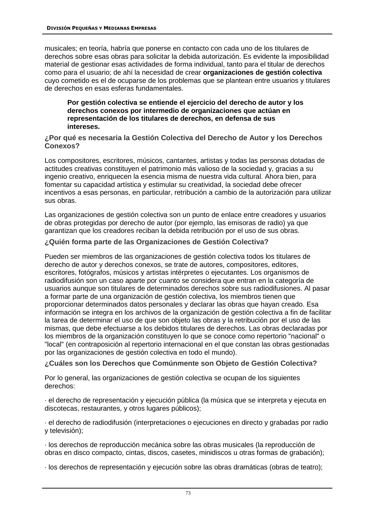musicales; en teoría, habría que ponerse en contacto con cada uno de los titulares de derechos sobre esas obras para solicitar la debida autorización. Es evidente la imposibilidad material de gestionar esas a ctividades de forma individual, tanto para el titular de derechos como para el usuario; de ahí la necesidad de crear **organizaciones de gestión colectiva** cuyo cometido es el de ocuparse de los problemas que se plantean entre usuarios y titulares de derechos en esas esferas fundamentales.

#### **Por gestión colectiva se entiende el ejercicio del derecho de autor y los derechos conexos por intermedio de organizaciones que actúan en representación de los titulares de derechos, en defensa de sus intereses.**

#### **¿Por qué es necesaria la Gestión Colectiva del Derecho de Autor y los Derechos Conexos?**

Los compositores, escritores, músicos, cantantes, artistas y todas las personas dotadas de actitudes creativas constituyen el patrimonio más valios o de la sociedad y, gracias a su ingenio creativo, enriquecen la esencia misma de nuestra vida cultural. Ahora bien, para fomentar su capacidad artística y estimular su creatividad, la sociedad debe ofrecer incentivos a esas personas, en particular, retribución a cambio de la autorización para utilizar sus obras.

Las organizaciones de gestión colectivas on un punto de enlace entre creadores y usuarios de obras protegidas por derecho de autor (por ejemplo, las emisoras de radio) ya que garantizan que los creadores reciban la debida retribuc ión por el uso de sus obras.

## **¿Quién forma parte de las Organizaciones de Gestión Colectiva?**

Pueden ser miembros de las organizaciones de gestión colectiva todos los titulares de derecho de autory de rechos conexos, se trate de autores, compositores, editor es, escritores, fotógrafos, músicos y artistas intérpretes o ejecutantes. Los organismos de radiodifusión son un caso aparte por cuanto se considera que entran en la categoría de usuarios aunque son titulares de determinados de rechos sobre sus radiodifusio ines. Al pasar aformar parte de una organización de gestión colectiva, los miembros tienen que proporcionar determinados datos personales y declarar las obras que hayan creado. Esa información se integra en los archivos de la organización de gestión colect i va a fin de facilitar la tarea de determinar el uso de que son objeto las obras y la retribución por el uso de las mismas, que debe efectuarse a los debidos titulares de derechos. Las obras de claradas por los miembros de la organización constituyen lo que se conoce como repertorio "nacional" o "local" (encontraposición al repertorio internacional en el que constan las obras gestionadas por las organizaciones de gestión colectiva en todo el mundo).

## **¿Cuáles son los Derechos que Comúnmente son Objeto de Gest ión Colectiva?**

Por lo general, las organizaciones de gestión colectivas e ocupan de los siguientes derechos:

· el derecho de representación y ejecución pública (la música que se interpreta y ejecuta en discotecas, restaurantes, y otros lugares públicos);

· el derecho de radiodifusión (interpretaciones o ejecuciones en directo y grabadas por radio ytelevisión);

· los derechos de reproducción mecánica sobre las obras musicales (la reproducción de obras en disco compacto, cintas, discos, casetes, minidiscos u otras formas de grabación);

· los derechos de representación y ejecución sobre las obras dramáticas (obras de teatro);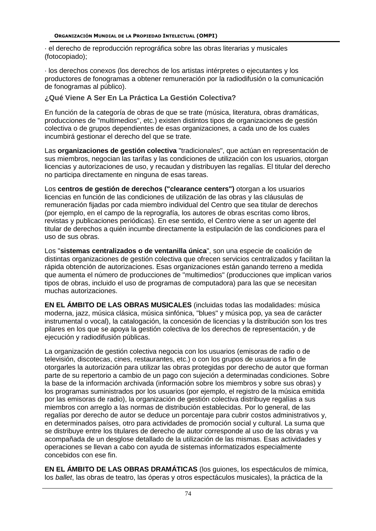· el derecho de reproducción reprográfica sobre las obras literarias y musicales (fotocopiado);

· los derechos conexos (los derechos de los artistas intérpretes o ejecutantes y los productores de fonogramas a obtener remuneración por la radiodifusión o la comunicación de fonogramas al público).

# **¿Qué Viene A Ser En La Práctica La Gestión Colectiva?**

Enfunción de la categoría de obras de que se trate (música, literatura, obras dramáticas, producciones de "multimedios", etc.) existen distintos tipos de organizaciones de gestión colectiva o de grupos dependientes de esas organizaciones, a cada uno del os cuales incumbirá gestionar el derecho de la uese trate.

Las **organizaciones de gestión colectiva** "tradicionales", que actúan en representación de sus miembros, negocian las tarifas y las condiciones de utilización con los usuarios, otorgan licencias y autorizaciones de uso, y recaudany distribuy en las regalías. El titular del derecho no participa directamente en ninguna de esas tareas.

Los **centros de gestión de derechos ("clearance centers")** otorgan a los usuarios licencias en función de las condiciones de utilización de las obras y las cláusulas de de remuneración fijadas por cada miembro individual del Centro que sea titular de derechos (por ejemplo, en el campo de la reprografía, los autores de obras escritas como libros, revistas y publicaciones periódicas). En ese sentido, el Centro viene a ser una gente del titular de derechos a quién incumbe directamente la estipulación de las condiciones para el uso de sus obras.

Los " **sistemas centralizados o de ventanilla única** ", son una especie de coalición de distintas organizaciones de gestión colectiva que e ofrecen servicios centralizados y facilitan la rápida obtención de autorizaciones. Esas organizaciones están ganando terreno a medida que aumenta el número de producciones de "multimedios" (producciones que implican varios tipos de obras, incluido el uso de programas de computadora) para las que se necesitan muchas autorizaciones.

**ENELÁMBITODELASOBRASMUSICALES** (incluidas todas las modalidades: música moderna, jazz, música clásica, música sinfónica, "blues" y música pop, ya sea de carácter instrumental o vocal), la catalogación, la concesión de licencias y la distribución son los tres pilares en los que se apoya la gestión colectiva de los derechos de representación, y de ejecución y radiodifusión públicas.

La organización de gestión colectiva negocia con los usuarios (emisoras de radio o de televisión, discotecas, cines, restaurantes, etc.) o con los grupos de usuarios a fin de otorgarles la autorización para utilizar las obras protegidas por derecho de autor que forman parte de surepertorio a cambio de un pago con sujeción a determinadas condiciones. Sobre la base de la información archivada (información sobre los miembros y sobre sus obras) y los programas suministrados por los usuarios (por ejemplo, el registro de la música emitida por las emisoras de radio), la organización de gestión colectiva distribuye regalías a sus miembros con arreglo a las normas de distribución establecidas. Por lo general, de las regalías por derecho de autor se deduce un porcentaje para cubrir costos administrativos y, en determinados países, otro para actividades de promoción social y cultural. La suma que se distribuye entre los titulares de derecho de autor corresponde al uso de las obras y va acompañada de un desglose de tallado de la utilización de las mismas. Esas act ividades y operaciones se llevan a cabo con ayuda de sistemas informatizados especialmente concebidos con ese fin.

**ENELÁMBITODELASOBRASDRAMÁTICAS** (los guiones, los espectáculos de mímica, los ballet, las obras de teatro, las óperas y otros espectácul os musicales), la práctica de la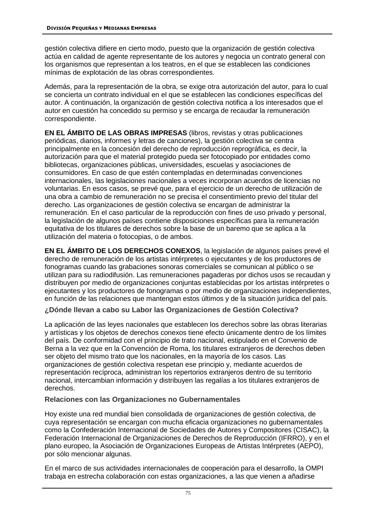gestión colectiva difiere en cierto modo, puesto que la organización de gestión colectiva actúa en calidad de agente representante de los autores y negocia un contrato general con los organismos que representan a los teatro s, en el que se establecen las condiciones mínimas de explotación de las obras correspondientes.

Además, para la representación de la obra, se exige otra autorización de la utor, para lo cual se concierta un contrato individual en el que se establecen las condiciones específicas del autor. A continuación, la organización de gestión colectiva notifica a los interesados que el autor en cuestión ha concedido su permiso y se encarga de recaudar la remuneración correspondiente.

**ENELÁMBITODELASOBRASIMPRESAS** (libros, revistas y otras publicaciones periódicas, diarios, informes y letras de canciones), la gestión colectiva se centra principalmente en la concesión del derecho de reproducción reprográfica, es decir, la autorización para que el material protegido por ueda ser fotocopiado por entidades como bibliotecas, organizaciones públicas, universidades, escuelas y asociaciones de consumidores. En caso de que estén contempladas en determinadas convenciones internacionales, las legislaciones nacionales a veces incorreportance una delicencia sno voluntarias. En esos casos, se prevé que, para el ejercicio de un derecho de utilización de una obra a cambio de remuneración no se precisa el consentimiento previo del titular del derecho. Las organizaciones de gestión colec tiva se encargan de administrar la remuneración. En el caso particular de la reproducción confines de uso privado y personal, la legislación de algunos países contiene disposiciones específicas para la remuneración equitativa de los titulares de derechos sobre la base de un baremo que se aplica a la utilización del materia o fotocopias, o de ambos.

**ENELÁMBITODELOSDERECHOSCONEXOS** , la legislación de algunos países prevée l derecho de remuneración de los artistas intérpretes o ejecutantes y de los produ ctores de fonogramas cuando las grabaciones sonoras comerciales se comunican al público o se utilizan para sura diodifusión. Las remuneraciones pagaderas por dichos usos serecaudan y distribuyen por medio de organizaciones conjuntas establecidas por los a rtistas intérpretes o ejecutantes y los productores de fonogramas o por medio de organizaciones independientes, en función de las relaciones que mantengan estos últimos y de la situación jurídica del país.

## **¿Dónde llevan a cabo su Labor las Organizaciones d e Gestión Colectiva?**

La aplicación de las leyes nacionales que establecen los derechos sobre las obras literarias y artísticas y los objetos de derechos conexos tiene efecto únicamente dentro del os límites del país. De conformidad con el principio de trat onacional, estipulado en el Convenio de Berna a la vez que en la Convención de Roma, los titulares extranjeros de derechos deben ser objeto del mismo trato que los nacionales, en la mayoría de los casos. Las organizaciones de gestión colectiva respetan es e principio y, mediante acuerdos de representación recíproca, administran los repertorios extranjeros dentro de su territorio nacional, intercambian información y distribuyen las regalías a los titulares extranjeros de derechos.

## **Relaciones con las Organiza ciones no Gubernamentales**

Hoy existe una red mundial bien consolidada de organizaciones de gestión colectiva, de cuya representación se encargan con mucha eficacia organizaciones no gubernamentales como la Confederación Internacional de Sociedades de Autor es y Compositores (CISAC), la Federación Internacional de Organizaciones de Derechos de Reproducción (IFRRO), y en el plano europeo, la Asociación de Organizaciones Europeas de Artistas Intérpretes (AEPO), por sólo mencionar algunas.

En el marco de sus act ividades internacionales de cooperación para el desarrollo, la OMPI trabaja en estrecha colaboración con estas organizaciones, a las que vienen a añadirse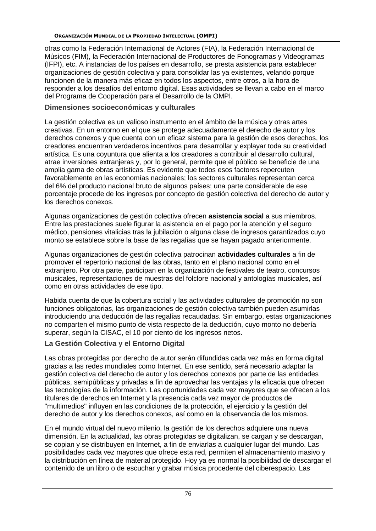otras como la Federación Internacional de Actores (FIA), la Federación Internacional de Músicos (FIM) , la Federación Internacional de Productores de Fonogramas y Videogramas (IFPI), etc. A instancias de los países en desarrollo, se presta asistencia para establecer organizaciones de gestión colectiva y para consolidar las ya existentes, velando porque funcionen de la manera más eficaz en todos los aspectos, entre otros, a la hora de responder a los desafíos del entorno digital. Esas actividades se llevan a cabo en el marco del Programa de Cooperación para el Desarrollo de la OMPI.

#### **Dimensiones socioeconómic as y culturales**

La gestión colectiva es un valioso instrumento en el ámbito de la música y otras artes creativas. En un entorno en el que se protege adecuadamente el derecho de autor y los derechos conexos y que cuenta con un eficaz sistema para la gestión de esos derechos, los creadores encuentran verdaderos incentivos para desarrollar y explayar toda su creatividad artística. Es una coyuntura que alienta a los creadores acontribuir al desarrollo cultural, atrae inversiones extranjeras y, por lo general, permite que el público se beneficie de una amplia gama de obras artísticas. Es evidente que todos esos factores repercuten favorablemente en las economías nacionales; los sectores culturales representancer ca del 6% del producto nacional bruto de algunos p aíses; una parte considerable de ese porcentaje procede de los ingresos por concepto de gestión colectiva del derecho de autor y los de rechos conexos.

Algunas organizaciones de gestión colectiva ofrecen **asistenciasocial** a sus miembros. Entre las prestacio nes suele figurar la asistencia en el pago por la atención y el seguro médico, pensiones vitalicias tras la jubilación o alguna clase de ingresos garantizados cuyo monto se establece sobre la base de la sregalía sque se hayan pagado anteriormente.

Algunas organizaciones de gestión colectiva patrocinan **actividades culturales** a fin de promover el repertorio nacional de las obras, tanto en el plano nacional como en el extranjero. Por otra parte, participan en la organización de festivales de teatro, concursos musicales, representaciones de muestras del folclore nacional y antologías musicales, así como en otras actividades de ese tipo.

Habida cuenta de que la cobertura social y la sactivida de scultura les depromoción no son funciones obligatorias, las organizac iones de gestión colectiva también pueden asum irlas introduciendo una deducción de las regalías recaudadas. Sin embargo, estas organizaciones no comparten el mismo punto de vista respecto de la deducción, cuyo monto no debería superar, según la CISAC, el 1 0 por ciento de los ingresos netos.

# **La Gestión Colectiva y el Entorno Digital**

Las obras protegidas por derecho de autor serán difundidas cada vez más en forma digital gracias a las redes mundiales como Internet. En ese sentido, será necesario adaptar la gestión colectiva del derecho de autorylos de rechos conexos por parte de las entidades públicas, semipúblicas y privadas a fin de aprovechar las ventajas y la eficacia que ofrecen las tecnologías de la información. Las oportunidades cada vez mayores que se ofrecen a los titulares de derechos en Internet y la presencia cada vez mayor de productos de "multimedios" influyen en las condiciones de la protección, el ejercicio y la gestión del derecho de autor y los derechos conexos, así como en la observancia de los mismos.

En el mundo virtual del nuevo milenio, la gestión de los derechos adquiere una nueva dimensión. En la actualidad, la sobra sprotegidas se digitalizan, se cargany se descargan, se copian y se distribuyen en Internet, a fin de enviar la sa cualque ier lugar del mundo. Las posibilidades cada vez mayores que ofrece estared, permiten el almacenamiento masivo y la distribución en línea de material protegido. Hoy ya es normal la posibilidad de descargar el contenido de un libro o de escuchar y grabar mú sica procedente del ciberespacio. Las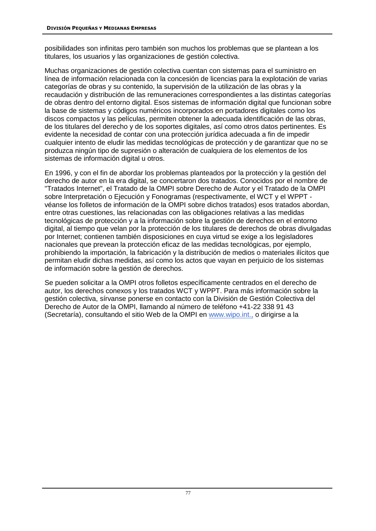posibilidades son infinitas pero también son muchos los problemas que se plantean a los titulares, los usuarios y las organizaciones de gestión colectiva.

Muchas organizaciones de gestión colectiva cuentan consistemas para el suministro en línea de información relacionada con la concesión de licencias para la explotación de varias categorías de obras y su contenido, la supervisión de la utilización de las obras y la recaudación v distribución de las remuneraciones corr espondientes a las distintas categorías de obras dentro del entorno digital. Esos sistemas de información digital que funcionan sobre la base de sistemas y códigos numéricos incorporados en portadores digitales como los discos compactos y las películas, pe rmiten obtener la adecuada identificación de las obras, de los titulares del derecho y de los soportes digitales, así como otros datos pertinentes. Es evidente la necesidad de contar con una protección jurídica adecuada a fin de impedir cualquier intento d e eludir las medidas tecnológicas de protección y de garantizar que no se produzca ningún tipo de supresión o alteración de cualquiera de los elementos de los sistemas de información digital u otros.

En 1996, y con el fin de abordar los problemas planteado spor la protección y la gestión del derecho de autor en la era digital, se concertaron dos tratados. Conocidos por el nombre de "Tratados Internet", el Tratado de la OMPI sobre Derecho de Autor y el Tratado de la OMPI sobre Interpretación o Ejecución y Fo nogramas (respectivamente, el WCT y el WPPT véanse los folletos de información de la OMPI sobre dichostratados) es os tratados abordan, entre otras cuestiones, las relacionadas con las obligaciones relativas a las medidas tecnológicas de protección y ala información sobre la gestión de derechos en el entorno digital, altiempo que velan por la protección del os titulares de derechos de obras divulgadas por Internet; contienen también disposiciones en cuya virtud se exige a los legisladores nacionales que prevean la protección eficaz de las medidas tecnológicas, por ejemplo, prohibiendo la importación, la fabricación y la distribución de medios o materiales ilícitos que permitan eludir dichas medidas, así como los actos que vayan en perjuicio de los sistema s de información sobre la gestión de derechos.

Sepueden solicitar ala OMPI otros folletos específicamente centrados en el derecho de autor, los derechos conexos y los tratados WCT y WPPT. Para más información sobre la gestión colectiva, sírvanse ponerse en contacto con la División de Gestión Colectiva del Derechode Autor de la OMPI, llamando al número de teléfono +41 -223389143 (Secretaría), consultando el sitio Web de la OMPI en [www.wipo.int., o](http://www.wipo.int.,/) dirigirse a la